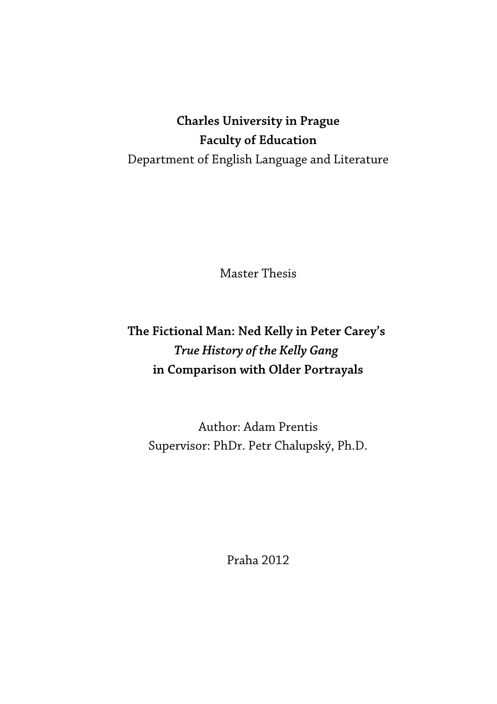# **Charles University in Prague Faculty of Education** Department of English Language and Literature

Master Thesis

# **The Fictional Man: Ned Kelly in Peter Carey's**  *True History of the Kelly Gang*  **in Comparison with Older Portrayals**

Author: Adam Prentis Supervisor: PhDr. Petr Chalupský, Ph.D.

Praha 2012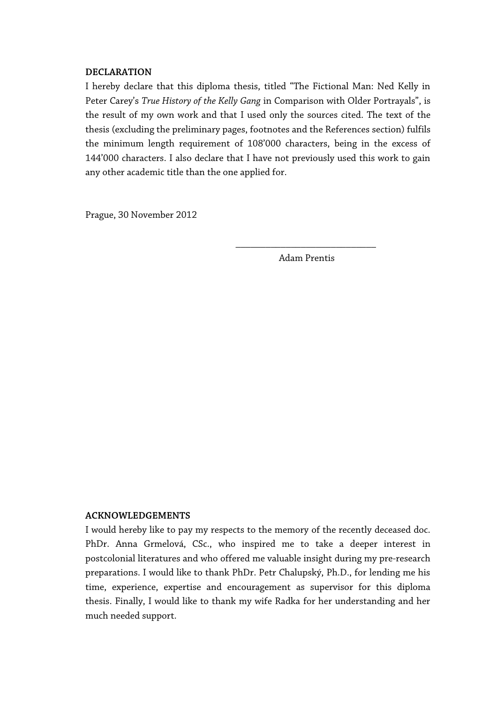#### **DECLARATION**

I hereby declare that this diploma thesis, titled "The Fictional Man: Ned Kelly in Peter Carey's *True History of the Kelly Gang* in Comparison with Older Portrayals", is the result of my own work and that I used only the sources cited. The text of the thesis (excluding the preliminary pages, footnotes and the References section) fulfils the minimum length requirement of 108'000 characters, being in the excess of 144'000 characters. I also declare that I have not previously used this work to gain any other academic title than the one applied for.

Prague, 30 November 2012

\_\_\_\_\_\_\_\_\_\_\_\_\_\_\_\_\_\_\_\_\_\_\_\_\_\_\_\_ Adam Prentis

#### **ACKNOWLEDGEMENTS**

I would hereby like to pay my respects to the memory of the recently deceased doc. PhDr. Anna Grmelová, CSc., who inspired me to take a deeper interest in postcolonial literatures and who offered me valuable insight during my pre-research preparations. I would like to thank PhDr. Petr Chalupský, Ph.D., for lending me his time, experience, expertise and encouragement as supervisor for this diploma thesis. Finally, I would like to thank my wife Radka for her understanding and her much needed support.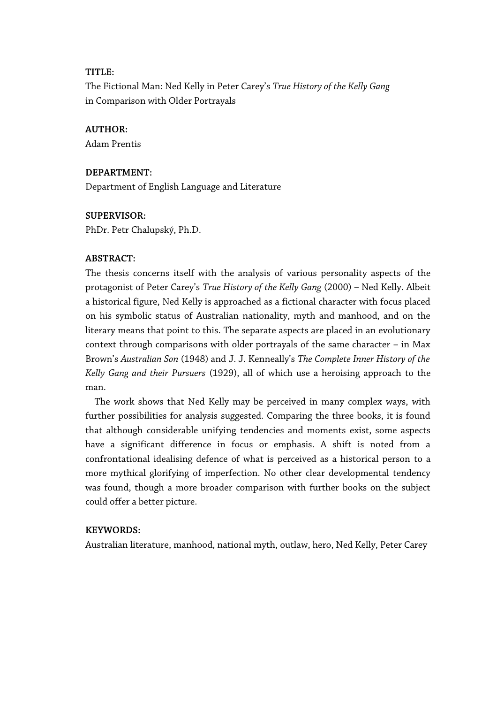#### **TITLE:**

The Fictional Man: Ned Kelly in Peter Carey's *True History of the Kelly Gang* in Comparison with Older Portrayals

#### **AUTHOR:**

Adam Prentis

#### **DEPARTMENT:**

Department of English Language and Literature

#### **SUPERVISOR:**

PhDr. Petr Chalupský, Ph.D.

#### **ABSTRACT:**

The thesis concerns itself with the analysis of various personality aspects of the protagonist of Peter Carey's *True History of the Kelly Gang* (2000) – Ned Kelly. Albeit a historical figure, Ned Kelly is approached as a fictional character with focus placed on his symbolic status of Australian nationality, myth and manhood, and on the literary means that point to this. The separate aspects are placed in an evolutionary context through comparisons with older portrayals of the same character – in Max Brown's *Australian Son* (1948) and J. J. Kenneally's *The Complete Inner History of the Kelly Gang and their Pursuers* (1929), all of which use a heroising approach to the man.

The work shows that Ned Kelly may be perceived in many complex ways, with further possibilities for analysis suggested. Comparing the three books, it is found that although considerable unifying tendencies and moments exist, some aspects have a significant difference in focus or emphasis. A shift is noted from a confrontational idealising defence of what is perceived as a historical person to a more mythical glorifying of imperfection. No other clear developmental tendency was found, though a more broader comparison with further books on the subject could offer a better picture.

#### **KEYWORDS:**

Australian literature, manhood, national myth, outlaw, hero, Ned Kelly, Peter Carey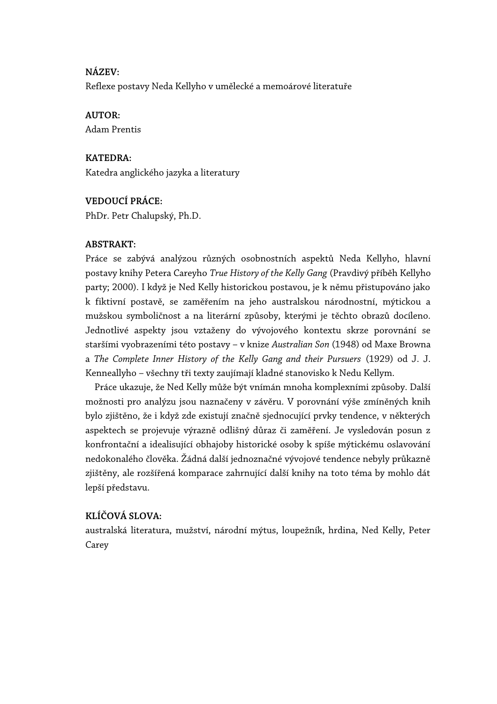#### **NÁZEV:**

Reflexe postavy Neda Kellyho v umělecké a memoárové literatuře

#### **AUTOR:**

Adam Prentis

#### **KATEDRA:**

Katedra anglického jazyka a literatury

#### **VEDOUCÍ PRÁCE:**

PhDr. Petr Chalupský, Ph.D.

#### **ABSTRAKT:**

Práce se zabývá analýzou různých osobnostních aspektů Neda Kellyho, hlavní postavy knihy Petera Careyho *True History of the Kelly Gang* (Pravdivý příběh Kellyho party; 2000). I když je Ned Kelly historickou postavou, je k němu přistupováno jako k fiktivní postavě, se zaměřením na jeho australskou národnostní, mýtickou a mužskou symboličnost a na literární způsoby, kterými je těchto obrazů docíleno. Jednotlivé aspekty jsou vztaženy do vývojového kontextu skrze porovnání se staršími vyobrazeními této postavy – v knize *Australian Son* (1948) od Maxe Browna a *The Complete Inner History of the Kelly Gang and their Pursuers* (1929) od J. J. Kenneallyho – všechny tři texty zaujímají kladné stanovisko k Nedu Kellym.

Práce ukazuje, že Ned Kelly může být vnímán mnoha komplexními způsoby. Další možnosti pro analýzu jsou naznačeny v závěru. V porovnání výše zmíněných knih bylo zjištěno, že i když zde existují značně sjednocující prvky tendence, v některých aspektech se projevuje výrazně odlišný důraz či zaměření. Je vysledován posun z konfrontační a idealisující obhajoby historické osoby k spíše mýtickému oslavování nedokonalého člověka. Žádná další jednoznačné vývojové tendence nebyly průkazně zjištěny, ale rozšířená komparace zahrnující další knihy na toto téma by mohlo dát lepší představu.

#### **KLÍČOVÁ SLOVA:**

australská literatura, mužství, národní mýtus, loupežník, hrdina, Ned Kelly, Peter Carey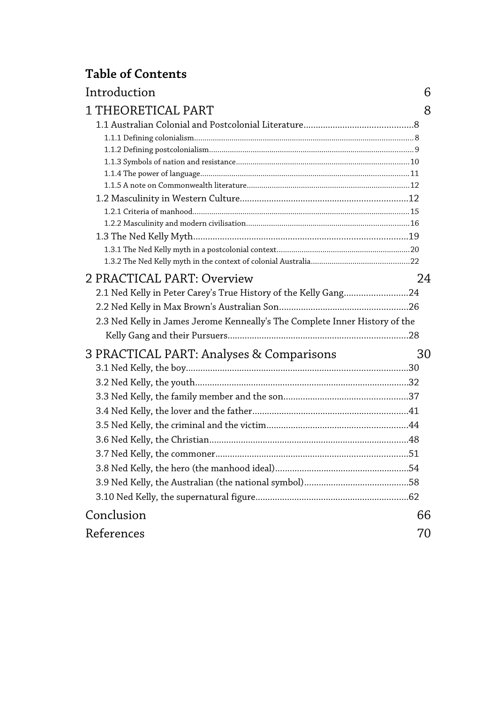# **Table of Contents**

| 6  |
|----|
| 8  |
|    |
|    |
|    |
|    |
|    |
|    |
|    |
|    |
|    |
|    |
|    |
| 24 |
|    |
|    |
|    |
|    |
| 30 |
|    |
|    |
|    |
|    |
|    |
|    |
|    |
|    |
|    |
|    |
| 66 |
| 70 |
|    |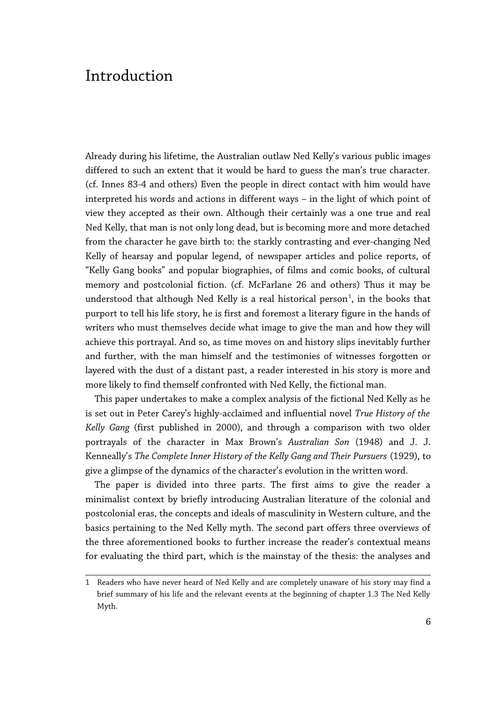## Introduction

Already during his lifetime, the Australian outlaw Ned Kelly's various public images differed to such an extent that it would be hard to guess the man's true character. (cf. Innes 83-4 and others) Even the people in direct contact with him would have interpreted his words and actions in different ways – in the light of which point of view they accepted as their own. Although their certainly was a one true and real Ned Kelly, that man is not only long dead, but is becoming more and more detached from the character he gave birth to: the starkly contrasting and ever-changing Ned Kelly of hearsay and popular legend, of newspaper articles and police reports, of "Kelly Gang books" and popular biographies, of films and comic books, of cultural memory and postcolonial fiction. (cf. McFarlane 26 and others) Thus it may be understood that although Ned Kelly is a real historical person $^1\!,\,$  $^1\!,\,$  $^1\!,\,$  in the books that purport to tell his life story, he is first and foremost a literary figure in the hands of writers who must themselves decide what image to give the man and how they will achieve this portrayal. And so, as time moves on and history slips inevitably further and further, with the man himself and the testimonies of witnesses forgotten or layered with the dust of a distant past, a reader interested in his story is more and more likely to find themself confronted with Ned Kelly, the fictional man.

This paper undertakes to make a complex analysis of the fictional Ned Kelly as he is set out in Peter Carey's highly-acclaimed and influential novel *True History of the Kelly Gang* (first published in 2000), and through a comparison with two older portrayals of the character in Max Brown's *Australian Son* (1948) and J. J. Kenneally's *The Complete Inner History of the Kelly Gang and Their Pursuers* (1929), to give a glimpse of the dynamics of the character's evolution in the written word.

The paper is divided into three parts. The first aims to give the reader a minimalist context by briefly introducing Australian literature of the colonial and postcolonial eras, the concepts and ideals of masculinity in Western culture, and the basics pertaining to the Ned Kelly myth. The second part offers three overviews of the three aforementioned books to further increase the reader's contextual means for evaluating the third part, which is the mainstay of the thesis: the analyses and

<span id="page-5-0"></span><sup>1</sup> Readers who have never heard of Ned Kelly and are completely unaware of his story may find a brief summary of his life and the relevant events at the beginning of chapter 1.3 The Ned Kelly Myth.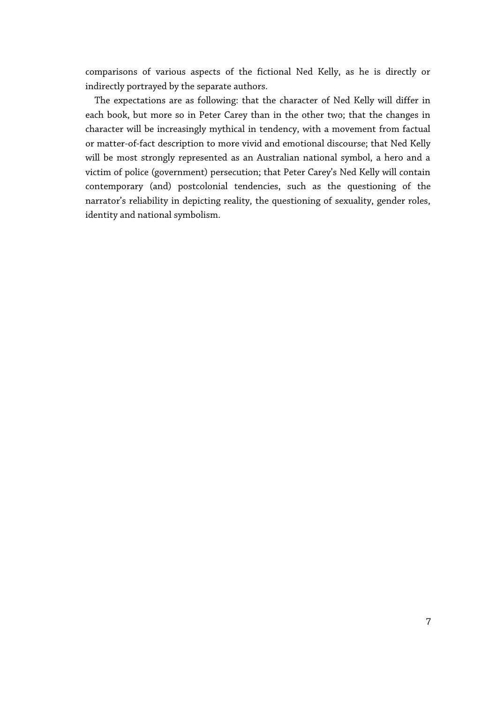comparisons of various aspects of the fictional Ned Kelly, as he is directly or indirectly portrayed by the separate authors.

The expectations are as following: that the character of Ned Kelly will differ in each book, but more so in Peter Carey than in the other two; that the changes in character will be increasingly mythical in tendency, with a movement from factual or matter-of-fact description to more vivid and emotional discourse; that Ned Kelly will be most strongly represented as an Australian national symbol, a hero and a victim of police (government) persecution; that Peter Carey's Ned Kelly will contain contemporary (and) postcolonial tendencies, such as the questioning of the narrator's reliability in depicting reality, the questioning of sexuality, gender roles, identity and national symbolism.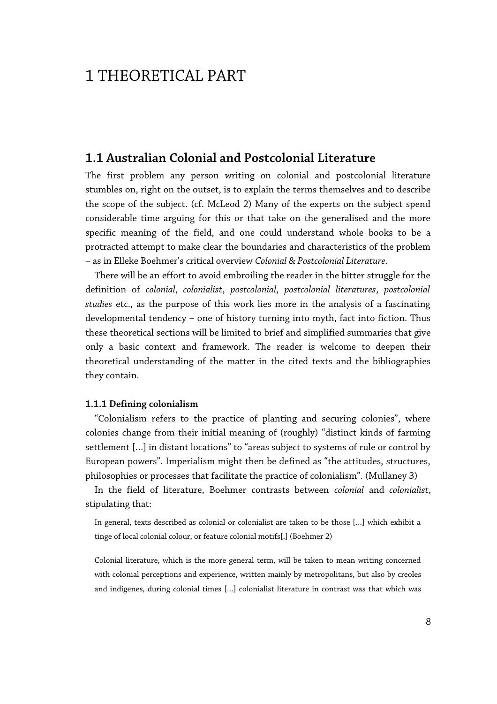## 1 THEORETICAL PART

### **1.1 Australian Colonial and Postcolonial Literature**

The first problem any person writing on colonial and postcolonial literature stumbles on, right on the outset, is to explain the terms themselves and to describe the scope of the subject. (cf. McLeod 2) Many of the experts on the subject spend considerable time arguing for this or that take on the generalised and the more specific meaning of the field, and one could understand whole books to be a protracted attempt to make clear the boundaries and characteristics of the problem – as in Elleke Boehmer's critical overview *Colonial & Postcolonial Literature*.

There will be an effort to avoid embroiling the reader in the bitter struggle for the definition of *colonial*, *colonialist*, *postcolonial*, *postcolonial literatures*, *postcolonial studies* etc., as the purpose of this work lies more in the analysis of a fascinating developmental tendency – one of history turning into myth, fact into fiction. Thus these theoretical sections will be limited to brief and simplified summaries that give only a basic context and framework. The reader is welcome to deepen their theoretical understanding of the matter in the cited texts and the bibliographies they contain.

#### **1.1.1 Defining colonialism**

"Colonialism refers to the practice of planting and securing colonies", where colonies change from their initial meaning of (roughly) "distinct kinds of farming settlement […] in distant locations" to "areas subject to systems of rule or control by European powers". Imperialism might then be defined as "the attitudes, structures, philosophies or processes that facilitate the practice of colonialism". (Mullaney 3)

In the field of literature, Boehmer contrasts between *colonial* and *colonialist*, stipulating that:

In general, texts described as colonial or colonialist are taken to be those […] which exhibit a tinge of local colonial colour, or feature colonial motifs[.] (Boehmer 2)

Colonial literature, which is the more general term, will be taken to mean writing concerned with colonial perceptions and experience, written mainly by metropolitans, but also by creoles and indigenes, during colonial times […] colonialist literature in contrast was that which was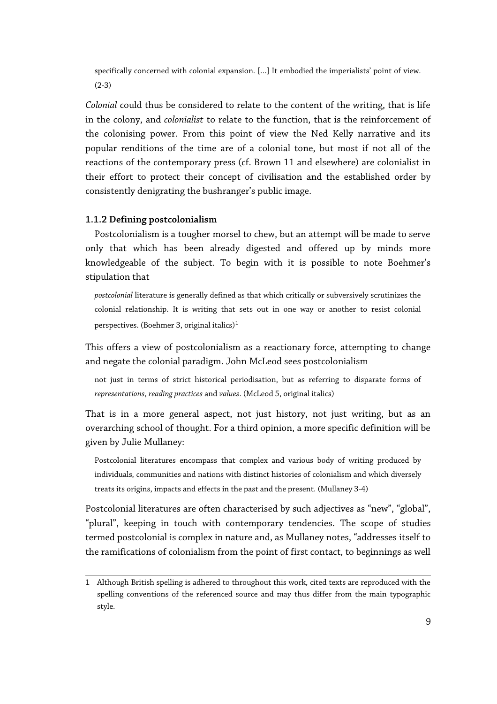specifically concerned with colonial expansion. […] It embodied the imperialists' point of view. (2-3)

*Colonial* could thus be considered to relate to the content of the writing, that is life in the colony, and *colonialist* to relate to the function, that is the reinforcement of the colonising power. From this point of view the Ned Kelly narrative and its popular renditions of the time are of a colonial tone, but most if not all of the reactions of the contemporary press (cf. Brown 11 and elsewhere) are colonialist in their effort to protect their concept of civilisation and the established order by consistently denigrating the bushranger's public image.

#### **1.1.2 Defining postcolonialism**

Postcolonialism is a tougher morsel to chew, but an attempt will be made to serve only that which has been already digested and offered up by minds more knowledgeable of the subject. To begin with it is possible to note Boehmer's stipulation that

*postcolonial* literature is generally defined as that which critically or subversively scrutinizes the colonial relationship. It is writing that sets out in one way or another to resist colonial perspectives. (Boehmer 3, original italics) $1$ 

This offers a view of postcolonialism as a reactionary force, attempting to change and negate the colonial paradigm. John McLeod sees postcolonialism

not just in terms of strict historical periodisation, but as referring to disparate forms of *representations*, *reading practices* and *values*. (McLeod 5, original italics)

That is in a more general aspect, not just history, not just writing, but as an overarching school of thought. For a third opinion, a more specific definition will be given by Julie Mullaney:

Postcolonial literatures encompass that complex and various body of writing produced by individuals, communities and nations with distinct histories of colonialism and which diversely treats its origins, impacts and effects in the past and the present. (Mullaney 3-4)

Postcolonial literatures are often characterised by such adjectives as "new", "global", "plural", keeping in touch with contemporary tendencies. The scope of studies termed postcolonial is complex in nature and, as Mullaney notes, "addresses itself to the ramifications of colonialism from the point of first contact, to beginnings as well

<span id="page-8-0"></span><sup>1</sup> Although British spelling is adhered to throughout this work, cited texts are reproduced with the spelling conventions of the referenced source and may thus differ from the main typographic style.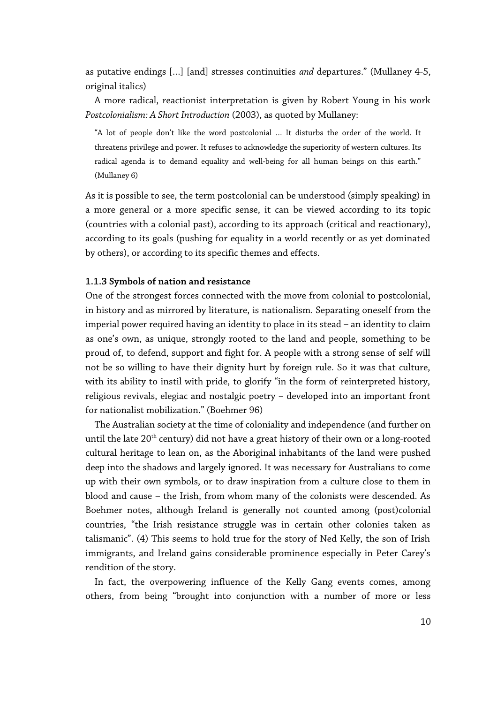as putative endings […] [and] stresses continuities *and* departures." (Mullaney 4-5, original italics)

A more radical, reactionist interpretation is given by Robert Young in his work *Postcolonialism: A Short Introduction* (2003), as quoted by Mullaney:

"A lot of people don't like the word postcolonial … It disturbs the order of the world. It threatens privilege and power. It refuses to acknowledge the superiority of western cultures. Its radical agenda is to demand equality and well-being for all human beings on this earth." (Mullaney 6)

As it is possible to see, the term postcolonial can be understood (simply speaking) in a more general or a more specific sense, it can be viewed according to its topic (countries with a colonial past), according to its approach (critical and reactionary), according to its goals (pushing for equality in a world recently or as yet dominated by others), or according to its specific themes and effects.

#### **1.1.3 Symbols of nation and resistance**

One of the strongest forces connected with the move from colonial to postcolonial, in history and as mirrored by literature, is nationalism. Separating oneself from the imperial power required having an identity to place in its stead – an identity to claim as one's own, as unique, strongly rooted to the land and people, something to be proud of, to defend, support and fight for. A people with a strong sense of self will not be so willing to have their dignity hurt by foreign rule. So it was that culture, with its ability to instil with pride, to glorify "in the form of reinterpreted history, religious revivals, elegiac and nostalgic poetry – developed into an important front for nationalist mobilization." (Boehmer 96)

The Australian society at the time of coloniality and independence (and further on until the late 20<sup>th</sup> century) did not have a great history of their own or a long-rooted cultural heritage to lean on, as the Aboriginal inhabitants of the land were pushed deep into the shadows and largely ignored. It was necessary for Australians to come up with their own symbols, or to draw inspiration from a culture close to them in blood and cause – the Irish, from whom many of the colonists were descended. As Boehmer notes, although Ireland is generally not counted among (post)colonial countries, "the Irish resistance struggle was in certain other colonies taken as talismanic". (4) This seems to hold true for the story of Ned Kelly, the son of Irish immigrants, and Ireland gains considerable prominence especially in Peter Carey's rendition of the story.

In fact, the overpowering influence of the Kelly Gang events comes, among others, from being "brought into conjunction with a number of more or less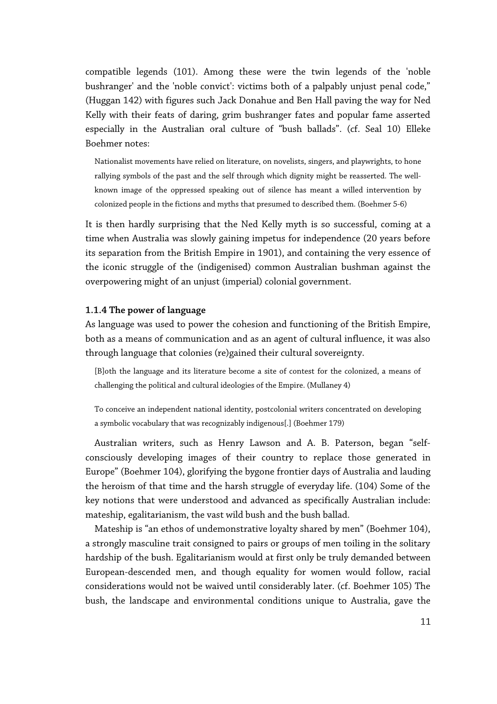compatible legends (101). Among these were the twin legends of the 'noble bushranger' and the 'noble convict': victims both of a palpably unjust penal code," (Huggan 142) with figures such Jack Donahue and Ben Hall paving the way for Ned Kelly with their feats of daring, grim bushranger fates and popular fame asserted especially in the Australian oral culture of "bush ballads". (cf. Seal 10) Elleke Boehmer notes:

Nationalist movements have relied on literature, on novelists, singers, and playwrights, to hone rallying symbols of the past and the self through which dignity might be reasserted. The wellknown image of the oppressed speaking out of silence has meant a willed intervention by colonized people in the fictions and myths that presumed to described them. (Boehmer 5-6)

It is then hardly surprising that the Ned Kelly myth is so successful, coming at a time when Australia was slowly gaining impetus for independence (20 years before its separation from the British Empire in 1901), and containing the very essence of the iconic struggle of the (indigenised) common Australian bushman against the overpowering might of an unjust (imperial) colonial government.

#### **1.1.4 The power of language**

As language was used to power the cohesion and functioning of the British Empire, both as a means of communication and as an agent of cultural influence, it was also through language that colonies (re)gained their cultural sovereignty.

[B]oth the language and its literature become a site of contest for the colonized, a means of challenging the political and cultural ideologies of the Empire. (Mullaney 4)

To conceive an independent national identity, postcolonial writers concentrated on developing a symbolic vocabulary that was recognizably indigenous[.] (Boehmer 179)

Australian writers, such as Henry Lawson and A. B. Paterson, began "selfconsciously developing images of their country to replace those generated in Europe" (Boehmer 104), glorifying the bygone frontier days of Australia and lauding the heroism of that time and the harsh struggle of everyday life. (104) Some of the key notions that were understood and advanced as specifically Australian include: mateship, egalitarianism, the vast wild bush and the bush ballad.

Mateship is "an ethos of undemonstrative loyalty shared by men" (Boehmer 104), a strongly masculine trait consigned to pairs or groups of men toiling in the solitary hardship of the bush. Egalitarianism would at first only be truly demanded between European-descended men, and though equality for women would follow, racial considerations would not be waived until considerably later. (cf. Boehmer 105) The bush, the landscape and environmental conditions unique to Australia, gave the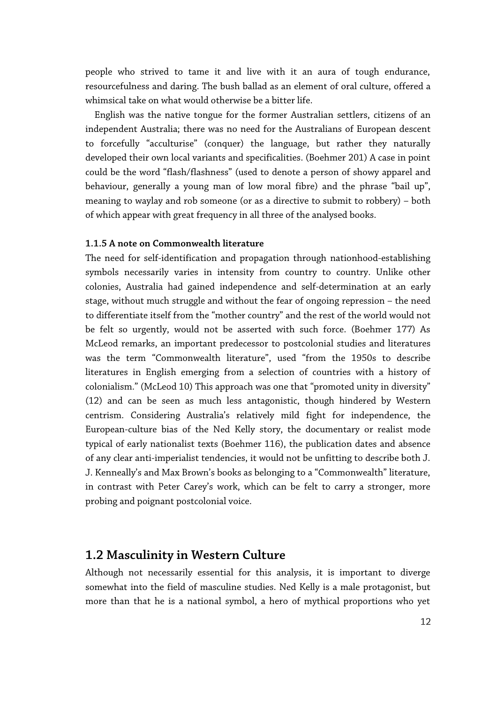people who strived to tame it and live with it an aura of tough endurance, resourcefulness and daring. The bush ballad as an element of oral culture, offered a whimsical take on what would otherwise be a bitter life.

English was the native tongue for the former Australian settlers, citizens of an independent Australia; there was no need for the Australians of European descent to forcefully "acculturise" (conquer) the language, but rather they naturally developed their own local variants and specificalities. (Boehmer 201) A case in point could be the word "flash/flashness" (used to denote a person of showy apparel and behaviour, generally a young man of low moral fibre) and the phrase "bail up", meaning to waylay and rob someone (or as a directive to submit to robbery) – both of which appear with great frequency in all three of the analysed books.

#### **1.1.5 A note on Commonwealth literature**

The need for self-identification and propagation through nationhood-establishing symbols necessarily varies in intensity from country to country. Unlike other colonies, Australia had gained independence and self-determination at an early stage, without much struggle and without the fear of ongoing repression – the need to differentiate itself from the "mother country" and the rest of the world would not be felt so urgently, would not be asserted with such force. (Boehmer 177) As McLeod remarks, an important predecessor to postcolonial studies and literatures was the term "Commonwealth literature", used "from the 1950s to describe literatures in English emerging from a selection of countries with a history of colonialism." (McLeod 10) This approach was one that "promoted unity in diversity" (12) and can be seen as much less antagonistic, though hindered by Western centrism. Considering Australia's relatively mild fight for independence, the European-culture bias of the Ned Kelly story, the documentary or realist mode typical of early nationalist texts (Boehmer 116), the publication dates and absence of any clear anti-imperialist tendencies, it would not be unfitting to describe both J. J. Kenneally's and Max Brown's books as belonging to a "Commonwealth" literature, in contrast with Peter Carey's work, which can be felt to carry a stronger, more probing and poignant postcolonial voice.

### **1.2 Masculinity in Western Culture**

Although not necessarily essential for this analysis, it is important to diverge somewhat into the field of masculine studies. Ned Kelly is a male protagonist, but more than that he is a national symbol, a hero of mythical proportions who yet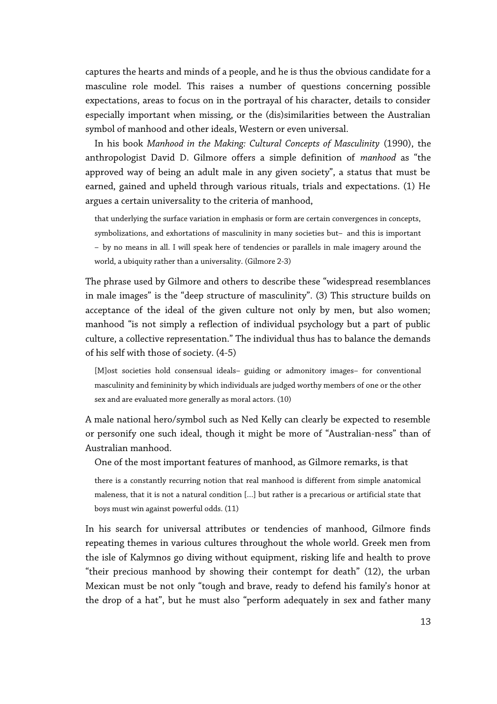captures the hearts and minds of a people, and he is thus the obvious candidate for a masculine role model. This raises a number of questions concerning possible expectations, areas to focus on in the portrayal of his character, details to consider especially important when missing, or the (dis)similarities between the Australian symbol of manhood and other ideals, Western or even universal.

In his book *Manhood in the Making: Cultural Concepts of Masculinity* (1990), the anthropologist David D. Gilmore offers a simple definition of *manhood* as "the approved way of being an adult male in any given society", a status that must be earned, gained and upheld through various rituals, trials and expectations. (1) He argues a certain universality to the criteria of manhood,

that underlying the surface variation in emphasis or form are certain convergences in concepts, symbolizations, and exhortations of masculinity in many societies but—and this is important —by no means in all. I will speak here of tendencies or parallels in male imagery around the world, a ubiquity rather than a universality. (Gilmore 2-3)

The phrase used by Gilmore and others to describe these "widespread resemblances in male images" is the "deep structure of masculinity". (3) This structure builds on acceptance of the ideal of the given culture not only by men, but also women; manhood "is not simply a reflection of individual psychology but a part of public culture, a collective representation." The individual thus has to balance the demands of his self with those of society. (4-5)

[M]ost societies hold consensual ideals—guiding or admonitory images—for conventional masculinity and femininity by which individuals are judged worthy members of one or the other sex and are evaluated more generally as moral actors. (10)

A male national hero/symbol such as Ned Kelly can clearly be expected to resemble or personify one such ideal, though it might be more of "Australian-ness" than of Australian manhood.

One of the most important features of manhood, as Gilmore remarks, is that

there is a constantly recurring notion that real manhood is different from simple anatomical maleness, that it is not a natural condition […] but rather is a precarious or artificial state that boys must win against powerful odds. (11)

In his search for universal attributes or tendencies of manhood, Gilmore finds repeating themes in various cultures throughout the whole world. Greek men from the isle of Kalymnos go diving without equipment, risking life and health to prove "their precious manhood by showing their contempt for death" (12), the urban Mexican must be not only "tough and brave, ready to defend his family's honor at the drop of a hat", but he must also "perform adequately in sex and father many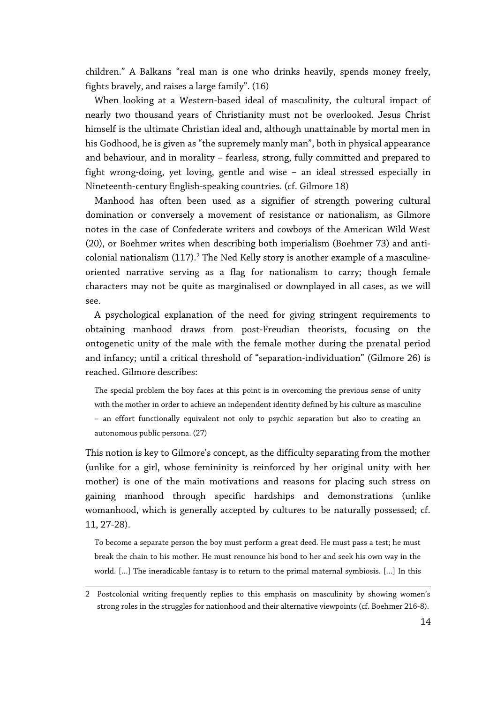children." A Balkans "real man is one who drinks heavily, spends money freely, fights bravely, and raises a large family". (16)

When looking at a Western-based ideal of masculinity, the cultural impact of nearly two thousand years of Christianity must not be overlooked. Jesus Christ himself is the ultimate Christian ideal and, although unattainable by mortal men in his Godhood, he is given as "the supremely manly man", both in physical appearance and behaviour, and in morality – fearless, strong, fully committed and prepared to fight wrong-doing, yet loving, gentle and wise – an ideal stressed especially in Nineteenth-century English-speaking countries. (cf. Gilmore 18)

Manhood has often been used as a signifier of strength powering cultural domination or conversely a movement of resistance or nationalism, as Gilmore notes in the case of Confederate writers and cowboys of the American Wild West (20), or Boehmer writes when describing both imperialism (Boehmer 73) and anticolonial nationalism  $(117).<sup>2</sup>$  $(117).<sup>2</sup>$  $(117).<sup>2</sup>$  The Ned Kelly story is another example of a masculineoriented narrative serving as a flag for nationalism to carry; though female characters may not be quite as marginalised or downplayed in all cases, as we will see.

A psychological explanation of the need for giving stringent requirements to obtaining manhood draws from post-Freudian theorists, focusing on the ontogenetic unity of the male with the female mother during the prenatal period and infancy; until a critical threshold of "separation-individuation" (Gilmore 26) is reached. Gilmore describes:

The special problem the boy faces at this point is in overcoming the previous sense of unity with the mother in order to achieve an independent identity defined by his culture as masculine —an effort functionally equivalent not only to psychic separation but also to creating an autonomous public persona. (27)

This notion is key to Gilmore's concept, as the difficulty separating from the mother (unlike for a girl, whose femininity is reinforced by her original unity with her mother) is one of the main motivations and reasons for placing such stress on gaining manhood through specific hardships and demonstrations (unlike womanhood, which is generally accepted by cultures to be naturally possessed; cf. 11, 27-28).

To become a separate person the boy must perform a great deed. He must pass a test; he must break the chain to his mother. He must renounce his bond to her and seek his own way in the world. […] The ineradicable fantasy is to return to the primal maternal symbiosis. […] In this

<span id="page-13-0"></span><sup>2</sup> Postcolonial writing frequently replies to this emphasis on masculinity by showing women's strong roles in the struggles for nationhood and their alternative viewpoints (cf. Boehmer 216-8).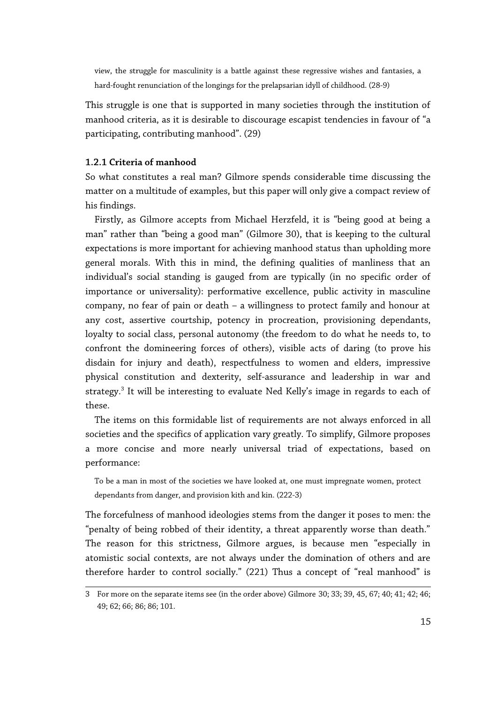view, the struggle for masculinity is a battle against these regressive wishes and fantasies, a hard-fought renunciation of the longings for the prelapsarian idyll of childhood. (28-9)

This struggle is one that is supported in many societies through the institution of manhood criteria, as it is desirable to discourage escapist tendencies in favour of "a participating, contributing manhood". (29)

#### **1.2.1 Criteria of manhood**

So what constitutes a real man? Gilmore spends considerable time discussing the matter on a multitude of examples, but this paper will only give a compact review of his findings.

Firstly, as Gilmore accepts from Michael Herzfeld, it is "being good at being a man" rather than "being a good man" (Gilmore 30), that is keeping to the cultural expectations is more important for achieving manhood status than upholding more general morals. With this in mind, the defining qualities of manliness that an individual's social standing is gauged from are typically (in no specific order of importance or universality): performative excellence, public activity in masculine company, no fear of pain or death – a willingness to protect family and honour at any cost, assertive courtship, potency in procreation, provisioning dependants, loyalty to social class, personal autonomy (the freedom to do what he needs to, to confront the domineering forces of others), visible acts of daring (to prove his disdain for injury and death), respectfulness to women and elders, impressive physical constitution and dexterity, self-assurance and leadership in war and strategy.<sup>[3](#page-14-0)</sup> It will be interesting to evaluate Ned Kelly's image in regards to each of these.

The items on this formidable list of requirements are not always enforced in all societies and the specifics of application vary greatly. To simplify, Gilmore proposes a more concise and more nearly universal triad of expectations, based on performance:

To be a man in most of the societies we have looked at, one must impregnate women, protect dependants from danger, and provision kith and kin. (222-3)

The forcefulness of manhood ideologies stems from the danger it poses to men: the "penalty of being robbed of their identity, a threat apparently worse than death." The reason for this strictness, Gilmore argues, is because men "especially in atomistic social contexts, are not always under the domination of others and are therefore harder to control socially." (221) Thus a concept of "real manhood" is

<span id="page-14-0"></span><sup>3</sup> For more on the separate items see (in the order above) Gilmore 30; 33; 39, 45, 67; 40; 41; 42; 46; 49; 62; 66; 86; 86; 101.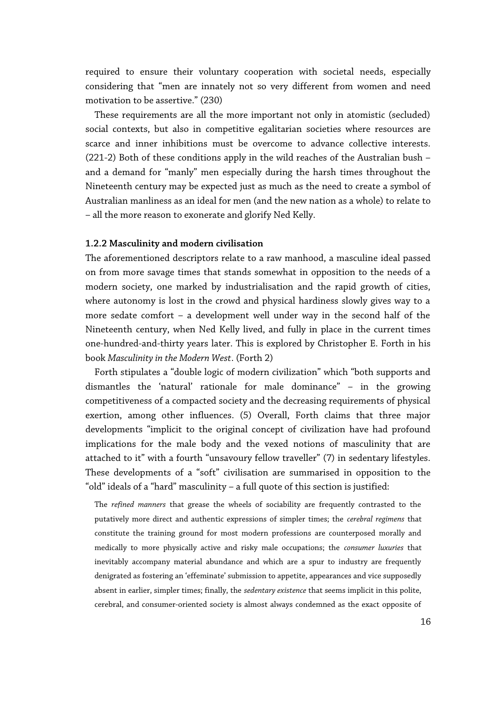required to ensure their voluntary cooperation with societal needs, especially considering that "men are innately not so very different from women and need motivation to be assertive." (230)

These requirements are all the more important not only in atomistic (secluded) social contexts, but also in competitive egalitarian societies where resources are scarce and inner inhibitions must be overcome to advance collective interests. (221-2) Both of these conditions apply in the wild reaches of the Australian bush – and a demand for "manly" men especially during the harsh times throughout the Nineteenth century may be expected just as much as the need to create a symbol of Australian manliness as an ideal for men (and the new nation as a whole) to relate to – all the more reason to exonerate and glorify Ned Kelly.

#### **1.2.2 Masculinity and modern civilisation**

The aforementioned descriptors relate to a raw manhood, a masculine ideal passed on from more savage times that stands somewhat in opposition to the needs of a modern society, one marked by industrialisation and the rapid growth of cities, where autonomy is lost in the crowd and physical hardiness slowly gives way to a more sedate comfort – a development well under way in the second half of the Nineteenth century, when Ned Kelly lived, and fully in place in the current times one-hundred-and-thirty years later. This is explored by Christopher E. Forth in his book *Masculinity in the Modern West*. (Forth 2)

Forth stipulates a "double logic of modern civilization" which "both supports and dismantles the 'natural' rationale for male dominance" – in the growing competitiveness of a compacted society and the decreasing requirements of physical exertion, among other influences. (5) Overall, Forth claims that three major developments "implicit to the original concept of civilization have had profound implications for the male body and the vexed notions of masculinity that are attached to it" with a fourth "unsavoury fellow traveller" (7) in sedentary lifestyles. These developments of a "soft" civilisation are summarised in opposition to the "old" ideals of a "hard" masculinity – a full quote of this section is justified:

The *refined manners* that grease the wheels of sociability are frequently contrasted to the putatively more direct and authentic expressions of simpler times; the *cerebral regimens* that constitute the training ground for most modern professions are counterposed morally and medically to more physically active and risky male occupations; the *consumer luxuries* that inevitably accompany material abundance and which are a spur to industry are frequently denigrated as fostering an 'effeminate' submission to appetite, appearances and vice supposedly absent in earlier, simpler times; finally, the *sedentary existence* that seems implicit in this polite, cerebral, and consumer-oriented society is almost always condemned as the exact opposite of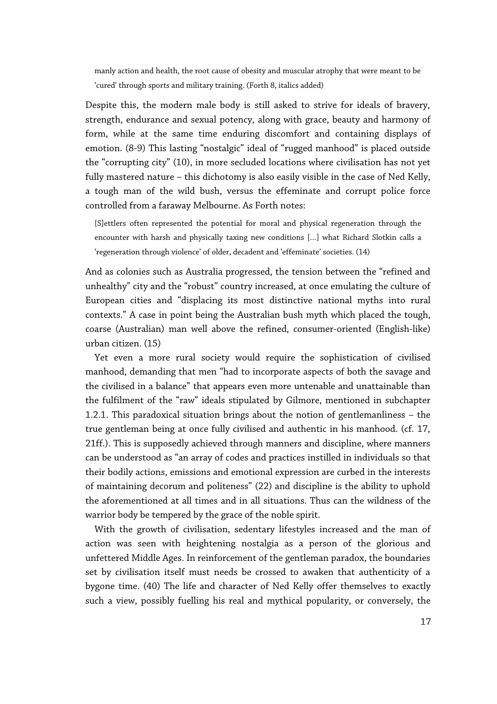manly action and health, the root cause of obesity and muscular atrophy that were meant to be 'cured' through sports and military training. (Forth 8, italics added)

Despite this, the modern male body is still asked to strive for ideals of bravery, strength, endurance and sexual potency, along with grace, beauty and harmony of form, while at the same time enduring discomfort and containing displays of emotion. (8-9) This lasting "nostalgic" ideal of "rugged manhood" is placed outside the "corrupting city" (10), in more secluded locations where civilisation has not yet fully mastered nature – this dichotomy is also easily visible in the case of Ned Kelly, a tough man of the wild bush, versus the effeminate and corrupt police force controlled from a faraway Melbourne. As Forth notes:

[S]ettlers often represented the potential for moral and physical regeneration through the encounter with harsh and physically taxing new conditions […] what Richard Slotkin calls a 'regeneration through violence' of older, decadent and 'effeminate' societies. (14)

And as colonies such as Australia progressed, the tension between the "refined and unhealthy" city and the "robust" country increased, at once emulating the culture of European cities and "displacing its most distinctive national myths into rural contexts." A case in point being the Australian bush myth which placed the tough, coarse (Australian) man well above the refined, consumer-oriented (English-like) urban citizen. (15)

Yet even a more rural society would require the sophistication of civilised manhood, demanding that men "had to incorporate aspects of both the savage and the civilised in a balance" that appears even more untenable and unattainable than the fulfilment of the "raw" ideals stipulated by Gilmore, mentioned in subchapter 1.2.1. This paradoxical situation brings about the notion of gentlemanliness – the true gentleman being at once fully civilised and authentic in his manhood. (cf. 17, 21ff.). This is supposedly achieved through manners and discipline, where manners can be understood as "an array of codes and practices instilled in individuals so that their bodily actions, emissions and emotional expression are curbed in the interests of maintaining decorum and politeness" (22) and discipline is the ability to uphold the aforementioned at all times and in all situations. Thus can the wildness of the warrior body be tempered by the grace of the noble spirit.

With the growth of civilisation, sedentary lifestyles increased and the man of action was seen with heightening nostalgia as a person of the glorious and unfettered Middle Ages. In reinforcement of the gentleman paradox, the boundaries set by civilisation itself must needs be crossed to awaken that authenticity of a bygone time. (40) The life and character of Ned Kelly offer themselves to exactly such a view, possibly fuelling his real and mythical popularity, or conversely, the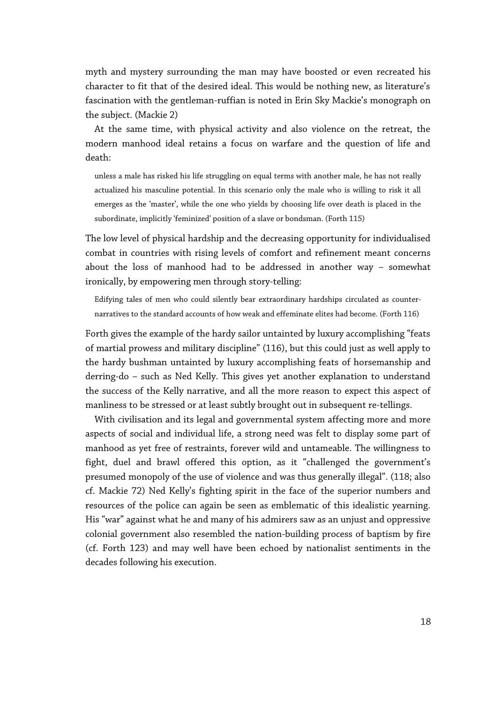myth and mystery surrounding the man may have boosted or even recreated his character to fit that of the desired ideal. This would be nothing new, as literature's fascination with the gentleman-ruffian is noted in Erin Sky Mackie's monograph on the subject. (Mackie 2)

At the same time, with physical activity and also violence on the retreat, the modern manhood ideal retains a focus on warfare and the question of life and death:

unless a male has risked his life struggling on equal terms with another male, he has not really actualized his masculine potential. In this scenario only the male who is willing to risk it all emerges as the 'master', while the one who yields by choosing life over death is placed in the subordinate, implicitly 'feminized' position of a slave or bondsman. (Forth 115)

The low level of physical hardship and the decreasing opportunity for individualised combat in countries with rising levels of comfort and refinement meant concerns about the loss of manhood had to be addressed in another way – somewhat ironically, by empowering men through story-telling:

Edifying tales of men who could silently bear extraordinary hardships circulated as counternarratives to the standard accounts of how weak and effeminate elites had become. (Forth 116)

Forth gives the example of the hardy sailor untainted by luxury accomplishing "feats of martial prowess and military discipline" (116), but this could just as well apply to the hardy bushman untainted by luxury accomplishing feats of horsemanship and derring-do – such as Ned Kelly. This gives yet another explanation to understand the success of the Kelly narrative, and all the more reason to expect this aspect of manliness to be stressed or at least subtly brought out in subsequent re-tellings.

With civilisation and its legal and governmental system affecting more and more aspects of social and individual life, a strong need was felt to display some part of manhood as yet free of restraints, forever wild and untameable. The willingness to fight, duel and brawl offered this option, as it "challenged the government's presumed monopoly of the use of violence and was thus generally illegal". (118; also cf. Mackie 72) Ned Kelly's fighting spirit in the face of the superior numbers and resources of the police can again be seen as emblematic of this idealistic yearning. His "war" against what he and many of his admirers saw as an unjust and oppressive colonial government also resembled the nation-building process of baptism by fire (cf. Forth 123) and may well have been echoed by nationalist sentiments in the decades following his execution.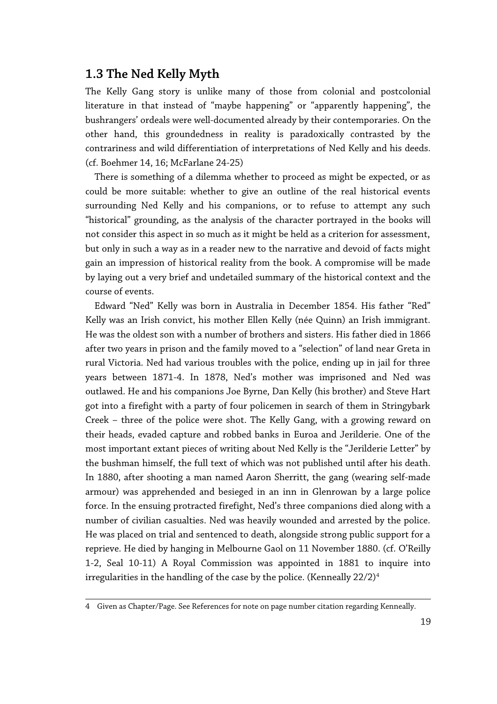## **1.3 The Ned Kelly Myth**

The Kelly Gang story is unlike many of those from colonial and postcolonial literature in that instead of "maybe happening" or "apparently happening", the bushrangers' ordeals were well-documented already by their contemporaries. On the other hand, this groundedness in reality is paradoxically contrasted by the contrariness and wild differentiation of interpretations of Ned Kelly and his deeds. (cf. Boehmer 14, 16; McFarlane 24-25)

There is something of a dilemma whether to proceed as might be expected, or as could be more suitable: whether to give an outline of the real historical events surrounding Ned Kelly and his companions, or to refuse to attempt any such "historical" grounding, as the analysis of the character portrayed in the books will not consider this aspect in so much as it might be held as a criterion for assessment, but only in such a way as in a reader new to the narrative and devoid of facts might gain an impression of historical reality from the book. A compromise will be made by laying out a very brief and undetailed summary of the historical context and the course of events.

Edward "Ned" Kelly was born in Australia in December 1854. His father "Red" Kelly was an Irish convict, his mother Ellen Kelly (née Quinn) an Irish immigrant. He was the oldest son with a number of brothers and sisters. His father died in 1866 after two years in prison and the family moved to a "selection" of land near Greta in rural Victoria. Ned had various troubles with the police, ending up in jail for three years between 1871-4. In 1878, Ned's mother was imprisoned and Ned was outlawed. He and his companions Joe Byrne, Dan Kelly (his brother) and Steve Hart got into a firefight with a party of four policemen in search of them in Stringybark Creek – three of the police were shot. The Kelly Gang, with a growing reward on their heads, evaded capture and robbed banks in Euroa and Jerilderie. One of the most important extant pieces of writing about Ned Kelly is the "Jerilderie Letter" by the bushman himself, the full text of which was not published until after his death. In 1880, after shooting a man named Aaron Sherritt, the gang (wearing self-made armour) was apprehended and besieged in an inn in Glenrowan by a large police force. In the ensuing protracted firefight, Ned's three companions died along with a number of civilian casualties. Ned was heavily wounded and arrested by the police. He was placed on trial and sentenced to death, alongside strong public support for a reprieve. He died by hanging in Melbourne Gaol on 11 November 1880. (cf. O'Reilly 1-2, Seal 10-11) A Royal Commission was appointed in 1881 to inquire into irregularities in the handling of the case by the police. (Kenneally  $22/2)^4$  $22/2)^4$ 

<span id="page-18-0"></span><sup>4</sup> Given as Chapter/Page. See References for note on page number citation regarding Kenneally.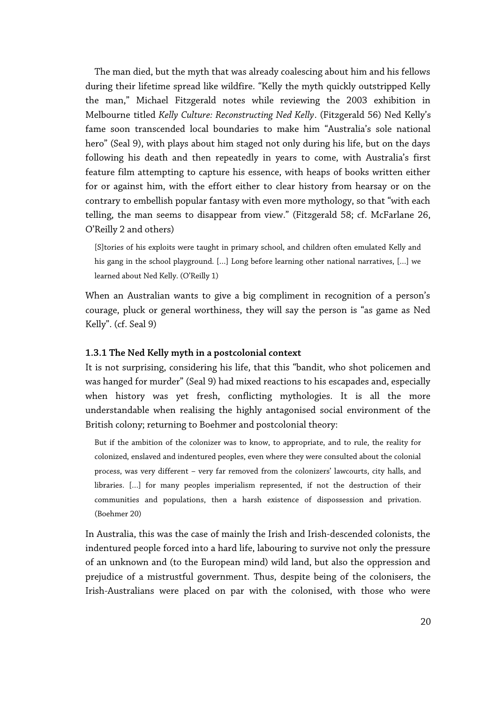The man died, but the myth that was already coalescing about him and his fellows during their lifetime spread like wildfire. "Kelly the myth quickly outstripped Kelly the man," Michael Fitzgerald notes while reviewing the 2003 exhibition in Melbourne titled *Kelly Culture: Reconstructing Ned Kelly*. (Fitzgerald 56) Ned Kelly's fame soon transcended local boundaries to make him "Australia's sole national hero" (Seal 9), with plays about him staged not only during his life, but on the days following his death and then repeatedly in years to come, with Australia's first feature film attempting to capture his essence, with heaps of books written either for or against him, with the effort either to clear history from hearsay or on the contrary to embellish popular fantasy with even more mythology, so that "with each telling, the man seems to disappear from view." (Fitzgerald 58; cf. McFarlane 26, O'Reilly 2 and others)

[S]tories of his exploits were taught in primary school, and children often emulated Kelly and his gang in the school playground. […] Long before learning other national narratives, […] we learned about Ned Kelly. (O'Reilly 1)

When an Australian wants to give a big compliment in recognition of a person's courage, pluck or general worthiness, they will say the person is "as game as Ned Kelly". (cf. Seal 9)

#### **1.3.1 The Ned Kelly myth in a postcolonial context**

It is not surprising, considering his life, that this "bandit, who shot policemen and was hanged for murder" (Seal 9) had mixed reactions to his escapades and, especially when history was yet fresh, conflicting mythologies. It is all the more understandable when realising the highly antagonised social environment of the British colony; returning to Boehmer and postcolonial theory:

But if the ambition of the colonizer was to know, to appropriate, and to rule, the reality for colonized, enslaved and indentured peoples, even where they were consulted about the colonial process, was very different – very far removed from the colonizers' lawcourts, city halls, and libraries. […] for many peoples imperialism represented, if not the destruction of their communities and populations, then a harsh existence of dispossession and privation. (Boehmer 20)

In Australia, this was the case of mainly the Irish and Irish-descended colonists, the indentured people forced into a hard life, labouring to survive not only the pressure of an unknown and (to the European mind) wild land, but also the oppression and prejudice of a mistrustful government. Thus, despite being of the colonisers, the Irish-Australians were placed on par with the colonised, with those who were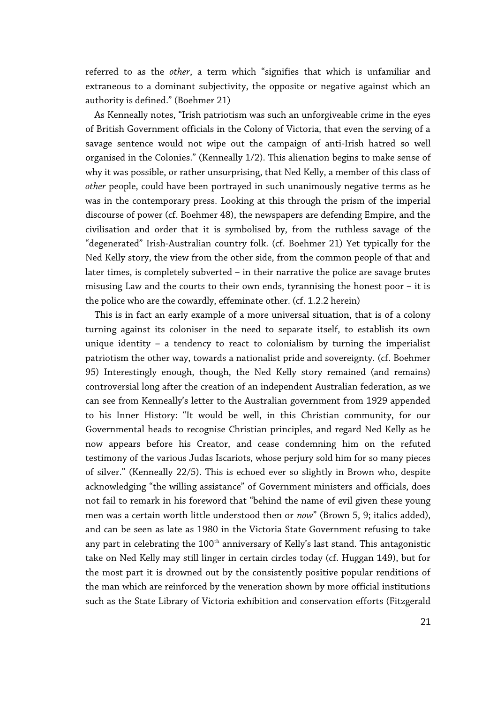referred to as the *other*, a term which "signifies that which is unfamiliar and extraneous to a dominant subjectivity, the opposite or negative against which an authority is defined." (Boehmer 21)

As Kenneally notes, "Irish patriotism was such an unforgiveable crime in the eyes of British Government officials in the Colony of Victoria, that even the serving of a savage sentence would not wipe out the campaign of anti-Irish hatred so well organised in the Colonies." (Kenneally 1/2). This alienation begins to make sense of why it was possible, or rather unsurprising, that Ned Kelly, a member of this class of *other* people, could have been portrayed in such unanimously negative terms as he was in the contemporary press. Looking at this through the prism of the imperial discourse of power (cf. Boehmer 48), the newspapers are defending Empire, and the civilisation and order that it is symbolised by, from the ruthless savage of the "degenerated" Irish-Australian country folk. (cf. Boehmer 21) Yet typically for the Ned Kelly story, the view from the other side, from the common people of that and later times, is completely subverted – in their narrative the police are savage brutes misusing Law and the courts to their own ends, tyrannising the honest poor – it is the police who are the cowardly, effeminate other. (cf. 1.2.2 herein)

This is in fact an early example of a more universal situation, that is of a colony turning against its coloniser in the need to separate itself, to establish its own unique identity – a tendency to react to colonialism by turning the imperialist patriotism the other way, towards a nationalist pride and sovereignty. (cf. Boehmer 95) Interestingly enough, though, the Ned Kelly story remained (and remains) controversial long after the creation of an independent Australian federation, as we can see from Kenneally's letter to the Australian government from 1929 appended to his Inner History: "It would be well, in this Christian community, for our Governmental heads to recognise Christian principles, and regard Ned Kelly as he now appears before his Creator, and cease condemning him on the refuted testimony of the various Judas Iscariots, whose perjury sold him for so many pieces of silver." (Kenneally 22/5). This is echoed ever so slightly in Brown who, despite acknowledging "the willing assistance" of Government ministers and officials, does not fail to remark in his foreword that "behind the name of evil given these young men was a certain worth little understood then or *now*" (Brown 5, 9; italics added), and can be seen as late as 1980 in the Victoria State Government refusing to take any part in celebrating the  $100<sup>th</sup>$  anniversary of Kelly's last stand. This antagonistic take on Ned Kelly may still linger in certain circles today (cf. Huggan 149), but for the most part it is drowned out by the consistently positive popular renditions of the man which are reinforced by the veneration shown by more official institutions such as the State Library of Victoria exhibition and conservation efforts (Fitzgerald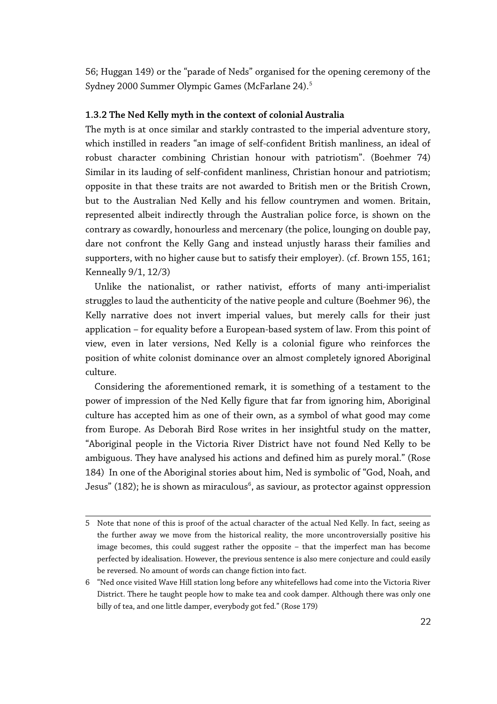56; Huggan 149) or the "parade of Neds" organised for the opening ceremony of the Sydney 2000 Summer Olympic Games (McFarlane 24).[5](#page-21-0)

#### **1.3.2 The Ned Kelly myth in the context of colonial Australia**

The myth is at once similar and starkly contrasted to the imperial adventure story, which instilled in readers "an image of self-confident British manliness, an ideal of robust character combining Christian honour with patriotism". (Boehmer 74) Similar in its lauding of self-confident manliness, Christian honour and patriotism; opposite in that these traits are not awarded to British men or the British Crown, but to the Australian Ned Kelly and his fellow countrymen and women. Britain, represented albeit indirectly through the Australian police force, is shown on the contrary as cowardly, honourless and mercenary (the police, lounging on double pay, dare not confront the Kelly Gang and instead unjustly harass their families and supporters, with no higher cause but to satisfy their employer). (cf. Brown 155, 161; Kenneally 9/1, 12/3)

Unlike the nationalist, or rather nativist, efforts of many anti-imperialist struggles to laud the authenticity of the native people and culture (Boehmer 96), the Kelly narrative does not invert imperial values, but merely calls for their just application – for equality before a European-based system of law. From this point of view, even in later versions, Ned Kelly is a colonial figure who reinforces the position of white colonist dominance over an almost completely ignored Aboriginal culture.

Considering the aforementioned remark, it is something of a testament to the power of impression of the Ned Kelly figure that far from ignoring him, Aboriginal culture has accepted him as one of their own, as a symbol of what good may come from Europe. As Deborah Bird Rose writes in her insightful study on the matter, "Aboriginal people in the Victoria River District have not found Ned Kelly to be ambiguous. They have analysed his actions and defined him as purely moral." (Rose 184) In one of the Aboriginal stories about him, Ned is symbolic of "God, Noah, and Jesus" (182); he is shown as miraculous $^6$  $^6$ , as saviour, as protector against oppression

<span id="page-21-0"></span><sup>5</sup> Note that none of this is proof of the actual character of the actual Ned Kelly. In fact, seeing as the further away we move from the historical reality, the more uncontroversially positive his image becomes, this could suggest rather the opposite – that the imperfect man has become perfected by idealisation. However, the previous sentence is also mere conjecture and could easily be reversed. No amount of words can change fiction into fact.

<span id="page-21-1"></span><sup>6</sup> "Ned once visited Wave Hill station long before any whitefellows had come into the Victoria River District. There he taught people how to make tea and cook damper. Although there was only one billy of tea, and one little damper, everybody got fed." (Rose 179)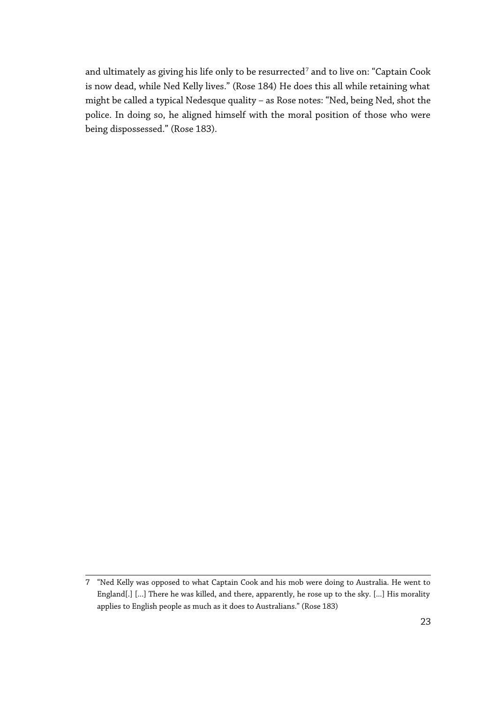and ultimately as giving his life only to be resurrected<sup>[7](#page-22-0)</sup> and to live on: "Captain Cook is now dead, while Ned Kelly lives." (Rose 184) He does this all while retaining what might be called a typical Nedesque quality – as Rose notes: "Ned, being Ned, shot the police. In doing so, he aligned himself with the moral position of those who were being dispossessed." (Rose 183).

<span id="page-22-0"></span><sup>7</sup> "Ned Kelly was opposed to what Captain Cook and his mob were doing to Australia. He went to England[.] [...] There he was killed, and there, apparently, he rose up to the sky. [...] His morality applies to English people as much as it does to Australians." (Rose 183)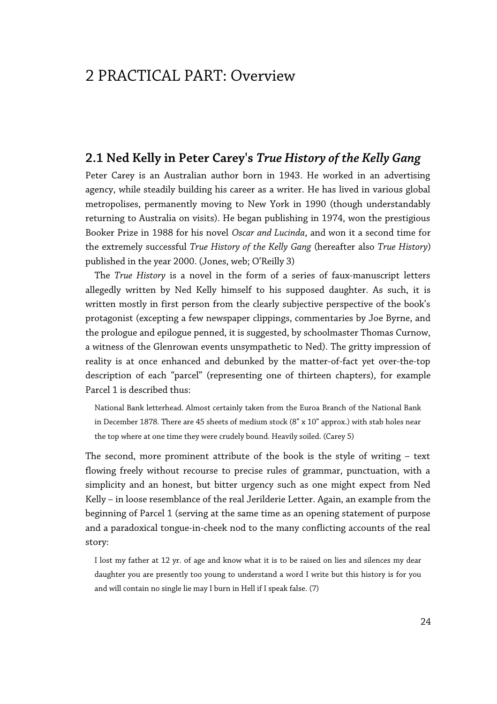## 2 PRACTICAL PART: Overview

### **2.1 Ned Kelly in Peter Carey's** *True History of the Kelly Gang*

Peter Carey is an Australian author born in 1943. He worked in an advertising agency, while steadily building his career as a writer. He has lived in various global metropolises, permanently moving to New York in 1990 (though understandably returning to Australia on visits). He began publishing in 1974, won the prestigious Booker Prize in 1988 for his novel *Oscar and Lucinda*, and won it a second time for the extremely successful *True History of the Kelly Gang* (hereafter also *True History*) published in the year 2000. (Jones, web; O'Reilly 3)

The *True History* is a novel in the form of a series of faux-manuscript letters allegedly written by Ned Kelly himself to his supposed daughter. As such, it is written mostly in first person from the clearly subjective perspective of the book's protagonist (excepting a few newspaper clippings, commentaries by Joe Byrne, and the prologue and epilogue penned, it is suggested, by schoolmaster Thomas Curnow, a witness of the Glenrowan events unsympathetic to Ned). The gritty impression of reality is at once enhanced and debunked by the matter-of-fact yet over-the-top description of each "parcel" (representing one of thirteen chapters), for example Parcel 1 is described thus:

National Bank letterhead. Almost certainly taken from the Euroa Branch of the National Bank in December 1878. There are 45 sheets of medium stock (8" x 10" approx.) with stab holes near the top where at one time they were crudely bound. Heavily soiled. (Carey 5)

The second, more prominent attribute of the book is the style of writing – text flowing freely without recourse to precise rules of grammar, punctuation, with a simplicity and an honest, but bitter urgency such as one might expect from Ned Kelly – in loose resemblance of the real Jerilderie Letter. Again, an example from the beginning of Parcel 1 (serving at the same time as an opening statement of purpose and a paradoxical tongue-in-cheek nod to the many conflicting accounts of the real story:

I lost my father at 12 yr. of age and know what it is to be raised on lies and silences my dear daughter you are presently too young to understand a word I write but this history is for you and will contain no single lie may I burn in Hell if I speak false. (7)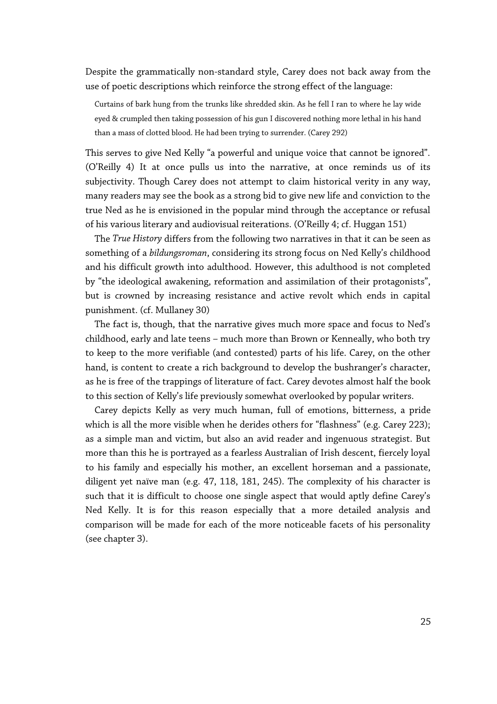Despite the grammatically non-standard style, Carey does not back away from the use of poetic descriptions which reinforce the strong effect of the language:

Curtains of bark hung from the trunks like shredded skin. As he fell I ran to where he lay wide eyed & crumpled then taking possession of his gun I discovered nothing more lethal in his hand than a mass of clotted blood. He had been trying to surrender. (Carey 292)

This serves to give Ned Kelly "a powerful and unique voice that cannot be ignored". (O'Reilly 4) It at once pulls us into the narrative, at once reminds us of its subjectivity. Though Carey does not attempt to claim historical verity in any way, many readers may see the book as a strong bid to give new life and conviction to the true Ned as he is envisioned in the popular mind through the acceptance or refusal of his various literary and audiovisual reiterations. (O'Reilly 4; cf. Huggan 151)

The *True History* differs from the following two narratives in that it can be seen as something of a *bildungsroman*, considering its strong focus on Ned Kelly's childhood and his difficult growth into adulthood. However, this adulthood is not completed by "the ideological awakening, reformation and assimilation of their protagonists", but is crowned by increasing resistance and active revolt which ends in capital punishment. (cf. Mullaney 30)

The fact is, though, that the narrative gives much more space and focus to Ned's childhood, early and late teens – much more than Brown or Kenneally, who both try to keep to the more verifiable (and contested) parts of his life. Carey, on the other hand, is content to create a rich background to develop the bushranger's character, as he is free of the trappings of literature of fact. Carey devotes almost half the book to this section of Kelly's life previously somewhat overlooked by popular writers.

Carey depicts Kelly as very much human, full of emotions, bitterness, a pride which is all the more visible when he derides others for "flashness" (e.g. Carey 223); as a simple man and victim, but also an avid reader and ingenuous strategist. But more than this he is portrayed as a fearless Australian of Irish descent, fiercely loyal to his family and especially his mother, an excellent horseman and a passionate, diligent yet naïve man (e.g. 47, 118, 181, 245). The complexity of his character is such that it is difficult to choose one single aspect that would aptly define Carey's Ned Kelly. It is for this reason especially that a more detailed analysis and comparison will be made for each of the more noticeable facets of his personality (see chapter 3).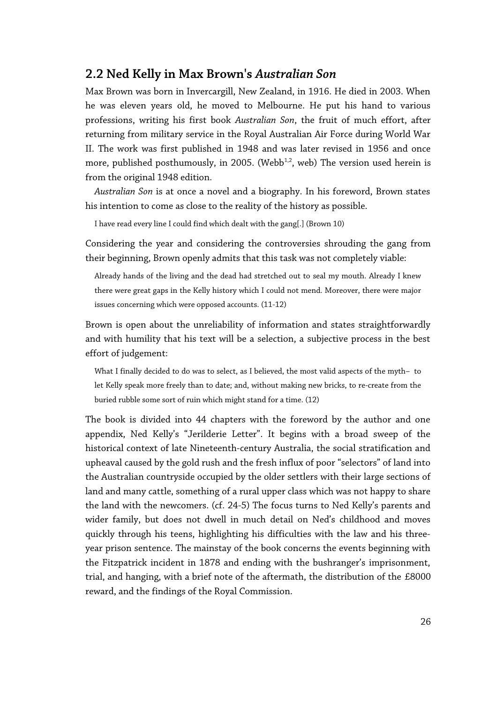### **2.2 Ned Kelly in Max Brown's** *Australian Son*

Max Brown was born in Invercargill, New Zealand, in 1916. He died in 2003. When he was eleven years old, he moved to Melbourne. He put his hand to various professions, writing his first book *Australian Son*, the fruit of much effort, after returning from military service in the Royal Australian Air Force during World War II. The work was first published in 1948 and was later revised in 1956 and once more, published posthumously, in 2005. (Webb<sup>1,2</sup>, web) The version used herein is from the original 1948 edition.

*Australian Son* is at once a novel and a biography. In his foreword, Brown states his intention to come as close to the reality of the history as possible.

I have read every line I could find which dealt with the gang[.] (Brown 10)

Considering the year and considering the controversies shrouding the gang from their beginning, Brown openly admits that this task was not completely viable:

Already hands of the living and the dead had stretched out to seal my mouth. Already I knew there were great gaps in the Kelly history which I could not mend. Moreover, there were major issues concerning which were opposed accounts. (11-12)

Brown is open about the unreliability of information and states straightforwardly and with humility that his text will be a selection, a subjective process in the best effort of judgement:

What I finally decided to do was to select, as I believed, the most valid aspects of the myth- to let Kelly speak more freely than to date; and, without making new bricks, to re-create from the buried rubble some sort of ruin which might stand for a time. (12)

The book is divided into 44 chapters with the foreword by the author and one appendix, Ned Kelly's "Jerilderie Letter". It begins with a broad sweep of the historical context of late Nineteenth-century Australia, the social stratification and upheaval caused by the gold rush and the fresh influx of poor "selectors" of land into the Australian countryside occupied by the older settlers with their large sections of land and many cattle, something of a rural upper class which was not happy to share the land with the newcomers. (cf. 24-5) The focus turns to Ned Kelly's parents and wider family, but does not dwell in much detail on Ned's childhood and moves quickly through his teens, highlighting his difficulties with the law and his threeyear prison sentence. The mainstay of the book concerns the events beginning with the Fitzpatrick incident in 1878 and ending with the bushranger's imprisonment, trial, and hanging, with a brief note of the aftermath, the distribution of the £8000 reward, and the findings of the Royal Commission.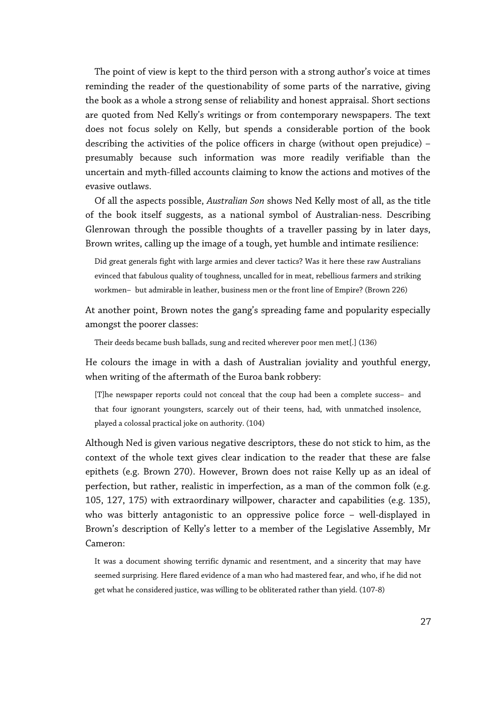The point of view is kept to the third person with a strong author's voice at times reminding the reader of the questionability of some parts of the narrative, giving the book as a whole a strong sense of reliability and honest appraisal. Short sections are quoted from Ned Kelly's writings or from contemporary newspapers. The text does not focus solely on Kelly, but spends a considerable portion of the book describing the activities of the police officers in charge (without open prejudice) – presumably because such information was more readily verifiable than the uncertain and myth-filled accounts claiming to know the actions and motives of the evasive outlaws.

Of all the aspects possible, *Australian Son* shows Ned Kelly most of all, as the title of the book itself suggests, as a national symbol of Australian-ness. Describing Glenrowan through the possible thoughts of a traveller passing by in later days, Brown writes, calling up the image of a tough, yet humble and intimate resilience:

Did great generals fight with large armies and clever tactics? Was it here these raw Australians evinced that fabulous quality of toughness, uncalled for in meat, rebellious farmers and striking workmen—but admirable in leather, business men or the front line of Empire? (Brown 226)

At another point, Brown notes the gang's spreading fame and popularity especially amongst the poorer classes:

Their deeds became bush ballads, sung and recited wherever poor men met[.] (136)

He colours the image in with a dash of Australian joviality and youthful energy, when writing of the aftermath of the Euroa bank robbery:

[T]he newspaper reports could not conceal that the coup had been a complete success—and that four ignorant youngsters, scarcely out of their teens, had, with unmatched insolence, played a colossal practical joke on authority. (104)

Although Ned is given various negative descriptors, these do not stick to him, as the context of the whole text gives clear indication to the reader that these are false epithets (e.g. Brown 270). However, Brown does not raise Kelly up as an ideal of perfection, but rather, realistic in imperfection, as a man of the common folk (e.g. 105, 127, 175) with extraordinary willpower, character and capabilities (e.g. 135), who was bitterly antagonistic to an oppressive police force – well-displayed in Brown's description of Kelly's letter to a member of the Legislative Assembly, Mr Cameron:

It was a document showing terrific dynamic and resentment, and a sincerity that may have seemed surprising. Here flared evidence of a man who had mastered fear, and who, if he did not get what he considered justice, was willing to be obliterated rather than yield. (107-8)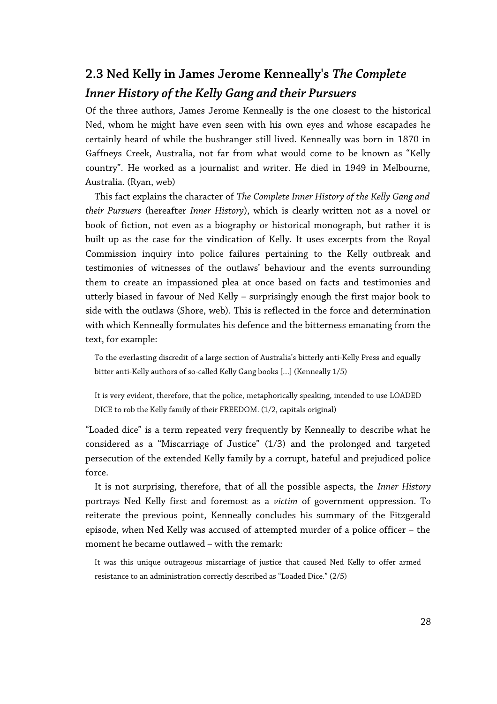## **2.3 Ned Kelly in James Jerome Kenneally's** *The Complete Inner History of the Kelly Gang and their Pursuers*

Of the three authors, James Jerome Kenneally is the one closest to the historical Ned, whom he might have even seen with his own eyes and whose escapades he certainly heard of while the bushranger still lived. Kenneally was born in 1870 in Gaffneys Creek, Australia, not far from what would come to be known as "Kelly country". He worked as a journalist and writer. He died in 1949 in Melbourne, Australia. (Ryan, web)

This fact explains the character of *The Complete Inner History of the Kelly Gang and their Pursuers* (hereafter *Inner History*), which is clearly written not as a novel or book of fiction, not even as a biography or historical monograph, but rather it is built up as the case for the vindication of Kelly. It uses excerpts from the Royal Commission inquiry into police failures pertaining to the Kelly outbreak and testimonies of witnesses of the outlaws' behaviour and the events surrounding them to create an impassioned plea at once based on facts and testimonies and utterly biased in favour of Ned Kelly – surprisingly enough the first major book to side with the outlaws (Shore, web). This is reflected in the force and determination with which Kenneally formulates his defence and the bitterness emanating from the text, for example:

To the everlasting discredit of a large section of Australia's bitterly anti-Kelly Press and equally bitter anti-Kelly authors of so-called Kelly Gang books […] (Kenneally 1/5)

It is very evident, therefore, that the police, metaphorically speaking, intended to use LOADED DICE to rob the Kelly family of their FREEDOM. (1/2, capitals original)

"Loaded dice" is a term repeated very frequently by Kenneally to describe what he considered as a "Miscarriage of Justice" (1/3) and the prolonged and targeted persecution of the extended Kelly family by a corrupt, hateful and prejudiced police force.

It is not surprising, therefore, that of all the possible aspects, the *Inner History* portrays Ned Kelly first and foremost as a *victim* of government oppression. To reiterate the previous point, Kenneally concludes his summary of the Fitzgerald episode, when Ned Kelly was accused of attempted murder of a police officer – the moment he became outlawed – with the remark:

It was this unique outrageous miscarriage of justice that caused Ned Kelly to offer armed resistance to an administration correctly described as "Loaded Dice." (2/5)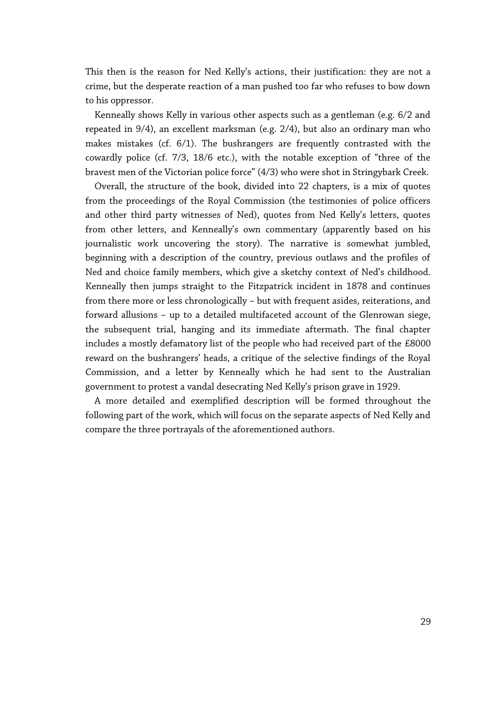This then is the reason for Ned Kelly's actions, their justification: they are not a crime, but the desperate reaction of a man pushed too far who refuses to bow down to his oppressor.

Kenneally shows Kelly in various other aspects such as a gentleman (e.g. 6/2 and repeated in 9/4), an excellent marksman (e.g. 2/4), but also an ordinary man who makes mistakes (cf. 6/1). The bushrangers are frequently contrasted with the cowardly police (cf. 7/3, 18/6 etc.), with the notable exception of "three of the bravest men of the Victorian police force" (4/3) who were shot in Stringybark Creek.

Overall, the structure of the book, divided into 22 chapters, is a mix of quotes from the proceedings of the Royal Commission (the testimonies of police officers and other third party witnesses of Ned), quotes from Ned Kelly's letters, quotes from other letters, and Kenneally's own commentary (apparently based on his journalistic work uncovering the story). The narrative is somewhat jumbled, beginning with a description of the country, previous outlaws and the profiles of Ned and choice family members, which give a sketchy context of Ned's childhood. Kenneally then jumps straight to the Fitzpatrick incident in 1878 and continues from there more or less chronologically – but with frequent asides, reiterations, and forward allusions – up to a detailed multifaceted account of the Glenrowan siege, the subsequent trial, hanging and its immediate aftermath. The final chapter includes a mostly defamatory list of the people who had received part of the £8000 reward on the bushrangers' heads, a critique of the selective findings of the Royal Commission, and a letter by Kenneally which he had sent to the Australian government to protest a vandal desecrating Ned Kelly's prison grave in 1929.

A more detailed and exemplified description will be formed throughout the following part of the work, which will focus on the separate aspects of Ned Kelly and compare the three portrayals of the aforementioned authors.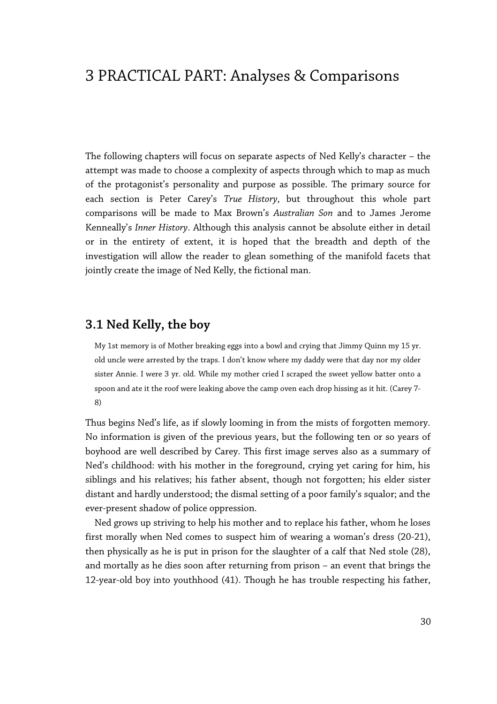## 3 PRACTICAL PART: Analyses & Comparisons

The following chapters will focus on separate aspects of Ned Kelly's character – the attempt was made to choose a complexity of aspects through which to map as much of the protagonist's personality and purpose as possible. The primary source for each section is Peter Carey's *True History*, but throughout this whole part comparisons will be made to Max Brown's *Australian Son* and to James Jerome Kenneally's *Inner History*. Although this analysis cannot be absolute either in detail or in the entirety of extent, it is hoped that the breadth and depth of the investigation will allow the reader to glean something of the manifold facets that jointly create the image of Ned Kelly, the fictional man.

## **3.1 Ned Kelly, the boy**

My 1st memory is of Mother breaking eggs into a bowl and crying that Jimmy Quinn my 15 yr. old uncle were arrested by the traps. I don't know where my daddy were that day nor my older sister Annie. I were 3 yr. old. While my mother cried I scraped the sweet yellow batter onto a spoon and ate it the roof were leaking above the camp oven each drop hissing as it hit. (Carey 7- 8)

Thus begins Ned's life, as if slowly looming in from the mists of forgotten memory. No information is given of the previous years, but the following ten or so years of boyhood are well described by Carey. This first image serves also as a summary of Ned's childhood: with his mother in the foreground, crying yet caring for him, his siblings and his relatives; his father absent, though not forgotten; his elder sister distant and hardly understood; the dismal setting of a poor family's squalor; and the ever-present shadow of police oppression.

Ned grows up striving to help his mother and to replace his father, whom he loses first morally when Ned comes to suspect him of wearing a woman's dress (20-21), then physically as he is put in prison for the slaughter of a calf that Ned stole (28), and mortally as he dies soon after returning from prison – an event that brings the 12-year-old boy into youthhood (41). Though he has trouble respecting his father,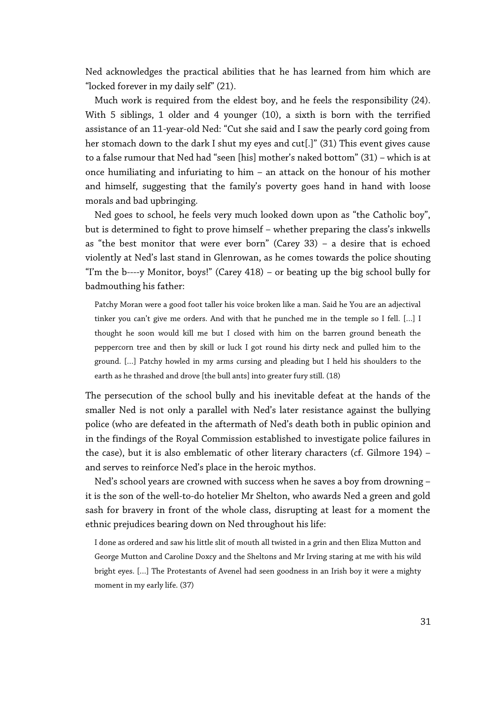Ned acknowledges the practical abilities that he has learned from him which are "locked forever in my daily self" (21).

Much work is required from the eldest boy, and he feels the responsibility (24). With 5 siblings, 1 older and 4 younger (10), a sixth is born with the terrified assistance of an 11-year-old Ned: "Cut she said and I saw the pearly cord going from her stomach down to the dark I shut my eyes and cut[.]" (31) This event gives cause to a false rumour that Ned had "seen [his] mother's naked bottom" (31) – which is at once humiliating and infuriating to him – an attack on the honour of his mother and himself, suggesting that the family's poverty goes hand in hand with loose morals and bad upbringing.

Ned goes to school, he feels very much looked down upon as "the Catholic boy", but is determined to fight to prove himself – whether preparing the class's inkwells as "the best monitor that were ever born" (Carey 33) – a desire that is echoed violently at Ned's last stand in Glenrowan, as he comes towards the police shouting "I'm the b----y Monitor, boys!" (Carey 418) – or beating up the big school bully for badmouthing his father:

Patchy Moran were a good foot taller his voice broken like a man. Said he You are an adjectival tinker you can't give me orders. And with that he punched me in the temple so I fell. […] I thought he soon would kill me but I closed with him on the barren ground beneath the peppercorn tree and then by skill or luck I got round his dirty neck and pulled him to the ground. […] Patchy howled in my arms cursing and pleading but I held his shoulders to the earth as he thrashed and drove [the bull ants] into greater fury still. (18)

The persecution of the school bully and his inevitable defeat at the hands of the smaller Ned is not only a parallel with Ned's later resistance against the bullying police (who are defeated in the aftermath of Ned's death both in public opinion and in the findings of the Royal Commission established to investigate police failures in the case), but it is also emblematic of other literary characters (cf. Gilmore 194) – and serves to reinforce Ned's place in the heroic mythos.

Ned's school years are crowned with success when he saves a boy from drowning – it is the son of the well-to-do hotelier Mr Shelton, who awards Ned a green and gold sash for bravery in front of the whole class, disrupting at least for a moment the ethnic prejudices bearing down on Ned throughout his life:

I done as ordered and saw his little slit of mouth all twisted in a grin and then Eliza Mutton and George Mutton and Caroline Doxcy and the Sheltons and Mr Irving staring at me with his wild bright eyes. […] The Protestants of Avenel had seen goodness in an Irish boy it were a mighty moment in my early life. (37)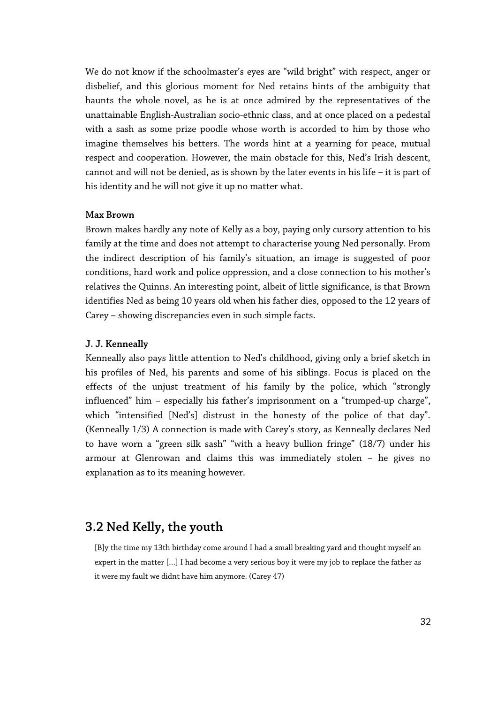We do not know if the schoolmaster's eyes are "wild bright" with respect, anger or disbelief, and this glorious moment for Ned retains hints of the ambiguity that haunts the whole novel, as he is at once admired by the representatives of the unattainable English-Australian socio-ethnic class, and at once placed on a pedestal with a sash as some prize poodle whose worth is accorded to him by those who imagine themselves his betters. The words hint at a yearning for peace, mutual respect and cooperation. However, the main obstacle for this, Ned's Irish descent, cannot and will not be denied, as is shown by the later events in his life – it is part of his identity and he will not give it up no matter what.

#### **Max Brown**

Brown makes hardly any note of Kelly as a boy, paying only cursory attention to his family at the time and does not attempt to characterise young Ned personally. From the indirect description of his family's situation, an image is suggested of poor conditions, hard work and police oppression, and a close connection to his mother's relatives the Quinns. An interesting point, albeit of little significance, is that Brown identifies Ned as being 10 years old when his father dies, opposed to the 12 years of Carey – showing discrepancies even in such simple facts.

#### **J. J. Kenneally**

Kenneally also pays little attention to Ned's childhood, giving only a brief sketch in his profiles of Ned, his parents and some of his siblings. Focus is placed on the effects of the unjust treatment of his family by the police, which "strongly influenced" him – especially his father's imprisonment on a "trumped-up charge", which "intensified [Ned's] distrust in the honesty of the police of that day". (Kenneally 1/3) A connection is made with Carey's story, as Kenneally declares Ned to have worn a "green silk sash" "with a heavy bullion fringe" (18/7) under his armour at Glenrowan and claims this was immediately stolen – he gives no explanation as to its meaning however.

## **3.2 Ned Kelly, the youth**

[B]y the time my 13th birthday come around I had a small breaking yard and thought myself an expert in the matter […] I had become a very serious boy it were my job to replace the father as it were my fault we didnt have him anymore. (Carey 47)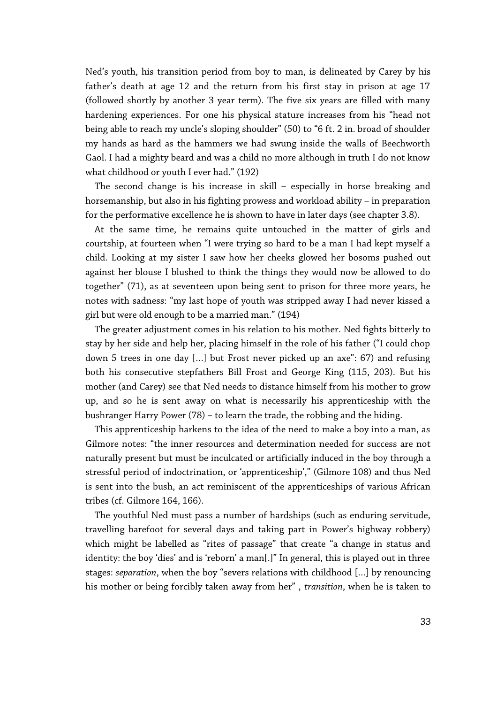Ned's youth, his transition period from boy to man, is delineated by Carey by his father's death at age 12 and the return from his first stay in prison at age 17 (followed shortly by another 3 year term). The five six years are filled with many hardening experiences. For one his physical stature increases from his "head not being able to reach my uncle's sloping shoulder" (50) to "6 ft. 2 in. broad of shoulder my hands as hard as the hammers we had swung inside the walls of Beechworth Gaol. I had a mighty beard and was a child no more although in truth I do not know what childhood or youth I ever had." (192)

The second change is his increase in skill – especially in horse breaking and horsemanship, but also in his fighting prowess and workload ability – in preparation for the performative excellence he is shown to have in later days (see chapter 3.8).

At the same time, he remains quite untouched in the matter of girls and courtship, at fourteen when "I were trying so hard to be a man I had kept myself a child. Looking at my sister I saw how her cheeks glowed her bosoms pushed out against her blouse I blushed to think the things they would now be allowed to do together" (71), as at seventeen upon being sent to prison for three more years, he notes with sadness: "my last hope of youth was stripped away I had never kissed a girl but were old enough to be a married man." (194)

The greater adjustment comes in his relation to his mother. Ned fights bitterly to stay by her side and help her, placing himself in the role of his father ("I could chop down 5 trees in one day […] but Frost never picked up an axe": 67) and refusing both his consecutive stepfathers Bill Frost and George King (115, 203). But his mother (and Carey) see that Ned needs to distance himself from his mother to grow up, and so he is sent away on what is necessarily his apprenticeship with the bushranger Harry Power (78) – to learn the trade, the robbing and the hiding.

This apprenticeship harkens to the idea of the need to make a boy into a man, as Gilmore notes: "the inner resources and determination needed for success are not naturally present but must be inculcated or artificially induced in the boy through a stressful period of indoctrination, or 'apprenticeship'," (Gilmore 108) and thus Ned is sent into the bush, an act reminiscent of the apprenticeships of various African tribes (cf. Gilmore 164, 166).

The youthful Ned must pass a number of hardships (such as enduring servitude, travelling barefoot for several days and taking part in Power's highway robbery) which might be labelled as "rites of passage" that create "a change in status and identity: the boy 'dies' and is 'reborn' a man[.]" In general, this is played out in three stages: *separation*, when the boy "severs relations with childhood […] by renouncing his mother or being forcibly taken away from her" , *transition*, when he is taken to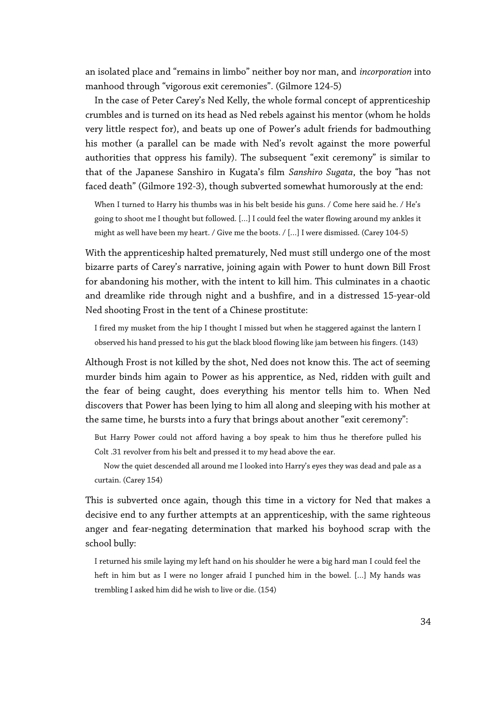an isolated place and "remains in limbo" neither boy nor man, and *incorporation* into manhood through "vigorous exit ceremonies". (Gilmore 124-5)

In the case of Peter Carey's Ned Kelly, the whole formal concept of apprenticeship crumbles and is turned on its head as Ned rebels against his mentor (whom he holds very little respect for), and beats up one of Power's adult friends for badmouthing his mother (a parallel can be made with Ned's revolt against the more powerful authorities that oppress his family). The subsequent "exit ceremony" is similar to that of the Japanese Sanshiro in Kugata's film *Sanshiro Sugata*, the boy "has not faced death" (Gilmore 192-3), though subverted somewhat humorously at the end:

When I turned to Harry his thumbs was in his belt beside his guns. / Come here said he. / He's going to shoot me I thought but followed. […] I could feel the water flowing around my ankles it might as well have been my heart. / Give me the boots. / […] I were dismissed. (Carey 104-5)

With the apprenticeship halted prematurely, Ned must still undergo one of the most bizarre parts of Carey's narrative, joining again with Power to hunt down Bill Frost for abandoning his mother, with the intent to kill him. This culminates in a chaotic and dreamlike ride through night and a bushfire, and in a distressed 15-year-old Ned shooting Frost in the tent of a Chinese prostitute:

I fired my musket from the hip I thought I missed but when he staggered against the lantern I observed his hand pressed to his gut the black blood flowing like jam between his fingers. (143)

Although Frost is not killed by the shot, Ned does not know this. The act of seeming murder binds him again to Power as his apprentice, as Ned, ridden with guilt and the fear of being caught, does everything his mentor tells him to. When Ned discovers that Power has been lying to him all along and sleeping with his mother at the same time, he bursts into a fury that brings about another "exit ceremony":

But Harry Power could not afford having a boy speak to him thus he therefore pulled his Colt .31 revolver from his belt and pressed it to my head above the ear.

Now the quiet descended all around me I looked into Harry's eyes they was dead and pale as a curtain. (Carey 154)

This is subverted once again, though this time in a victory for Ned that makes a decisive end to any further attempts at an apprenticeship, with the same righteous anger and fear-negating determination that marked his boyhood scrap with the school bully:

I returned his smile laying my left hand on his shoulder he were a big hard man I could feel the heft in him but as I were no longer afraid I punched him in the bowel. […] My hands was trembling I asked him did he wish to live or die. (154)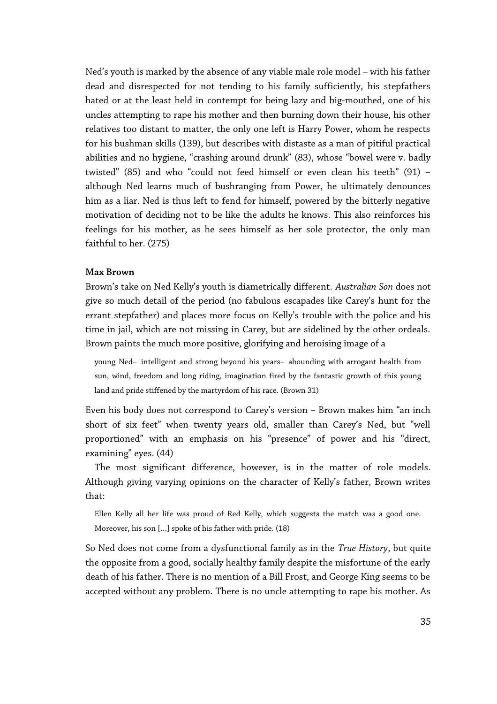Ned's youth is marked by the absence of any viable male role model – with his father dead and disrespected for not tending to his family sufficiently, his stepfathers hated or at the least held in contempt for being lazy and big-mouthed, one of his uncles attempting to rape his mother and then burning down their house, his other relatives too distant to matter, the only one left is Harry Power, whom he respects for his bushman skills (139), but describes with distaste as a man of pitiful practical abilities and no hygiene, "crashing around drunk" (83), whose "bowel were v. badly twisted" (85) and who "could not feed himself or even clean his teeth" (91) – although Ned learns much of bushranging from Power, he ultimately denounces him as a liar. Ned is thus left to fend for himself, powered by the bitterly negative motivation of deciding not to be like the adults he knows. This also reinforces his feelings for his mother, as he sees himself as her sole protector, the only man faithful to her. (275)

#### **Max Brown**

Brown's take on Ned Kelly's youth is diametrically different. *Australian Son* does not give so much detail of the period (no fabulous escapades like Carey's hunt for the errant stepfather) and places more focus on Kelly's trouble with the police and his time in jail, which are not missing in Carey, but are sidelined by the other ordeals. Brown paints the much more positive, glorifying and heroising image of a

young Ned—intelligent and strong beyond his years—abounding with arrogant health from sun, wind, freedom and long riding, imagination fired by the fantastic growth of this young land and pride stiffened by the martyrdom of his race. (Brown 31)

Even his body does not correspond to Carey's version – Brown makes him "an inch short of six feet" when twenty years old, smaller than Carey's Ned, but "well proportioned" with an emphasis on his "presence" of power and his "direct, examining" eyes. (44)

The most significant difference, however, is in the matter of role models. Although giving varying opinions on the character of Kelly's father, Brown writes that:

Ellen Kelly all her life was proud of Red Kelly, which suggests the match was a good one. Moreover, his son […] spoke of his father with pride. (18)

So Ned does not come from a dysfunctional family as in the *True History*, but quite the opposite from a good, socially healthy family despite the misfortune of the early death of his father. There is no mention of a Bill Frost, and George King seems to be accepted without any problem. There is no uncle attempting to rape his mother. As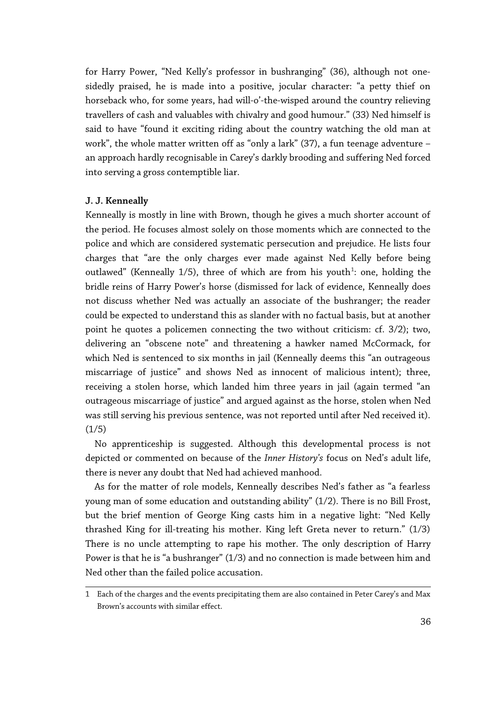for Harry Power, "Ned Kelly's professor in bushranging" (36), although not onesidedly praised, he is made into a positive, jocular character: "a petty thief on horseback who, for some years, had will-o'-the-wisped around the country relieving travellers of cash and valuables with chivalry and good humour." (33) Ned himself is said to have "found it exciting riding about the country watching the old man at work", the whole matter written off as "only a lark" (37), a fun teenage adventure – an approach hardly recognisable in Carey's darkly brooding and suffering Ned forced into serving a gross contemptible liar.

#### **J. J. Kenneally**

Kenneally is mostly in line with Brown, though he gives a much shorter account of the period. He focuses almost solely on those moments which are connected to the police and which are considered systematic persecution and prejudice. He lists four charges that "are the only charges ever made against Ned Kelly before being outlawed" (Kenneally [1](#page-35-0)/5), three of which are from his youth $^1$ : one, holding the bridle reins of Harry Power's horse (dismissed for lack of evidence, Kenneally does not discuss whether Ned was actually an associate of the bushranger; the reader could be expected to understand this as slander with no factual basis, but at another point he quotes a policemen connecting the two without criticism: cf. 3/2); two, delivering an "obscene note" and threatening a hawker named McCormack, for which Ned is sentenced to six months in jail (Kenneally deems this "an outrageous miscarriage of justice" and shows Ned as innocent of malicious intent); three, receiving a stolen horse, which landed him three years in jail (again termed "an outrageous miscarriage of justice" and argued against as the horse, stolen when Ned was still serving his previous sentence, was not reported until after Ned received it).  $(1/5)$ 

No apprenticeship is suggested. Although this developmental process is not depicted or commented on because of the *Inner History's* focus on Ned's adult life, there is never any doubt that Ned had achieved manhood.

As for the matter of role models, Kenneally describes Ned's father as "a fearless young man of some education and outstanding ability" (1/2). There is no Bill Frost, but the brief mention of George King casts him in a negative light: "Ned Kelly thrashed King for ill-treating his mother. King left Greta never to return." (1/3) There is no uncle attempting to rape his mother. The only description of Harry Power is that he is "a bushranger" (1/3) and no connection is made between him and Ned other than the failed police accusation.

<span id="page-35-0"></span><sup>1</sup> Each of the charges and the events precipitating them are also contained in Peter Carey's and Max Brown's accounts with similar effect.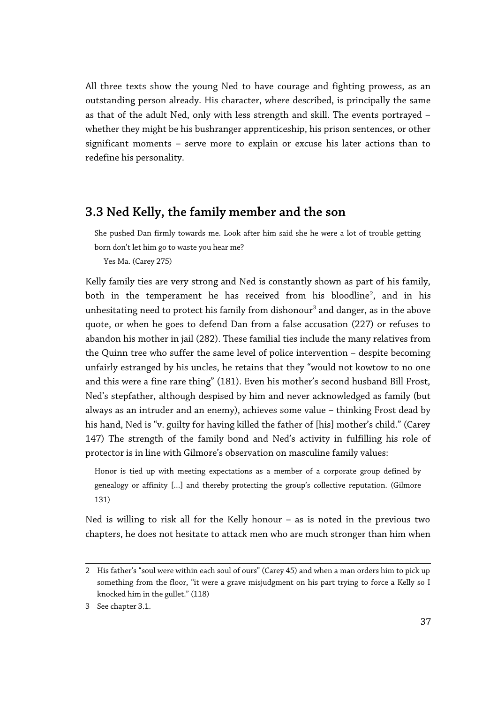All three texts show the young Ned to have courage and fighting prowess, as an outstanding person already. His character, where described, is principally the same as that of the adult Ned, only with less strength and skill. The events portrayed – whether they might be his bushranger apprenticeship, his prison sentences, or other significant moments – serve more to explain or excuse his later actions than to redefine his personality.

# **3.3 Ned Kelly, the family member and the son**

She pushed Dan firmly towards me. Look after him said she he were a lot of trouble getting born don't let him go to waste you hear me?

Yes Ma. (Carey 275)

Kelly family ties are very strong and Ned is constantly shown as part of his family, both in the temperament he has received from his bloodline $^2$  $^2$ , and in his unhesitating need to protect his family from dishonour $^{\rm 3}$  $^{\rm 3}$  $^{\rm 3}$  and danger, as in the above quote, or when he goes to defend Dan from a false accusation (227) or refuses to abandon his mother in jail (282). These familial ties include the many relatives from the Quinn tree who suffer the same level of police intervention – despite becoming unfairly estranged by his uncles, he retains that they "would not kowtow to no one and this were a fine rare thing" (181). Even his mother's second husband Bill Frost, Ned's stepfather, although despised by him and never acknowledged as family (but always as an intruder and an enemy), achieves some value – thinking Frost dead by his hand, Ned is "v. guilty for having killed the father of [his] mother's child." (Carey 147) The strength of the family bond and Ned's activity in fulfilling his role of protector is in line with Gilmore's observation on masculine family values:

Honor is tied up with meeting expectations as a member of a corporate group defined by genealogy or affinity […] and thereby protecting the group's collective reputation. (Gilmore 131)

Ned is willing to risk all for the Kelly honour – as is noted in the previous two chapters, he does not hesitate to attack men who are much stronger than him when

<span id="page-36-0"></span><sup>2</sup> His father's "soul were within each soul of ours" (Carey 45) and when a man orders him to pick up something from the floor, "it were a grave misjudgment on his part trying to force a Kelly so I knocked him in the gullet." (118)

<span id="page-36-1"></span><sup>3</sup> See chapter 3.1.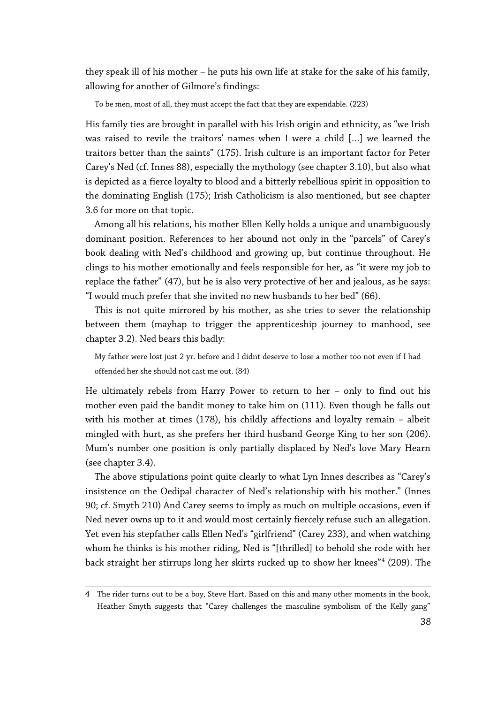they speak ill of his mother – he puts his own life at stake for the sake of his family, allowing for another of Gilmore's findings:

To be men, most of all, they must accept the fact that they are expendable. (223)

His family ties are brought in parallel with his Irish origin and ethnicity, as "we Irish was raised to revile the traitors' names when I were a child […] we learned the traitors better than the saints" (175). Irish culture is an important factor for Peter Carey's Ned (cf. Innes 88), especially the mythology (see chapter 3.10), but also what is depicted as a fierce loyalty to blood and a bitterly rebellious spirit in opposition to the dominating English (175); Irish Catholicism is also mentioned, but see chapter 3.6 for more on that topic.

Among all his relations, his mother Ellen Kelly holds a unique and unambiguously dominant position. References to her abound not only in the "parcels" of Carey's book dealing with Ned's childhood and growing up, but continue throughout. He clings to his mother emotionally and feels responsible for her, as "it were my job to replace the father" (47), but he is also very protective of her and jealous, as he says: "I would much prefer that she invited no new husbands to her bed" (66).

This is not quite mirrored by his mother, as she tries to sever the relationship between them (mayhap to trigger the apprenticeship journey to manhood, see chapter 3.2). Ned bears this badly:

My father were lost just 2 yr. before and I didnt deserve to lose a mother too not even if I had offended her she should not cast me out. (84)

He ultimately rebels from Harry Power to return to her – only to find out his mother even paid the bandit money to take him on (111). Even though he falls out with his mother at times (178), his childly affections and loyalty remain – albeit mingled with hurt, as she prefers her third husband George King to her son (206). Mum's number one position is only partially displaced by Ned's love Mary Hearn (see chapter 3.4).

The above stipulations point quite clearly to what Lyn Innes describes as "Carey's insistence on the Oedipal character of Ned's relationship with his mother." (Innes 90; cf. Smyth 210) And Carey seems to imply as much on multiple occasions, even if Ned never owns up to it and would most certainly fiercely refuse such an allegation. Yet even his stepfather calls Ellen Ned's "girlfriend" (Carey 233), and when watching whom he thinks is his mother riding, Ned is "[thrilled] to behold she rode with her back straight her stirrups long her skirts rucked up to show her knees"[4](#page-37-0) (209). The

<span id="page-37-0"></span><sup>4</sup> The rider turns out to be a boy, Steve Hart. Based on this and many other moments in the book, Heather Smyth suggests that "Carey challenges the masculine symbolism of the Kelly gang"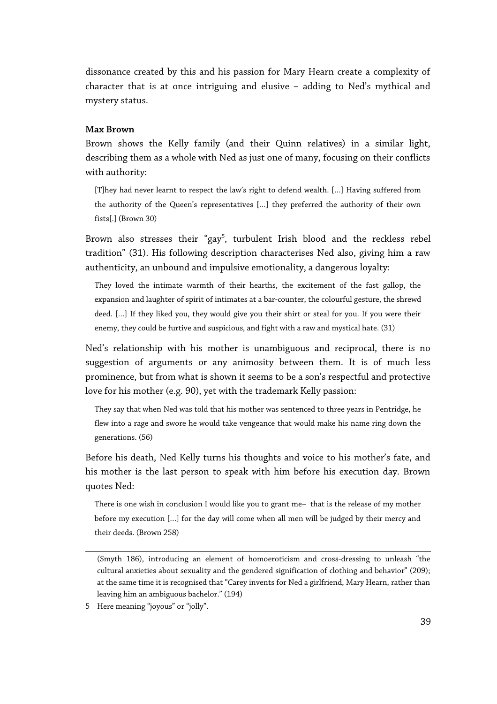dissonance created by this and his passion for Mary Hearn create a complexity of character that is at once intriguing and elusive – adding to Ned's mythical and mystery status.

#### **Max Brown**

Brown shows the Kelly family (and their Quinn relatives) in a similar light, describing them as a whole with Ned as just one of many, focusing on their conflicts with authority:

[T]hey had never learnt to respect the law's right to defend wealth. […] Having suffered from the authority of the Queen's representatives […] they preferred the authority of their own fists[.] (Brown 30)

Brown also stresses their "gay<sup>[5](#page-38-0)</sup>, turbulent Irish blood and the reckless rebel tradition" (31). His following description characterises Ned also, giving him a raw authenticity, an unbound and impulsive emotionality, a dangerous loyalty:

They loved the intimate warmth of their hearths, the excitement of the fast gallop, the expansion and laughter of spirit of intimates at a bar-counter, the colourful gesture, the shrewd deed. […] If they liked you, they would give you their shirt or steal for you. If you were their enemy, they could be furtive and suspicious, and fight with a raw and mystical hate. (31)

Ned's relationship with his mother is unambiguous and reciprocal, there is no suggestion of arguments or any animosity between them. It is of much less prominence, but from what is shown it seems to be a son's respectful and protective love for his mother (e.g. 90), yet with the trademark Kelly passion:

They say that when Ned was told that his mother was sentenced to three years in Pentridge, he flew into a rage and swore he would take vengeance that would make his name ring down the generations. (56)

Before his death, Ned Kelly turns his thoughts and voice to his mother's fate, and his mother is the last person to speak with him before his execution day. Brown quotes Ned:

There is one wish in conclusion I would like you to grant me- that is the release of my mother before my execution […] for the day will come when all men will be judged by their mercy and their deeds. (Brown 258)

<sup>(</sup>Smyth 186), introducing an element of homoeroticism and cross-dressing to unleash "the cultural anxieties about sexuality and the gendered signification of clothing and behavior" (209); at the same time it is recognised that "Carey invents for Ned a girlfriend, Mary Hearn, rather than leaving him an ambiguous bachelor." (194)

<span id="page-38-0"></span><sup>5</sup> Here meaning "joyous" or "jolly".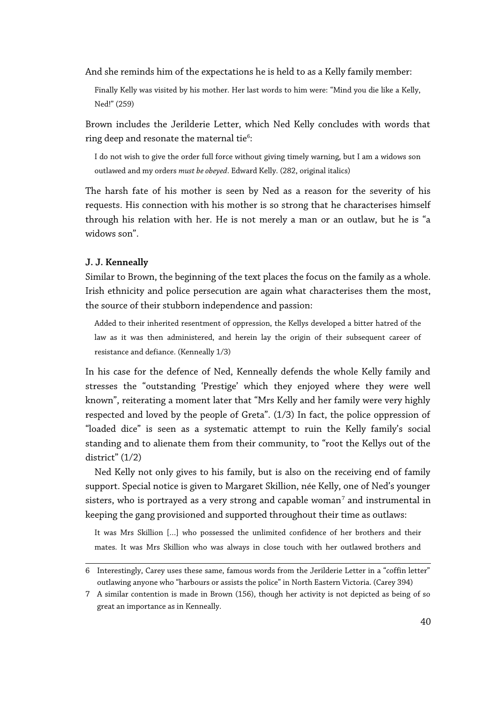And she reminds him of the expectations he is held to as a Kelly family member:

Finally Kelly was visited by his mother. Her last words to him were: "Mind you die like a Kelly, Ned!" (259)

Brown includes the Jerilderie Letter, which Ned Kelly concludes with words that ring deep and resonate the maternal tie $^6\!\! :$  $^6\!\! :$  $^6\!\! :$ 

I do not wish to give the order full force without giving timely warning, but I am a widows son outlawed and my orders *must be obeyed*. Edward Kelly. (282, original italics)

The harsh fate of his mother is seen by Ned as a reason for the severity of his requests. His connection with his mother is so strong that he characterises himself through his relation with her. He is not merely a man or an outlaw, but he is "a widows son".

#### **J. J. Kenneally**

Similar to Brown, the beginning of the text places the focus on the family as a whole. Irish ethnicity and police persecution are again what characterises them the most, the source of their stubborn independence and passion:

Added to their inherited resentment of oppression, the Kellys developed a bitter hatred of the law as it was then administered, and herein lay the origin of their subsequent career of resistance and defiance. (Kenneally 1/3)

In his case for the defence of Ned, Kenneally defends the whole Kelly family and stresses the "outstanding 'Prestige' which they enjoyed where they were well known", reiterating a moment later that "Mrs Kelly and her family were very highly respected and loved by the people of Greta". (1/3) In fact, the police oppression of "loaded dice" is seen as a systematic attempt to ruin the Kelly family's social standing and to alienate them from their community, to "root the Kellys out of the district" (1/2)

Ned Kelly not only gives to his family, but is also on the receiving end of family support. Special notice is given to Margaret Skillion, née Kelly, one of Ned's younger sisters, who is portrayed as a very strong and capable woman $^7$  $^7$  and instrumental in keeping the gang provisioned and supported throughout their time as outlaws:

It was Mrs Skillion […] who possessed the unlimited confidence of her brothers and their mates. It was Mrs Skillion who was always in close touch with her outlawed brothers and

<span id="page-39-0"></span><sup>6</sup> Interestingly, Carey uses these same, famous words from the Jerilderie Letter in a "coffin letter" outlawing anyone who "harbours or assists the police" in North Eastern Victoria. (Carey 394)

<span id="page-39-1"></span><sup>7</sup> A similar contention is made in Brown (156), though her activity is not depicted as being of so great an importance as in Kenneally.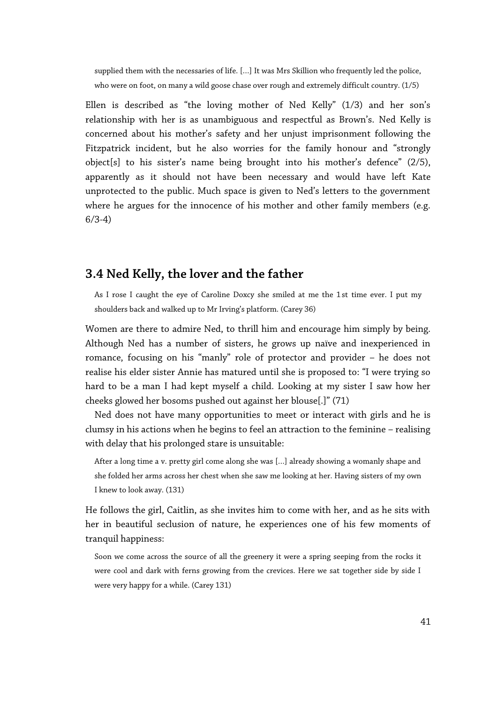supplied them with the necessaries of life. […] It was Mrs Skillion who frequently led the police, who were on foot, on many a wild goose chase over rough and extremely difficult country. (1/5)

Ellen is described as "the loving mother of Ned Kelly" (1/3) and her son's relationship with her is as unambiguous and respectful as Brown's. Ned Kelly is concerned about his mother's safety and her unjust imprisonment following the Fitzpatrick incident, but he also worries for the family honour and "strongly object[s] to his sister's name being brought into his mother's defence" (2/5), apparently as it should not have been necessary and would have left Kate unprotected to the public. Much space is given to Ned's letters to the government where he argues for the innocence of his mother and other family members (e.g. 6/3-4)

# **3.4 Ned Kelly, the lover and the father**

As I rose I caught the eye of Caroline Doxcy she smiled at me the 1st time ever. I put my shoulders back and walked up to Mr Irving's platform. (Carey 36)

Women are there to admire Ned, to thrill him and encourage him simply by being. Although Ned has a number of sisters, he grows up naïve and inexperienced in romance, focusing on his "manly" role of protector and provider – he does not realise his elder sister Annie has matured until she is proposed to: "I were trying so hard to be a man I had kept myself a child. Looking at my sister I saw how her cheeks glowed her bosoms pushed out against her blouse[.]" (71)

Ned does not have many opportunities to meet or interact with girls and he is clumsy in his actions when he begins to feel an attraction to the feminine – realising with delay that his prolonged stare is unsuitable:

After a long time a v. pretty girl come along she was […] already showing a womanly shape and she folded her arms across her chest when she saw me looking at her. Having sisters of my own I knew to look away. (131)

He follows the girl, Caitlin, as she invites him to come with her, and as he sits with her in beautiful seclusion of nature, he experiences one of his few moments of tranquil happiness:

Soon we come across the source of all the greenery it were a spring seeping from the rocks it were cool and dark with ferns growing from the crevices. Here we sat together side by side I were very happy for a while. (Carey 131)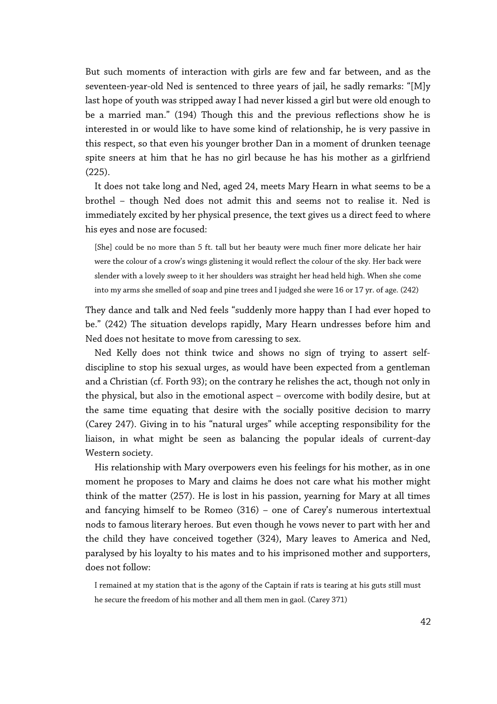But such moments of interaction with girls are few and far between, and as the seventeen-year-old Ned is sentenced to three years of jail, he sadly remarks: "[M]y last hope of youth was stripped away I had never kissed a girl but were old enough to be a married man." (194) Though this and the previous reflections show he is interested in or would like to have some kind of relationship, he is very passive in this respect, so that even his younger brother Dan in a moment of drunken teenage spite sneers at him that he has no girl because he has his mother as a girlfriend (225).

It does not take long and Ned, aged 24, meets Mary Hearn in what seems to be a brothel – though Ned does not admit this and seems not to realise it. Ned is immediately excited by her physical presence, the text gives us a direct feed to where his eyes and nose are focused:

[She] could be no more than 5 ft. tall but her beauty were much finer more delicate her hair were the colour of a crow's wings glistening it would reflect the colour of the sky. Her back were slender with a lovely sweep to it her shoulders was straight her head held high. When she come into my arms she smelled of soap and pine trees and I judged she were 16 or 17 yr. of age. (242)

They dance and talk and Ned feels "suddenly more happy than I had ever hoped to be." (242) The situation develops rapidly, Mary Hearn undresses before him and Ned does not hesitate to move from caressing to sex.

Ned Kelly does not think twice and shows no sign of trying to assert selfdiscipline to stop his sexual urges, as would have been expected from a gentleman and a Christian (cf. Forth 93); on the contrary he relishes the act, though not only in the physical, but also in the emotional aspect – overcome with bodily desire, but at the same time equating that desire with the socially positive decision to marry (Carey 247). Giving in to his "natural urges" while accepting responsibility for the liaison, in what might be seen as balancing the popular ideals of current-day Western society.

His relationship with Mary overpowers even his feelings for his mother, as in one moment he proposes to Mary and claims he does not care what his mother might think of the matter (257). He is lost in his passion, yearning for Mary at all times and fancying himself to be Romeo (316) – one of Carey's numerous intertextual nods to famous literary heroes. But even though he vows never to part with her and the child they have conceived together (324), Mary leaves to America and Ned, paralysed by his loyalty to his mates and to his imprisoned mother and supporters, does not follow:

I remained at my station that is the agony of the Captain if rats is tearing at his guts still must he secure the freedom of his mother and all them men in gaol. (Carey 371)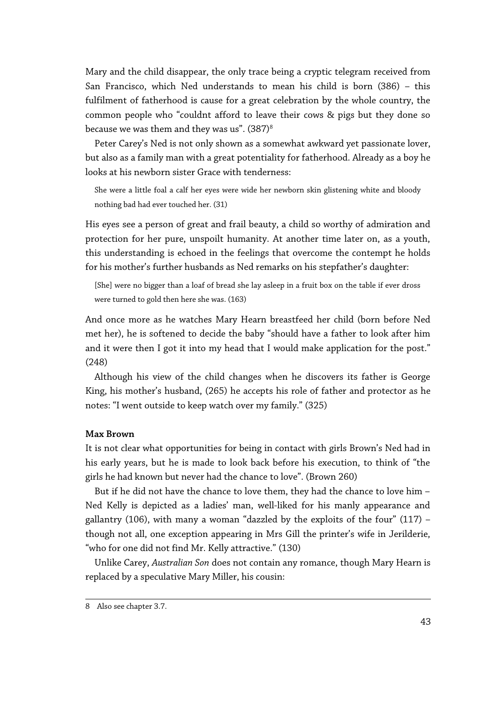Mary and the child disappear, the only trace being a cryptic telegram received from San Francisco, which Ned understands to mean his child is born (386) – this fulfilment of fatherhood is cause for a great celebration by the whole country, the common people who "couldnt afford to leave their cows & pigs but they done so because we was them and they was us".  $(387)^8$  $(387)^8$  $(387)^8$ 

Peter Carey's Ned is not only shown as a somewhat awkward yet passionate lover, but also as a family man with a great potentiality for fatherhood. Already as a boy he looks at his newborn sister Grace with tenderness:

She were a little foal a calf her eyes were wide her newborn skin glistening white and bloody nothing bad had ever touched her. (31)

His eyes see a person of great and frail beauty, a child so worthy of admiration and protection for her pure, unspoilt humanity. At another time later on, as a youth, this understanding is echoed in the feelings that overcome the contempt he holds for his mother's further husbands as Ned remarks on his stepfather's daughter:

[She] were no bigger than a loaf of bread she lay asleep in a fruit box on the table if ever dross were turned to gold then here she was. (163)

And once more as he watches Mary Hearn breastfeed her child (born before Ned met her), he is softened to decide the baby "should have a father to look after him and it were then I got it into my head that I would make application for the post." (248)

Although his view of the child changes when he discovers its father is George King, his mother's husband, (265) he accepts his role of father and protector as he notes: "I went outside to keep watch over my family." (325)

## **Max Brown**

It is not clear what opportunities for being in contact with girls Brown's Ned had in his early years, but he is made to look back before his execution, to think of "the girls he had known but never had the chance to love". (Brown 260)

But if he did not have the chance to love them, they had the chance to love him – Ned Kelly is depicted as a ladies' man, well-liked for his manly appearance and gallantry (106), with many a woman "dazzled by the exploits of the four" (117)  $$ though not all, one exception appearing in Mrs Gill the printer's wife in Jerilderie, "who for one did not find Mr. Kelly attractive." (130)

Unlike Carey, *Australian Son* does not contain any romance, though Mary Hearn is replaced by a speculative Mary Miller, his cousin:

<span id="page-42-0"></span><sup>8</sup> Also see chapter 3.7.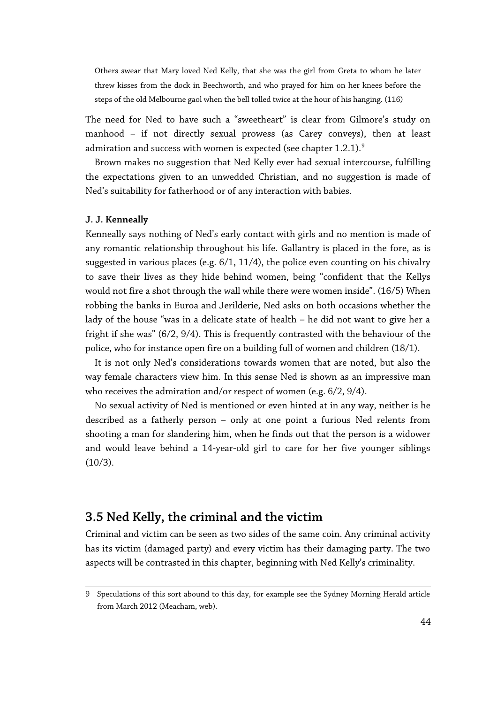Others swear that Mary loved Ned Kelly, that she was the girl from Greta to whom he later threw kisses from the dock in Beechworth, and who prayed for him on her knees before the steps of the old Melbourne gaol when the bell tolled twice at the hour of his hanging. (116)

The need for Ned to have such a "sweetheart" is clear from Gilmore's study on manhood – if not directly sexual prowess (as Carey conveys), then at least admiration and success with women is expected (see chapter 1.2.1).<sup>[9](#page-43-0)</sup>

Brown makes no suggestion that Ned Kelly ever had sexual intercourse, fulfilling the expectations given to an unwedded Christian, and no suggestion is made of Ned's suitability for fatherhood or of any interaction with babies.

#### **J. J. Kenneally**

Kenneally says nothing of Ned's early contact with girls and no mention is made of any romantic relationship throughout his life. Gallantry is placed in the fore, as is suggested in various places (e.g. 6/1, 11/4), the police even counting on his chivalry to save their lives as they hide behind women, being "confident that the Kellys would not fire a shot through the wall while there were women inside". (16/5) When robbing the banks in Euroa and Jerilderie, Ned asks on both occasions whether the lady of the house "was in a delicate state of health – he did not want to give her a fright if she was" (6/2, 9/4). This is frequently contrasted with the behaviour of the police, who for instance open fire on a building full of women and children (18/1).

It is not only Ned's considerations towards women that are noted, but also the way female characters view him. In this sense Ned is shown as an impressive man who receives the admiration and/or respect of women (e.g. 6/2, 9/4).

No sexual activity of Ned is mentioned or even hinted at in any way, neither is he described as a fatherly person – only at one point a furious Ned relents from shooting a man for slandering him, when he finds out that the person is a widower and would leave behind a 14-year-old girl to care for her five younger siblings (10/3).

# **3.5 Ned Kelly, the criminal and the victim**

Criminal and victim can be seen as two sides of the same coin. Any criminal activity has its victim (damaged party) and every victim has their damaging party. The two aspects will be contrasted in this chapter, beginning with Ned Kelly's criminality.

<span id="page-43-0"></span><sup>9</sup> Speculations of this sort abound to this day, for example see the Sydney Morning Herald article from March 2012 (Meacham, web).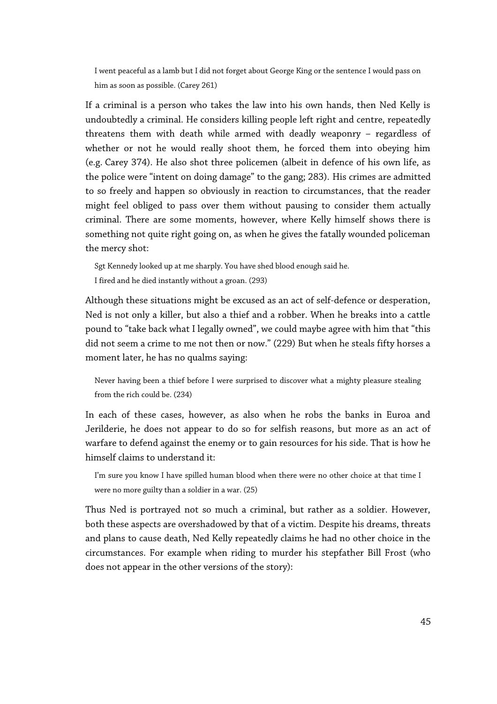I went peaceful as a lamb but I did not forget about George King or the sentence I would pass on him as soon as possible. (Carey 261)

If a criminal is a person who takes the law into his own hands, then Ned Kelly is undoubtedly a criminal. He considers killing people left right and centre, repeatedly threatens them with death while armed with deadly weaponry – regardless of whether or not he would really shoot them, he forced them into obeying him (e.g. Carey 374). He also shot three policemen (albeit in defence of his own life, as the police were "intent on doing damage" to the gang; 283). His crimes are admitted to so freely and happen so obviously in reaction to circumstances, that the reader might feel obliged to pass over them without pausing to consider them actually criminal. There are some moments, however, where Kelly himself shows there is something not quite right going on, as when he gives the fatally wounded policeman the mercy shot:

Sgt Kennedy looked up at me sharply. You have shed blood enough said he. I fired and he died instantly without a groan. (293)

Although these situations might be excused as an act of self-defence or desperation, Ned is not only a killer, but also a thief and a robber. When he breaks into a cattle pound to "take back what I legally owned", we could maybe agree with him that "this did not seem a crime to me not then or now." (229) But when he steals fifty horses a moment later, he has no qualms saying:

Never having been a thief before I were surprised to discover what a mighty pleasure stealing from the rich could be. (234)

In each of these cases, however, as also when he robs the banks in Euroa and Jerilderie, he does not appear to do so for selfish reasons, but more as an act of warfare to defend against the enemy or to gain resources for his side. That is how he himself claims to understand it:

I'm sure you know I have spilled human blood when there were no other choice at that time I were no more guilty than a soldier in a war. (25)

Thus Ned is portrayed not so much a criminal, but rather as a soldier. However, both these aspects are overshadowed by that of a victim. Despite his dreams, threats and plans to cause death, Ned Kelly repeatedly claims he had no other choice in the circumstances. For example when riding to murder his stepfather Bill Frost (who does not appear in the other versions of the story):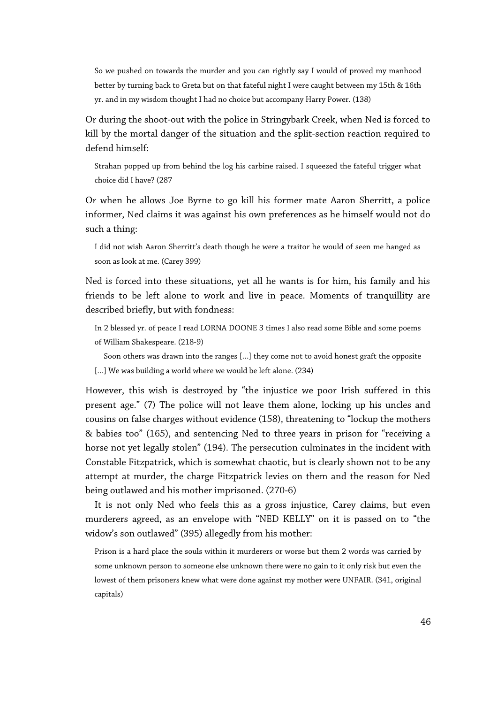So we pushed on towards the murder and you can rightly say I would of proved my manhood better by turning back to Greta but on that fateful night I were caught between my 15th & 16th yr. and in my wisdom thought I had no choice but accompany Harry Power. (138)

Or during the shoot-out with the police in Stringybark Creek, when Ned is forced to kill by the mortal danger of the situation and the split-section reaction required to defend himself:

Strahan popped up from behind the log his carbine raised. I squeezed the fateful trigger what choice did I have? (287

Or when he allows Joe Byrne to go kill his former mate Aaron Sherritt, a police informer, Ned claims it was against his own preferences as he himself would not do such a thing:

I did not wish Aaron Sherritt's death though he were a traitor he would of seen me hanged as soon as look at me. (Carey 399)

Ned is forced into these situations, yet all he wants is for him, his family and his friends to be left alone to work and live in peace. Moments of tranquillity are described briefly, but with fondness:

In 2 blessed yr. of peace I read LORNA DOONE 3 times I also read some Bible and some poems of William Shakespeare. (218-9)

Soon others was drawn into the ranges […] they come not to avoid honest graft the opposite [...] We was building a world where we would be left alone. (234)

However, this wish is destroyed by "the injustice we poor Irish suffered in this present age." (7) The police will not leave them alone, locking up his uncles and cousins on false charges without evidence (158), threatening to "lockup the mothers & babies too" (165), and sentencing Ned to three years in prison for "receiving a horse not yet legally stolen" (194). The persecution culminates in the incident with Constable Fitzpatrick, which is somewhat chaotic, but is clearly shown not to be any attempt at murder, the charge Fitzpatrick levies on them and the reason for Ned being outlawed and his mother imprisoned. (270-6)

It is not only Ned who feels this as a gross injustice, Carey claims, but even murderers agreed, as an envelope with "NED KELLY" on it is passed on to "the widow's son outlawed" (395) allegedly from his mother:

Prison is a hard place the souls within it murderers or worse but them 2 words was carried by some unknown person to someone else unknown there were no gain to it only risk but even the lowest of them prisoners knew what were done against my mother were UNFAIR. (341, original capitals)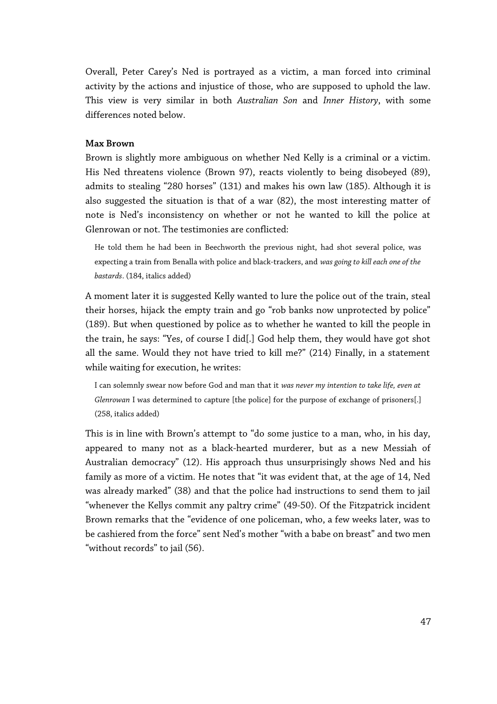Overall, Peter Carey's Ned is portrayed as a victim, a man forced into criminal activity by the actions and injustice of those, who are supposed to uphold the law. This view is very similar in both *Australian Son* and *Inner History*, with some differences noted below.

## **Max Brown**

Brown is slightly more ambiguous on whether Ned Kelly is a criminal or a victim. His Ned threatens violence (Brown 97), reacts violently to being disobeyed (89), admits to stealing "280 horses" (131) and makes his own law (185). Although it is also suggested the situation is that of a war (82), the most interesting matter of note is Ned's inconsistency on whether or not he wanted to kill the police at Glenrowan or not. The testimonies are conflicted:

He told them he had been in Beechworth the previous night, had shot several police, was expecting a train from Benalla with police and black-trackers, and *was going to kill each one of the bastards*. (184, italics added)

A moment later it is suggested Kelly wanted to lure the police out of the train, steal their horses, hijack the empty train and go "rob banks now unprotected by police" (189). But when questioned by police as to whether he wanted to kill the people in the train, he says: "Yes, of course I did[.] God help them, they would have got shot all the same. Would they not have tried to kill me?" (214) Finally, in a statement while waiting for execution, he writes:

I can solemnly swear now before God and man that it *was never my intention to take life, even at Glenrowan* I was determined to capture [the police] for the purpose of exchange of prisoners[.] (258, italics added)

This is in line with Brown's attempt to "do some justice to a man, who, in his day, appeared to many not as a black-hearted murderer, but as a new Messiah of Australian democracy" (12). His approach thus unsurprisingly shows Ned and his family as more of a victim. He notes that "it was evident that, at the age of 14, Ned was already marked" (38) and that the police had instructions to send them to jail "whenever the Kellys commit any paltry crime" (49-50). Of the Fitzpatrick incident Brown remarks that the "evidence of one policeman, who, a few weeks later, was to be cashiered from the force" sent Ned's mother "with a babe on breast" and two men "without records" to jail (56).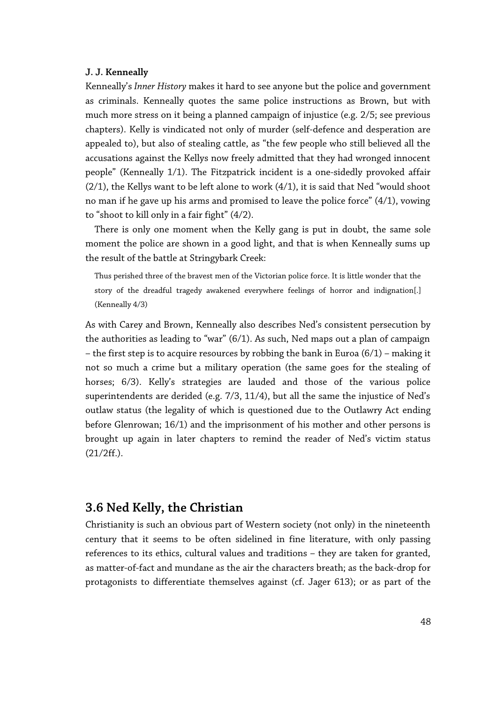#### **J. J. Kenneally**

Kenneally's *Inner History* makes it hard to see anyone but the police and government as criminals. Kenneally quotes the same police instructions as Brown, but with much more stress on it being a planned campaign of injustice (e.g. 2/5; see previous chapters). Kelly is vindicated not only of murder (self-defence and desperation are appealed to), but also of stealing cattle, as "the few people who still believed all the accusations against the Kellys now freely admitted that they had wronged innocent people" (Kenneally 1/1). The Fitzpatrick incident is a one-sidedly provoked affair (2/1), the Kellys want to be left alone to work (4/1), it is said that Ned "would shoot no man if he gave up his arms and promised to leave the police force" (4/1), vowing to "shoot to kill only in a fair fight" (4/2).

There is only one moment when the Kelly gang is put in doubt, the same sole moment the police are shown in a good light, and that is when Kenneally sums up the result of the battle at Stringybark Creek:

Thus perished three of the bravest men of the Victorian police force. It is little wonder that the story of the dreadful tragedy awakened everywhere feelings of horror and indignation[.] (Kenneally 4/3)

As with Carey and Brown, Kenneally also describes Ned's consistent persecution by the authorities as leading to "war" (6/1). As such, Ned maps out a plan of campaign – the first step is to acquire resources by robbing the bank in Euroa (6/1) – making it not so much a crime but a military operation (the same goes for the stealing of horses; 6/3). Kelly's strategies are lauded and those of the various police superintendents are derided (e.g. 7/3, 11/4), but all the same the injustice of Ned's outlaw status (the legality of which is questioned due to the Outlawry Act ending before Glenrowan; 16/1) and the imprisonment of his mother and other persons is brought up again in later chapters to remind the reader of Ned's victim status (21/2ff.).

# **3.6 Ned Kelly, the Christian**

Christianity is such an obvious part of Western society (not only) in the nineteenth century that it seems to be often sidelined in fine literature, with only passing references to its ethics, cultural values and traditions – they are taken for granted, as matter-of-fact and mundane as the air the characters breath; as the back-drop for protagonists to differentiate themselves against (cf. Jager 613); or as part of the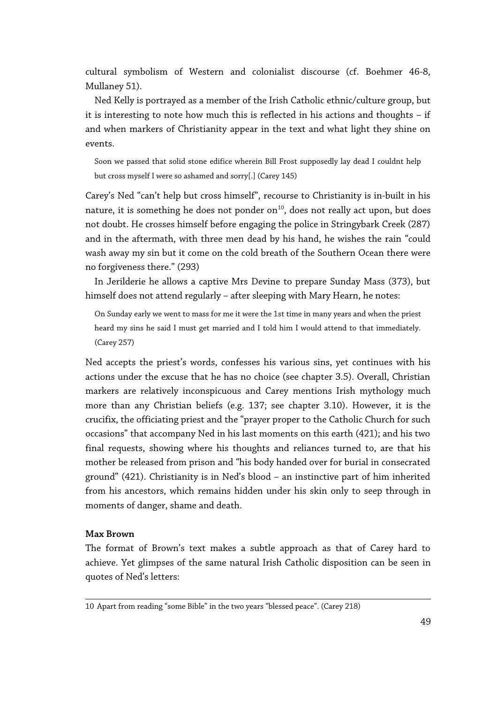cultural symbolism of Western and colonialist discourse (cf. Boehmer 46-8, Mullaney 51).

Ned Kelly is portrayed as a member of the Irish Catholic ethnic/culture group, but it is interesting to note how much this is reflected in his actions and thoughts – if and when markers of Christianity appear in the text and what light they shine on events.

Soon we passed that solid stone edifice wherein Bill Frost supposedly lay dead I couldnt help but cross myself I were so ashamed and sorry[.] (Carey 145)

Carey's Ned "can't help but cross himself", recourse to Christianity is in-built in his nature, it is something he does not ponder on $^{10}$  $^{10}$  $^{10}$ , does not really act upon, but does not doubt. He crosses himself before engaging the police in Stringybark Creek (287) and in the aftermath, with three men dead by his hand, he wishes the rain "could wash away my sin but it come on the cold breath of the Southern Ocean there were no forgiveness there." (293)

In Jerilderie he allows a captive Mrs Devine to prepare Sunday Mass (373), but himself does not attend regularly – after sleeping with Mary Hearn, he notes:

On Sunday early we went to mass for me it were the 1st time in many years and when the priest heard my sins he said I must get married and I told him I would attend to that immediately. (Carey 257)

Ned accepts the priest's words, confesses his various sins, yet continues with his actions under the excuse that he has no choice (see chapter 3.5). Overall, Christian markers are relatively inconspicuous and Carey mentions Irish mythology much more than any Christian beliefs (e.g. 137; see chapter 3.10). However, it is the crucifix, the officiating priest and the "prayer proper to the Catholic Church for such occasions" that accompany Ned in his last moments on this earth (421); and his two final requests, showing where his thoughts and reliances turned to, are that his mother be released from prison and "his body handed over for burial in consecrated ground" (421). Christianity is in Ned's blood – an instinctive part of him inherited from his ancestors, which remains hidden under his skin only to seep through in moments of danger, shame and death.

## **Max Brown**

The format of Brown's text makes a subtle approach as that of Carey hard to achieve. Yet glimpses of the same natural Irish Catholic disposition can be seen in quotes of Ned's letters:

<span id="page-48-0"></span><sup>10</sup> Apart from reading "some Bible" in the two years "blessed peace". (Carey 218)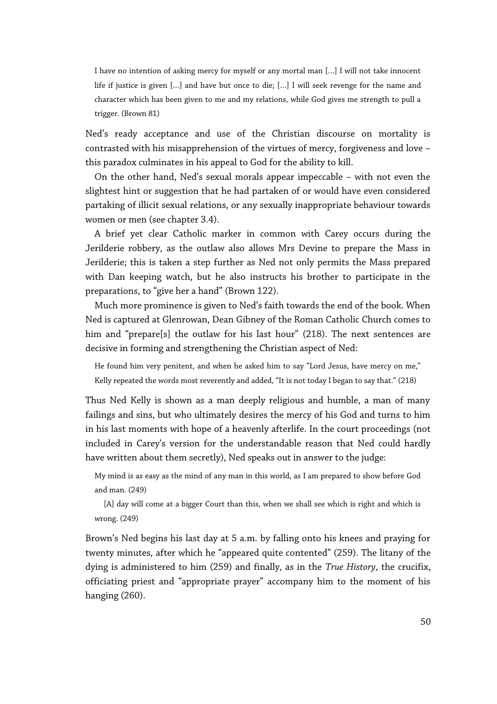I have no intention of asking mercy for myself or any mortal man […] I will not take innocent life if justice is given […] and have but once to die; […] I will seek revenge for the name and character which has been given to me and my relations, while God gives me strength to pull a trigger. (Brown 81)

Ned's ready acceptance and use of the Christian discourse on mortality is contrasted with his misapprehension of the virtues of mercy, forgiveness and love – this paradox culminates in his appeal to God for the ability to kill.

On the other hand, Ned's sexual morals appear impeccable – with not even the slightest hint or suggestion that he had partaken of or would have even considered partaking of illicit sexual relations, or any sexually inappropriate behaviour towards women or men (see chapter 3.4).

A brief yet clear Catholic marker in common with Carey occurs during the Jerilderie robbery, as the outlaw also allows Mrs Devine to prepare the Mass in Jerilderie; this is taken a step further as Ned not only permits the Mass prepared with Dan keeping watch, but he also instructs his brother to participate in the preparations, to "give her a hand" (Brown 122).

Much more prominence is given to Ned's faith towards the end of the book. When Ned is captured at Glenrowan, Dean Gibney of the Roman Catholic Church comes to him and "prepare[s] the outlaw for his last hour" (218). The next sentences are decisive in forming and strengthening the Christian aspect of Ned:

He found him very penitent, and when he asked him to say "Lord Jesus, have mercy on me," Kelly repeated the words most reverently and added, "It is not today I began to say that." (218)

Thus Ned Kelly is shown as a man deeply religious and humble, a man of many failings and sins, but who ultimately desires the mercy of his God and turns to him in his last moments with hope of a heavenly afterlife. In the court proceedings (not included in Carey's version for the understandable reason that Ned could hardly have written about them secretly), Ned speaks out in answer to the judge:

My mind is as easy as the mind of any man in this world, as I am prepared to show before God and man. (249)

[A] day will come at a bigger Court than this, when we shall see which is right and which is wrong. (249)

Brown's Ned begins his last day at 5 a.m. by falling onto his knees and praying for twenty minutes, after which he "appeared quite contented" (259). The litany of the dying is administered to him (259) and finally, as in the *True History*, the crucifix, officiating priest and "appropriate prayer" accompany him to the moment of his hanging (260).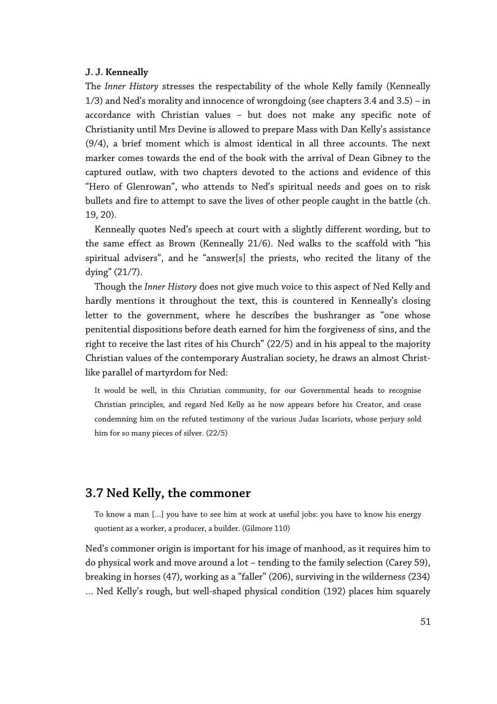#### **J. J. Kenneally**

The *Inner History* stresses the respectability of the whole Kelly family (Kenneally 1/3) and Ned's morality and innocence of wrongdoing (see chapters 3.4 and 3.5) – in accordance with Christian values – but does not make any specific note of Christianity until Mrs Devine is allowed to prepare Mass with Dan Kelly's assistance (9/4), a brief moment which is almost identical in all three accounts. The next marker comes towards the end of the book with the arrival of Dean Gibney to the captured outlaw, with two chapters devoted to the actions and evidence of this "Hero of Glenrowan", who attends to Ned's spiritual needs and goes on to risk bullets and fire to attempt to save the lives of other people caught in the battle (ch. 19, 20).

Kenneally quotes Ned's speech at court with a slightly different wording, but to the same effect as Brown (Kenneally 21/6). Ned walks to the scaffold with "his spiritual advisers", and he "answer[s] the priests, who recited the litany of the dying" (21/7).

Though the *Inner History* does not give much voice to this aspect of Ned Kelly and hardly mentions it throughout the text, this is countered in Kenneally's closing letter to the government, where he describes the bushranger as "one whose penitential dispositions before death earned for him the forgiveness of sins, and the right to receive the last rites of his Church" (22/5) and in his appeal to the majority Christian values of the contemporary Australian society, he draws an almost Christlike parallel of martyrdom for Ned:

It would be well, in this Christian community, for our Governmental heads to recognise Christian principles, and regard Ned Kelly as he now appears before his Creator, and cease condemning him on the refuted testimony of the various Judas Iscariots, whose perjury sold him for so many pieces of silver. (22/5)

# **3.7 Ned Kelly, the commoner**

To know a man […] you have to see him at work at useful jobs: you have to know his energy quotient as a worker, a producer, a builder. (Gilmore 110)

Ned's commoner origin is important for his image of manhood, as it requires him to do physical work and move around a lot – tending to the family selection (Carey 59), breaking in horses (47), working as a "faller" (206), surviving in the wilderness (234) … Ned Kelly's rough, but well-shaped physical condition (192) places him squarely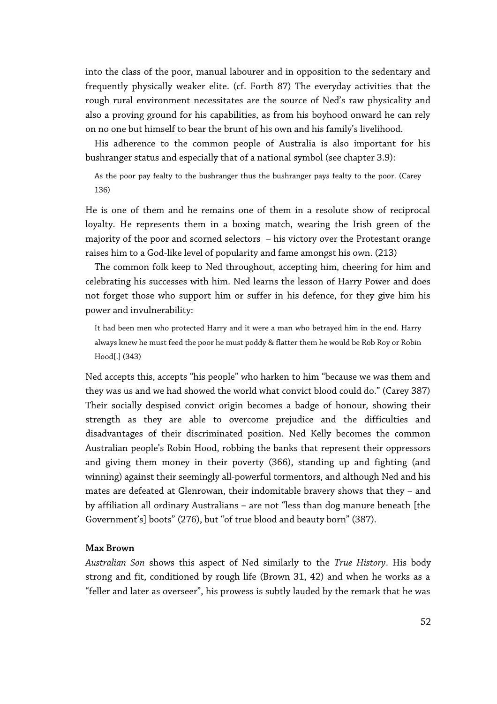into the class of the poor, manual labourer and in opposition to the sedentary and frequently physically weaker elite. (cf. Forth 87) The everyday activities that the rough rural environment necessitates are the source of Ned's raw physicality and also a proving ground for his capabilities, as from his boyhood onward he can rely on no one but himself to bear the brunt of his own and his family's livelihood.

His adherence to the common people of Australia is also important for his bushranger status and especially that of a national symbol (see chapter 3.9):

As the poor pay fealty to the bushranger thus the bushranger pays fealty to the poor. (Carey 136)

He is one of them and he remains one of them in a resolute show of reciprocal loyalty. He represents them in a boxing match, wearing the Irish green of the majority of the poor and scorned selectors – his victory over the Protestant orange raises him to a God-like level of popularity and fame amongst his own. (213)

The common folk keep to Ned throughout, accepting him, cheering for him and celebrating his successes with him. Ned learns the lesson of Harry Power and does not forget those who support him or suffer in his defence, for they give him his power and invulnerability:

It had been men who protected Harry and it were a man who betrayed him in the end. Harry always knew he must feed the poor he must poddy & flatter them he would be Rob Roy or Robin Hood[.] (343)

Ned accepts this, accepts "his people" who harken to him "because we was them and they was us and we had showed the world what convict blood could do." (Carey 387) Their socially despised convict origin becomes a badge of honour, showing their strength as they are able to overcome prejudice and the difficulties and disadvantages of their discriminated position. Ned Kelly becomes the common Australian people's Robin Hood, robbing the banks that represent their oppressors and giving them money in their poverty (366), standing up and fighting (and winning) against their seemingly all-powerful tormentors, and although Ned and his mates are defeated at Glenrowan, their indomitable bravery shows that they – and by affiliation all ordinary Australians – are not "less than dog manure beneath [the Government's] boots" (276), but "of true blood and beauty born" (387).

## **Max Brown**

*Australian Son* shows this aspect of Ned similarly to the *True History*. His body strong and fit, conditioned by rough life (Brown 31, 42) and when he works as a "feller and later as overseer", his prowess is subtly lauded by the remark that he was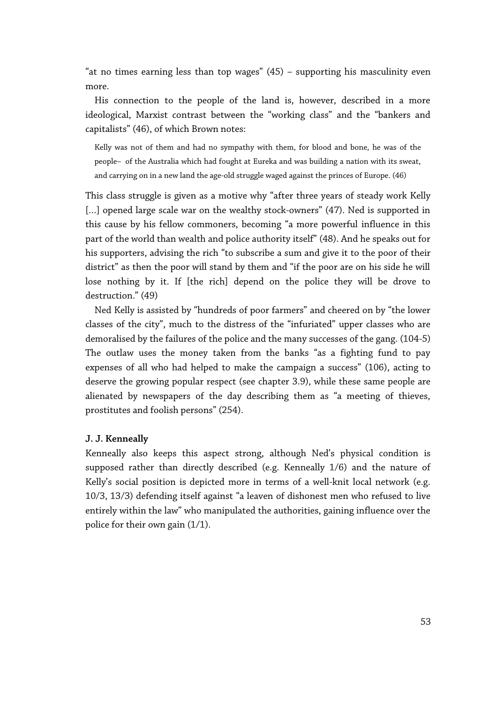"at no times earning less than top wages" (45) – supporting his masculinity even more.

His connection to the people of the land is, however, described in a more ideological, Marxist contrast between the "working class" and the "bankers and capitalists" (46), of which Brown notes:

Kelly was not of them and had no sympathy with them, for blood and bone, he was of the people—of the Australia which had fought at Eureka and was building a nation with its sweat, and carrying on in a new land the age-old struggle waged against the princes of Europe. (46)

This class struggle is given as a motive why "after three years of steady work Kelly [...] opened large scale war on the wealthy stock-owners" (47). Ned is supported in this cause by his fellow commoners, becoming "a more powerful influence in this part of the world than wealth and police authority itself" (48). And he speaks out for his supporters, advising the rich "to subscribe a sum and give it to the poor of their district" as then the poor will stand by them and "if the poor are on his side he will lose nothing by it. If [the rich] depend on the police they will be drove to destruction." (49)

Ned Kelly is assisted by "hundreds of poor farmers" and cheered on by "the lower classes of the city", much to the distress of the "infuriated" upper classes who are demoralised by the failures of the police and the many successes of the gang. (104-5) The outlaw uses the money taken from the banks "as a fighting fund to pay expenses of all who had helped to make the campaign a success" (106), acting to deserve the growing popular respect (see chapter 3.9), while these same people are alienated by newspapers of the day describing them as "a meeting of thieves, prostitutes and foolish persons" (254).

## **J. J. Kenneally**

Kenneally also keeps this aspect strong, although Ned's physical condition is supposed rather than directly described (e.g. Kenneally 1/6) and the nature of Kelly's social position is depicted more in terms of a well-knit local network (e.g. 10/3, 13/3) defending itself against "a leaven of dishonest men who refused to live entirely within the law" who manipulated the authorities, gaining influence over the police for their own gain (1/1).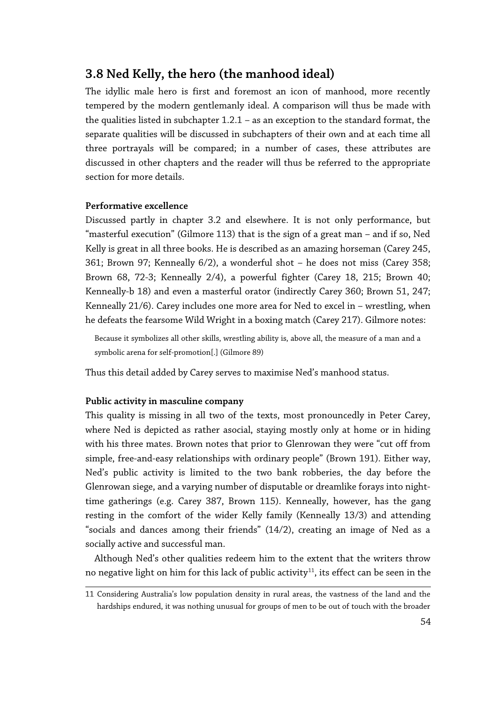# **3.8 Ned Kelly, the hero (the manhood ideal)**

The idyllic male hero is first and foremost an icon of manhood, more recently tempered by the modern gentlemanly ideal. A comparison will thus be made with the qualities listed in subchapter 1.2.1 – as an exception to the standard format, the separate qualities will be discussed in subchapters of their own and at each time all three portrayals will be compared; in a number of cases, these attributes are discussed in other chapters and the reader will thus be referred to the appropriate section for more details.

## **Performative excellence**

Discussed partly in chapter 3.2 and elsewhere. It is not only performance, but "masterful execution" (Gilmore 113) that is the sign of a great man – and if so, Ned Kelly is great in all three books. He is described as an amazing horseman (Carey 245, 361; Brown 97; Kenneally 6/2), a wonderful shot – he does not miss (Carey 358; Brown 68, 72-3; Kenneally 2/4), a powerful fighter (Carey 18, 215; Brown 40; Kenneally-b 18) and even a masterful orator (indirectly Carey 360; Brown 51, 247; Kenneally 21/6). Carey includes one more area for Ned to excel in – wrestling, when he defeats the fearsome Wild Wright in a boxing match (Carey 217). Gilmore notes:

Because it symbolizes all other skills, wrestling ability is, above all, the measure of a man and a symbolic arena for self-promotion[.] (Gilmore 89)

Thus this detail added by Carey serves to maximise Ned's manhood status.

## **Public activity in masculine company**

This quality is missing in all two of the texts, most pronouncedly in Peter Carey, where Ned is depicted as rather asocial, staying mostly only at home or in hiding with his three mates. Brown notes that prior to Glenrowan they were "cut off from simple, free-and-easy relationships with ordinary people" (Brown 191). Either way, Ned's public activity is limited to the two bank robberies, the day before the Glenrowan siege, and a varying number of disputable or dreamlike forays into nighttime gatherings (e.g. Carey 387, Brown 115). Kenneally, however, has the gang resting in the comfort of the wider Kelly family (Kenneally 13/3) and attending "socials and dances among their friends" (14/2), creating an image of Ned as a socially active and successful man.

Although Ned's other qualities redeem him to the extent that the writers throw no negative light on him for this lack of public activity<sup>[11](#page-53-0)</sup>, its effect can be seen in the

<span id="page-53-0"></span><sup>11</sup> Considering Australia's low population density in rural areas, the vastness of the land and the hardships endured, it was nothing unusual for groups of men to be out of touch with the broader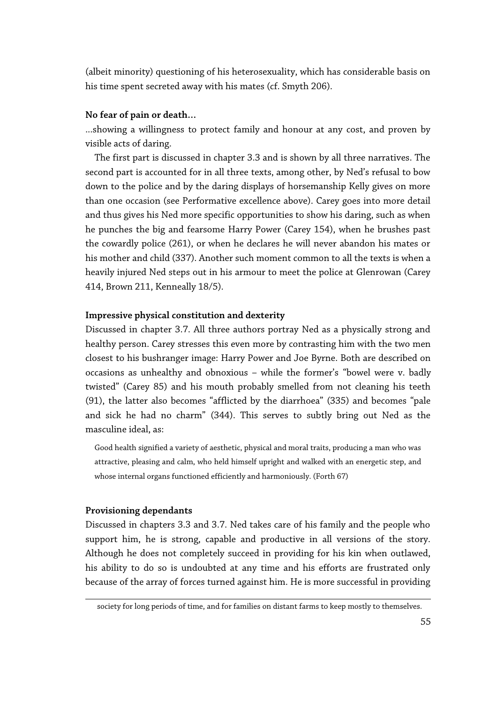(albeit minority) questioning of his heterosexuality, which has considerable basis on his time spent secreted away with his mates (cf. Smyth 206).

# **No fear of pain or death…**

...showing a willingness to protect family and honour at any cost, and proven by visible acts of daring.

The first part is discussed in chapter 3.3 and is shown by all three narratives. The second part is accounted for in all three texts, among other, by Ned's refusal to bow down to the police and by the daring displays of horsemanship Kelly gives on more than one occasion (see Performative excellence above). Carey goes into more detail and thus gives his Ned more specific opportunities to show his daring, such as when he punches the big and fearsome Harry Power (Carey 154), when he brushes past the cowardly police (261), or when he declares he will never abandon his mates or his mother and child (337). Another such moment common to all the texts is when a heavily injured Ned steps out in his armour to meet the police at Glenrowan (Carey 414, Brown 211, Kenneally 18/5).

## **Impressive physical constitution and dexterity**

Discussed in chapter 3.7. All three authors portray Ned as a physically strong and healthy person. Carey stresses this even more by contrasting him with the two men closest to his bushranger image: Harry Power and Joe Byrne. Both are described on occasions as unhealthy and obnoxious – while the former's "bowel were v. badly twisted" (Carey 85) and his mouth probably smelled from not cleaning his teeth (91), the latter also becomes "afflicted by the diarrhoea" (335) and becomes "pale and sick he had no charm" (344). This serves to subtly bring out Ned as the masculine ideal, as:

Good health signified a variety of aesthetic, physical and moral traits, producing a man who was attractive, pleasing and calm, who held himself upright and walked with an energetic step, and whose internal organs functioned efficiently and harmoniously. (Forth 67)

## **Provisioning dependants**

Discussed in chapters 3.3 and 3.7. Ned takes care of his family and the people who support him, he is strong, capable and productive in all versions of the story. Although he does not completely succeed in providing for his kin when outlawed, his ability to do so is undoubted at any time and his efforts are frustrated only because of the array of forces turned against him. He is more successful in providing

society for long periods of time, and for families on distant farms to keep mostly to themselves.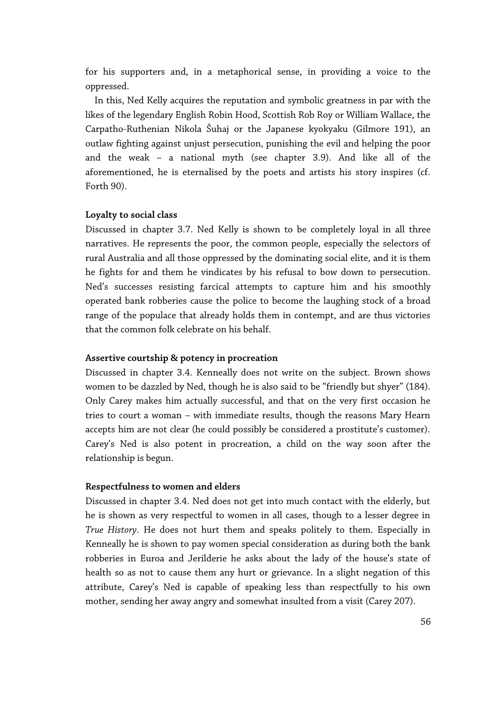for his supporters and, in a metaphorical sense, in providing a voice to the oppressed.

In this, Ned Kelly acquires the reputation and symbolic greatness in par with the likes of the legendary English Robin Hood, Scottish Rob Roy or William Wallace, the Carpatho-Ruthenian Nikola Šuhaj or the Japanese kyokyaku (Gilmore 191), an outlaw fighting against unjust persecution, punishing the evil and helping the poor and the weak – a national myth (see chapter 3.9). And like all of the aforementioned, he is eternalised by the poets and artists his story inspires (cf. Forth 90).

## **Loyalty to social class**

Discussed in chapter 3.7. Ned Kelly is shown to be completely loyal in all three narratives. He represents the poor, the common people, especially the selectors of rural Australia and all those oppressed by the dominating social elite, and it is them he fights for and them he vindicates by his refusal to bow down to persecution. Ned's successes resisting farcical attempts to capture him and his smoothly operated bank robberies cause the police to become the laughing stock of a broad range of the populace that already holds them in contempt, and are thus victories that the common folk celebrate on his behalf.

## **Assertive courtship & potency in procreation**

Discussed in chapter 3.4. Kenneally does not write on the subject. Brown shows women to be dazzled by Ned, though he is also said to be "friendly but shyer" (184). Only Carey makes him actually successful, and that on the very first occasion he tries to court a woman – with immediate results, though the reasons Mary Hearn accepts him are not clear (he could possibly be considered a prostitute's customer). Carey's Ned is also potent in procreation, a child on the way soon after the relationship is begun.

#### **Respectfulness to women and elders**

Discussed in chapter 3.4. Ned does not get into much contact with the elderly, but he is shown as very respectful to women in all cases, though to a lesser degree in *True History*. He does not hurt them and speaks politely to them. Especially in Kenneally he is shown to pay women special consideration as during both the bank robberies in Euroa and Jerilderie he asks about the lady of the house's state of health so as not to cause them any hurt or grievance. In a slight negation of this attribute, Carey's Ned is capable of speaking less than respectfully to his own mother, sending her away angry and somewhat insulted from a visit (Carey 207).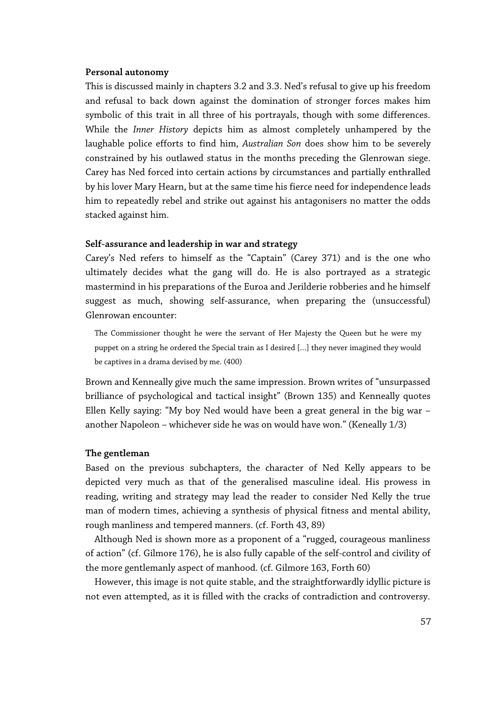#### **Personal autonomy**

This is discussed mainly in chapters 3.2 and 3.3. Ned's refusal to give up his freedom and refusal to back down against the domination of stronger forces makes him symbolic of this trait in all three of his portrayals, though with some differences. While the *Inner History* depicts him as almost completely unhampered by the laughable police efforts to find him, *Australian Son* does show him to be severely constrained by his outlawed status in the months preceding the Glenrowan siege. Carey has Ned forced into certain actions by circumstances and partially enthralled by his lover Mary Hearn, but at the same time his fierce need for independence leads him to repeatedly rebel and strike out against his antagonisers no matter the odds stacked against him.

## **Self-assurance and leadership in war and strategy**

Carey's Ned refers to himself as the "Captain" (Carey 371) and is the one who ultimately decides what the gang will do. He is also portrayed as a strategic mastermind in his preparations of the Euroa and Jerilderie robberies and he himself suggest as much, showing self-assurance, when preparing the (unsuccessful) Glenrowan encounter:

The Commissioner thought he were the servant of Her Majesty the Queen but he were my puppet on a string he ordered the Special train as I desired […] they never imagined they would be captives in a drama devised by me. (400)

Brown and Kenneally give much the same impression. Brown writes of "unsurpassed brilliance of psychological and tactical insight" (Brown 135) and Kenneally quotes Ellen Kelly saying: "My boy Ned would have been a great general in the big war – another Napoleon – whichever side he was on would have won." (Keneally 1/3)

#### **The gentleman**

Based on the previous subchapters, the character of Ned Kelly appears to be depicted very much as that of the generalised masculine ideal. His prowess in reading, writing and strategy may lead the reader to consider Ned Kelly the true man of modern times, achieving a synthesis of physical fitness and mental ability, rough manliness and tempered manners. (cf. Forth 43, 89)

Although Ned is shown more as a proponent of a "rugged, courageous manliness of action" (cf. Gilmore 176), he is also fully capable of the self-control and civility of the more gentlemanly aspect of manhood. (cf. Gilmore 163, Forth 60)

However, this image is not quite stable, and the straightforwardly idyllic picture is not even attempted, as it is filled with the cracks of contradiction and controversy.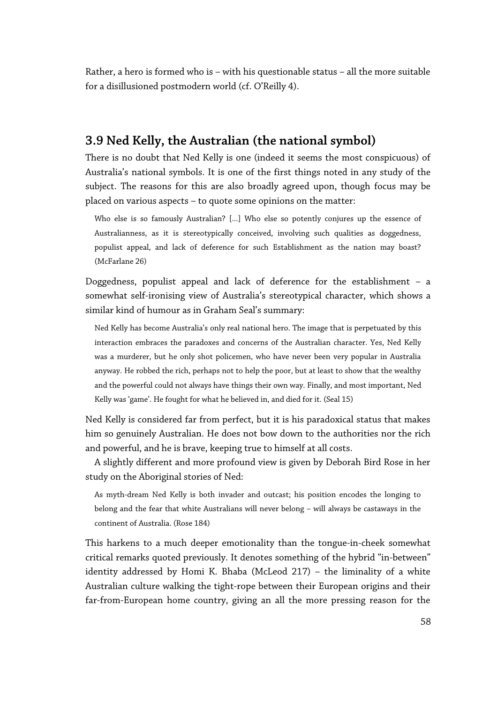Rather, a hero is formed who is – with his questionable status – all the more suitable for a disillusioned postmodern world (cf. O'Reilly 4).

# **3.9 Ned Kelly, the Australian (the national symbol)**

There is no doubt that Ned Kelly is one (indeed it seems the most conspicuous) of Australia's national symbols. It is one of the first things noted in any study of the subject. The reasons for this are also broadly agreed upon, though focus may be placed on various aspects – to quote some opinions on the matter:

Who else is so famously Australian? [...] Who else so potently conjures up the essence of Australianness, as it is stereotypically conceived, involving such qualities as doggedness, populist appeal, and lack of deference for such Establishment as the nation may boast? (McFarlane 26)

Doggedness, populist appeal and lack of deference for the establishment – a somewhat self-ironising view of Australia's stereotypical character, which shows a similar kind of humour as in Graham Seal's summary:

Ned Kelly has become Australia's only real national hero. The image that is perpetuated by this interaction embraces the paradoxes and concerns of the Australian character. Yes, Ned Kelly was a murderer, but he only shot policemen, who have never been very popular in Australia anyway. He robbed the rich, perhaps not to help the poor, but at least to show that the wealthy and the powerful could not always have things their own way. Finally, and most important, Ned Kelly was 'game'. He fought for what he believed in, and died for it. (Seal 15)

Ned Kelly is considered far from perfect, but it is his paradoxical status that makes him so genuinely Australian. He does not bow down to the authorities nor the rich and powerful, and he is brave, keeping true to himself at all costs.

A slightly different and more profound view is given by Deborah Bird Rose in her study on the Aboriginal stories of Ned:

As myth-dream Ned Kelly is both invader and outcast; his position encodes the longing to belong and the fear that white Australians will never belong – will always be castaways in the continent of Australia. (Rose 184)

This harkens to a much deeper emotionality than the tongue-in-cheek somewhat critical remarks quoted previously. It denotes something of the hybrid "in-between" identity addressed by Homi K. Bhaba (McLeod 217) – the liminality of a white Australian culture walking the tight-rope between their European origins and their far-from-European home country, giving an all the more pressing reason for the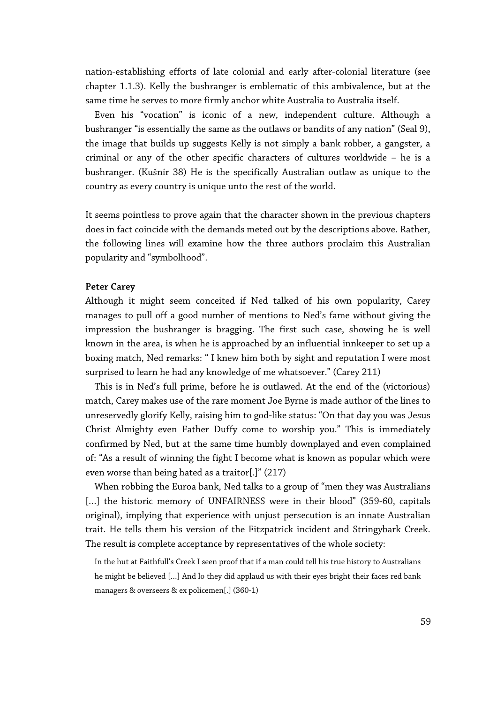nation-establishing efforts of late colonial and early after-colonial literature (see chapter 1.1.3). Kelly the bushranger is emblematic of this ambivalence, but at the same time he serves to more firmly anchor white Australia to Australia itself.

Even his "vocation" is iconic of a new, independent culture. Although a bushranger "is essentially the same as the outlaws or bandits of any nation" (Seal 9), the image that builds up suggests Kelly is not simply a bank robber, a gangster, a criminal or any of the other specific characters of cultures worldwide – he is a bushranger. (Kušnír 38) He is the specifically Australian outlaw as unique to the country as every country is unique unto the rest of the world.

It seems pointless to prove again that the character shown in the previous chapters does in fact coincide with the demands meted out by the descriptions above. Rather, the following lines will examine how the three authors proclaim this Australian popularity and "symbolhood".

## **Peter Carey**

Although it might seem conceited if Ned talked of his own popularity, Carey manages to pull off a good number of mentions to Ned's fame without giving the impression the bushranger is bragging. The first such case, showing he is well known in the area, is when he is approached by an influential innkeeper to set up a boxing match, Ned remarks: " I knew him both by sight and reputation I were most surprised to learn he had any knowledge of me whatsoever." (Carey 211)

This is in Ned's full prime, before he is outlawed. At the end of the (victorious) match, Carey makes use of the rare moment Joe Byrne is made author of the lines to unreservedly glorify Kelly, raising him to god-like status: "On that day you was Jesus Christ Almighty even Father Duffy come to worship you." This is immediately confirmed by Ned, but at the same time humbly downplayed and even complained of: "As a result of winning the fight I become what is known as popular which were even worse than being hated as a traitor[.]" (217)

When robbing the Euroa bank, Ned talks to a group of "men they was Australians [...] the historic memory of UNFAIRNESS were in their blood" (359-60, capitals original), implying that experience with unjust persecution is an innate Australian trait. He tells them his version of the Fitzpatrick incident and Stringybark Creek. The result is complete acceptance by representatives of the whole society:

In the hut at Faithfull's Creek I seen proof that if a man could tell his true history to Australians he might be believed […] And lo they did applaud us with their eyes bright their faces red bank managers & overseers & ex policemen[.] (360-1)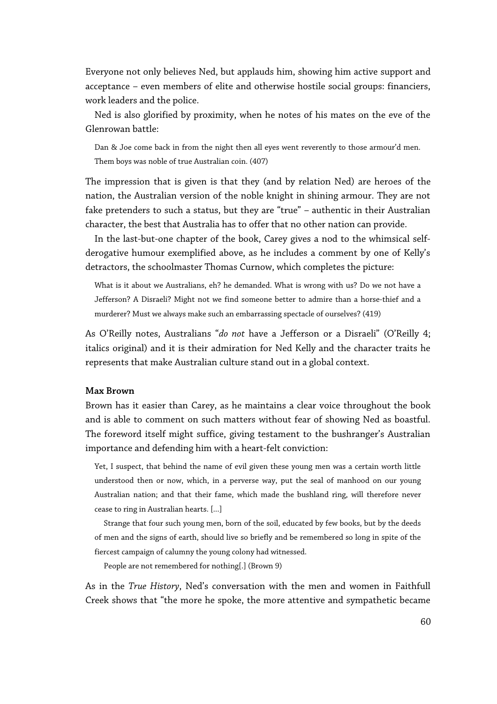Everyone not only believes Ned, but applauds him, showing him active support and acceptance – even members of elite and otherwise hostile social groups: financiers, work leaders and the police.

Ned is also glorified by proximity, when he notes of his mates on the eve of the Glenrowan battle:

Dan & Joe come back in from the night then all eyes went reverently to those armour'd men. Them boys was noble of true Australian coin. (407)

The impression that is given is that they (and by relation Ned) are heroes of the nation, the Australian version of the noble knight in shining armour. They are not fake pretenders to such a status, but they are "true" – authentic in their Australian character, the best that Australia has to offer that no other nation can provide.

In the last-but-one chapter of the book, Carey gives a nod to the whimsical selfderogative humour exemplified above, as he includes a comment by one of Kelly's detractors, the schoolmaster Thomas Curnow, which completes the picture:

What is it about we Australians, eh? he demanded. What is wrong with us? Do we not have a Jefferson? A Disraeli? Might not we find someone better to admire than a horse-thief and a murderer? Must we always make such an embarrassing spectacle of ourselves? (419)

As O'Reilly notes, Australians "*do not* have a Jefferson or a Disraeli" (O'Reilly 4; italics original) and it is their admiration for Ned Kelly and the character traits he represents that make Australian culture stand out in a global context.

#### **Max Brown**

Brown has it easier than Carey, as he maintains a clear voice throughout the book and is able to comment on such matters without fear of showing Ned as boastful. The foreword itself might suffice, giving testament to the bushranger's Australian importance and defending him with a heart-felt conviction:

Yet, I suspect, that behind the name of evil given these young men was a certain worth little understood then or now, which, in a perverse way, put the seal of manhood on our young Australian nation; and that their fame, which made the bushland ring, will therefore never cease to ring in Australian hearts. [...]

Strange that four such young men, born of the soil, educated by few books, but by the deeds of men and the signs of earth, should live so briefly and be remembered so long in spite of the fiercest campaign of calumny the young colony had witnessed.

People are not remembered for nothing[.] (Brown 9)

As in the *True History*, Ned's conversation with the men and women in Faithfull Creek shows that "the more he spoke, the more attentive and sympathetic became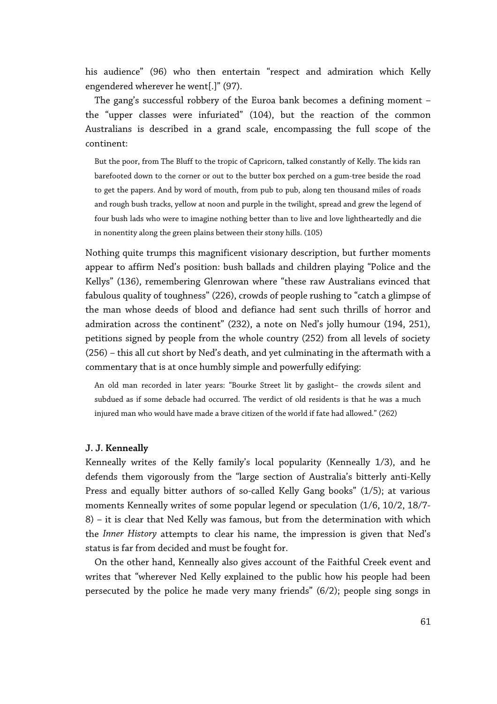his audience" (96) who then entertain "respect and admiration which Kelly engendered wherever he went[.]" (97).

The gang's successful robbery of the Euroa bank becomes a defining moment – the "upper classes were infuriated" (104), but the reaction of the common Australians is described in a grand scale, encompassing the full scope of the continent:

But the poor, from The Bluff to the tropic of Capricorn, talked constantly of Kelly. The kids ran barefooted down to the corner or out to the butter box perched on a gum-tree beside the road to get the papers. And by word of mouth, from pub to pub, along ten thousand miles of roads and rough bush tracks, yellow at noon and purple in the twilight, spread and grew the legend of four bush lads who were to imagine nothing better than to live and love lightheartedly and die in nonentity along the green plains between their stony hills. (105)

Nothing quite trumps this magnificent visionary description, but further moments appear to affirm Ned's position: bush ballads and children playing "Police and the Kellys" (136), remembering Glenrowan where "these raw Australians evinced that fabulous quality of toughness" (226), crowds of people rushing to "catch a glimpse of the man whose deeds of blood and defiance had sent such thrills of horror and admiration across the continent" (232), a note on Ned's jolly humour (194, 251), petitions signed by people from the whole country (252) from all levels of society (256) – this all cut short by Ned's death, and yet culminating in the aftermath with a commentary that is at once humbly simple and powerfully edifying:

An old man recorded in later years: "Bourke Street lit by gaslight- the crowds silent and subdued as if some debacle had occurred. The verdict of old residents is that he was a much injured man who would have made a brave citizen of the world if fate had allowed." (262)

#### **J. J. Kenneally**

Kenneally writes of the Kelly family's local popularity (Kenneally 1/3), and he defends them vigorously from the "large section of Australia's bitterly anti-Kelly Press and equally bitter authors of so-called Kelly Gang books" (1/5); at various moments Kenneally writes of some popular legend or speculation (1/6, 10/2, 18/7- 8) – it is clear that Ned Kelly was famous, but from the determination with which the *Inner History* attempts to clear his name, the impression is given that Ned's status is far from decided and must be fought for.

On the other hand, Kenneally also gives account of the Faithful Creek event and writes that "wherever Ned Kelly explained to the public how his people had been persecuted by the police he made very many friends" (6/2); people sing songs in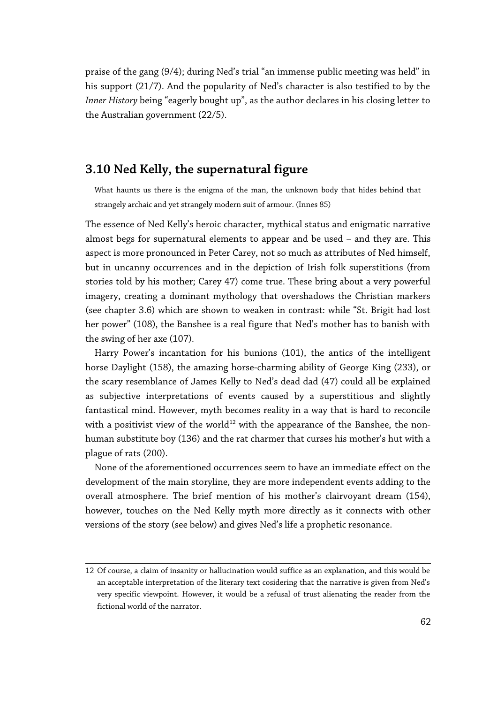praise of the gang (9/4); during Ned's trial "an immense public meeting was held" in his support (21/7). And the popularity of Ned's character is also testified to by the *Inner History* being "eagerly bought up", as the author declares in his closing letter to the Australian government (22/5).

# **3.10 Ned Kelly, the supernatural figure**

What haunts us there is the enigma of the man, the unknown body that hides behind that strangely archaic and yet strangely modern suit of armour. (Innes 85)

The essence of Ned Kelly's heroic character, mythical status and enigmatic narrative almost begs for supernatural elements to appear and be used – and they are. This aspect is more pronounced in Peter Carey, not so much as attributes of Ned himself, but in uncanny occurrences and in the depiction of Irish folk superstitions (from stories told by his mother; Carey 47) come true. These bring about a very powerful imagery, creating a dominant mythology that overshadows the Christian markers (see chapter 3.6) which are shown to weaken in contrast: while "St. Brigit had lost her power" (108), the Banshee is a real figure that Ned's mother has to banish with the swing of her axe (107).

Harry Power's incantation for his bunions (101), the antics of the intelligent horse Daylight (158), the amazing horse-charming ability of George King (233), or the scary resemblance of James Kelly to Ned's dead dad (47) could all be explained as subjective interpretations of events caused by a superstitious and slightly fantastical mind. However, myth becomes reality in a way that is hard to reconcile with a positivist view of the world<sup>[12](#page-61-0)</sup> with the appearance of the Banshee, the nonhuman substitute boy (136) and the rat charmer that curses his mother's hut with a plague of rats (200).

None of the aforementioned occurrences seem to have an immediate effect on the development of the main storyline, they are more independent events adding to the overall atmosphere. The brief mention of his mother's clairvoyant dream (154), however, touches on the Ned Kelly myth more directly as it connects with other versions of the story (see below) and gives Ned's life a prophetic resonance.

<span id="page-61-0"></span><sup>12</sup> Of course, a claim of insanity or hallucination would suffice as an explanation, and this would be an acceptable interpretation of the literary text cosidering that the narrative is given from Ned's very specific viewpoint. However, it would be a refusal of trust alienating the reader from the fictional world of the narrator.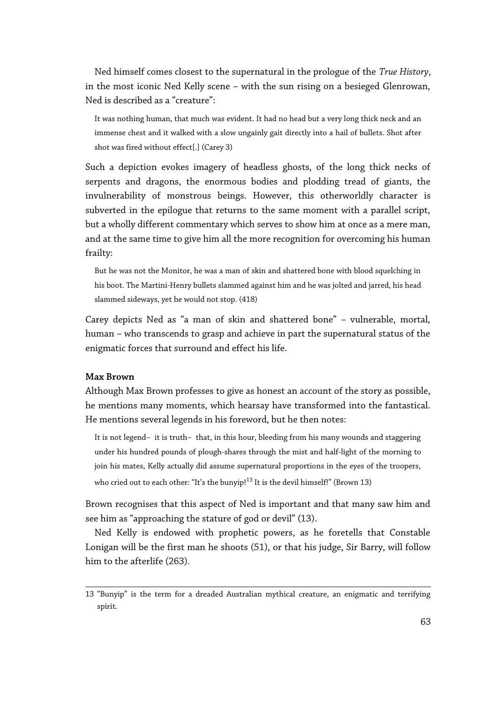Ned himself comes closest to the supernatural in the prologue of the *True History*, in the most iconic Ned Kelly scene – with the sun rising on a besieged Glenrowan, Ned is described as a "creature":

It was nothing human, that much was evident. It had no head but a very long thick neck and an immense chest and it walked with a slow ungainly gait directly into a hail of bullets. Shot after shot was fired without effect[.] (Carey 3)

Such a depiction evokes imagery of headless ghosts, of the long thick necks of serpents and dragons, the enormous bodies and plodding tread of giants, the invulnerability of monstrous beings. However, this otherworldly character is subverted in the epilogue that returns to the same moment with a parallel script, but a wholly different commentary which serves to show him at once as a mere man, and at the same time to give him all the more recognition for overcoming his human frailty:

But he was not the Monitor, he was a man of skin and shattered bone with blood squelching in his boot. The Martini-Henry bullets slammed against him and he was jolted and jarred, his head slammed sideways, yet he would not stop. (418)

Carey depicts Ned as "a man of skin and shattered bone" – vulnerable, mortal, human – who transcends to grasp and achieve in part the supernatural status of the enigmatic forces that surround and effect his life.

#### **Max Brown**

Although Max Brown professes to give as honest an account of the story as possible, he mentions many moments, which hearsay have transformed into the fantastical. He mentions several legends in his foreword, but he then notes:

It is not legend-it is truth-that, in this hour, bleeding from his many wounds and staggering under his hundred pounds of plough-shares through the mist and half-light of the morning to join his mates, Kelly actually did assume supernatural proportions in the eyes of the troopers, who cried out to each other: "It's the bunyip!<sup>[13](#page-62-0)</sup> It is the devil himself!" (Brown 13)

Brown recognises that this aspect of Ned is important and that many saw him and see him as "approaching the stature of god or devil" (13).

Ned Kelly is endowed with prophetic powers, as he foretells that Constable Lonigan will be the first man he shoots (51), or that his judge, Sir Barry, will follow him to the afterlife (263).

<span id="page-62-0"></span><sup>13</sup> "Bunyip" is the term for a dreaded Australian mythical creature, an enigmatic and terrifying spirit.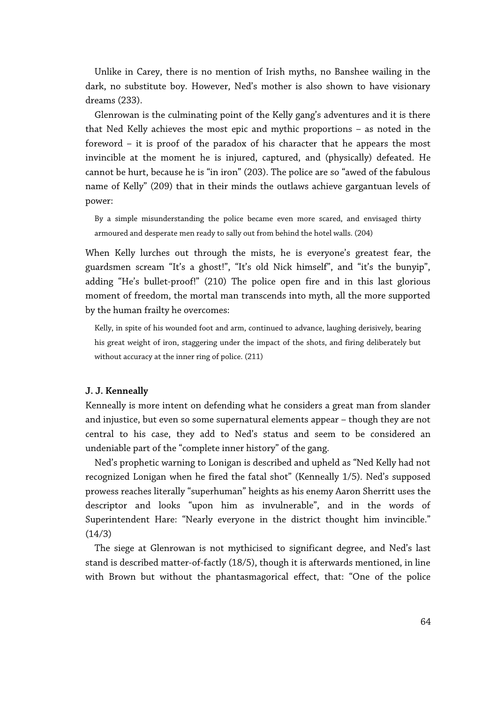Unlike in Carey, there is no mention of Irish myths, no Banshee wailing in the dark, no substitute boy. However, Ned's mother is also shown to have visionary dreams (233).

Glenrowan is the culminating point of the Kelly gang's adventures and it is there that Ned Kelly achieves the most epic and mythic proportions – as noted in the foreword – it is proof of the paradox of his character that he appears the most invincible at the moment he is injured, captured, and (physically) defeated. He cannot be hurt, because he is "in iron" (203). The police are so "awed of the fabulous name of Kelly" (209) that in their minds the outlaws achieve gargantuan levels of power:

By a simple misunderstanding the police became even more scared, and envisaged thirty armoured and desperate men ready to sally out from behind the hotel walls. (204)

When Kelly lurches out through the mists, he is everyone's greatest fear, the guardsmen scream "It's a ghost!", "It's old Nick himself", and "it's the bunyip", adding "He's bullet-proof!" (210) The police open fire and in this last glorious moment of freedom, the mortal man transcends into myth, all the more supported by the human frailty he overcomes:

Kelly, in spite of his wounded foot and arm, continued to advance, laughing derisively, bearing his great weight of iron, staggering under the impact of the shots, and firing deliberately but without accuracy at the inner ring of police. (211)

#### **J. J. Kenneally**

Kenneally is more intent on defending what he considers a great man from slander and injustice, but even so some supernatural elements appear – though they are not central to his case, they add to Ned's status and seem to be considered an undeniable part of the "complete inner history" of the gang.

Ned's prophetic warning to Lonigan is described and upheld as "Ned Kelly had not recognized Lonigan when he fired the fatal shot" (Kenneally 1/5). Ned's supposed prowess reaches literally "superhuman" heights as his enemy Aaron Sherritt uses the descriptor and looks "upon him as invulnerable", and in the words of Superintendent Hare: "Nearly everyone in the district thought him invincible." (14/3)

The siege at Glenrowan is not mythicised to significant degree, and Ned's last stand is described matter-of-factly (18/5), though it is afterwards mentioned, in line with Brown but without the phantasmagorical effect, that: "One of the police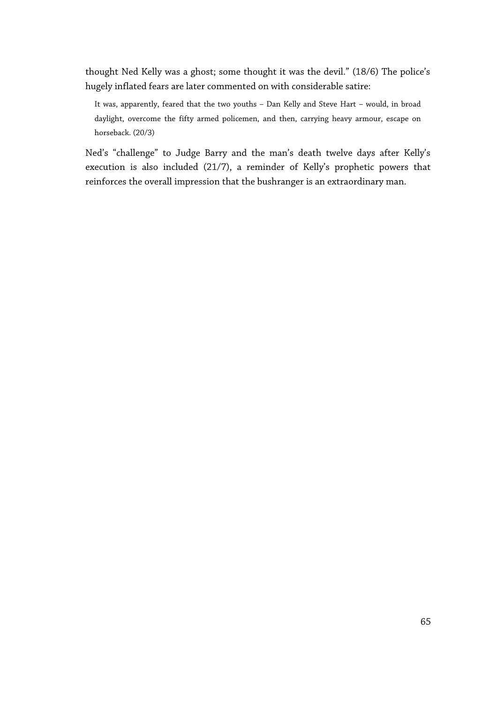thought Ned Kelly was a ghost; some thought it was the devil." (18/6) The police's hugely inflated fears are later commented on with considerable satire:

It was, apparently, feared that the two youths – Dan Kelly and Steve Hart – would, in broad daylight, overcome the fifty armed policemen, and then, carrying heavy armour, escape on horseback. (20/3)

Ned's "challenge" to Judge Barry and the man's death twelve days after Kelly's execution is also included (21/7), a reminder of Kelly's prophetic powers that reinforces the overall impression that the bushranger is an extraordinary man.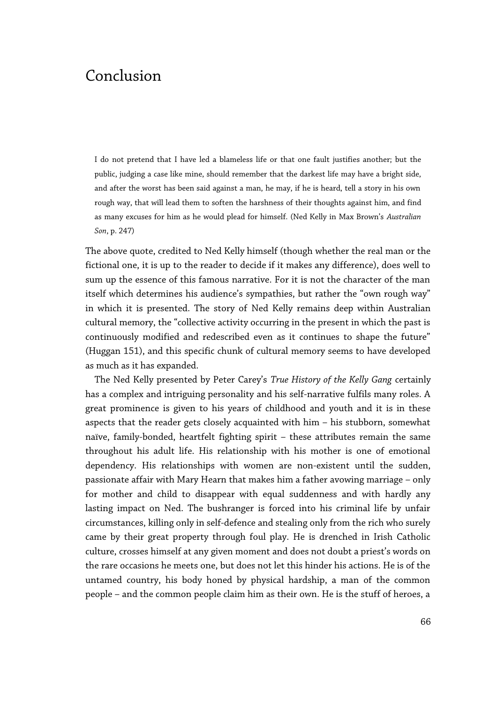# Conclusion

I do not pretend that I have led a blameless life or that one fault justifies another; but the public, judging a case like mine, should remember that the darkest life may have a bright side, and after the worst has been said against a man, he may, if he is heard, tell a story in his own rough way, that will lead them to soften the harshness of their thoughts against him, and find as many excuses for him as he would plead for himself. (Ned Kelly in Max Brown's *Australian Son*, p. 247)

The above quote, credited to Ned Kelly himself (though whether the real man or the fictional one, it is up to the reader to decide if it makes any difference), does well to sum up the essence of this famous narrative. For it is not the character of the man itself which determines his audience's sympathies, but rather the "own rough way" in which it is presented. The story of Ned Kelly remains deep within Australian cultural memory, the "collective activity occurring in the present in which the past is continuously modified and redescribed even as it continues to shape the future" (Huggan 151), and this specific chunk of cultural memory seems to have developed as much as it has expanded.

The Ned Kelly presented by Peter Carey's *True History of the Kelly Gang* certainly has a complex and intriguing personality and his self-narrative fulfils many roles. A great prominence is given to his years of childhood and youth and it is in these aspects that the reader gets closely acquainted with him – his stubborn, somewhat naïve, family-bonded, heartfelt fighting spirit – these attributes remain the same throughout his adult life. His relationship with his mother is one of emotional dependency. His relationships with women are non-existent until the sudden, passionate affair with Mary Hearn that makes him a father avowing marriage – only for mother and child to disappear with equal suddenness and with hardly any lasting impact on Ned. The bushranger is forced into his criminal life by unfair circumstances, killing only in self-defence and stealing only from the rich who surely came by their great property through foul play. He is drenched in Irish Catholic culture, crosses himself at any given moment and does not doubt a priest's words on the rare occasions he meets one, but does not let this hinder his actions. He is of the untamed country, his body honed by physical hardship, a man of the common people – and the common people claim him as their own. He is the stuff of heroes, a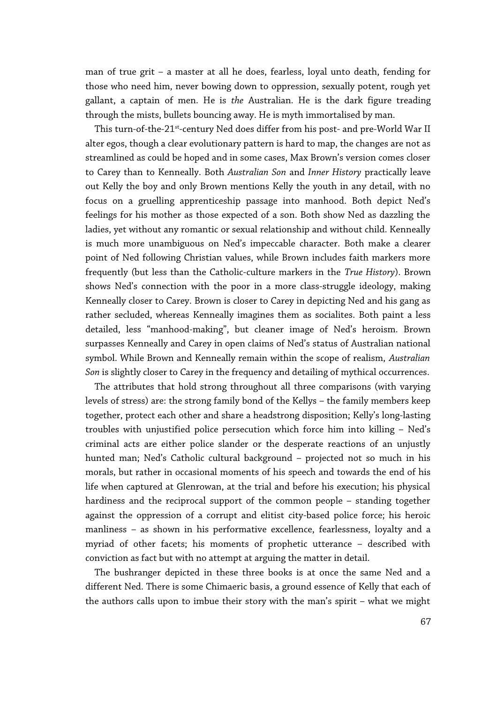man of true grit – a master at all he does, fearless, loyal unto death, fending for those who need him, never bowing down to oppression, sexually potent, rough yet gallant, a captain of men. He is *the* Australian. He is the dark figure treading through the mists, bullets bouncing away. He is myth immortalised by man.

This turn-of-the-21<sup>st</sup>-century Ned does differ from his post- and pre-World War II alter egos, though a clear evolutionary pattern is hard to map, the changes are not as streamlined as could be hoped and in some cases, Max Brown's version comes closer to Carey than to Kenneally. Both *Australian Son* and *Inner History* practically leave out Kelly the boy and only Brown mentions Kelly the youth in any detail, with no focus on a gruelling apprenticeship passage into manhood. Both depict Ned's feelings for his mother as those expected of a son. Both show Ned as dazzling the ladies, yet without any romantic or sexual relationship and without child. Kenneally is much more unambiguous on Ned's impeccable character. Both make a clearer point of Ned following Christian values, while Brown includes faith markers more frequently (but less than the Catholic-culture markers in the *True History*). Brown shows Ned's connection with the poor in a more class-struggle ideology, making Kenneally closer to Carey. Brown is closer to Carey in depicting Ned and his gang as rather secluded, whereas Kenneally imagines them as socialites. Both paint a less detailed, less "manhood-making", but cleaner image of Ned's heroism. Brown surpasses Kenneally and Carey in open claims of Ned's status of Australian national symbol. While Brown and Kenneally remain within the scope of realism, *Australian Son* is slightly closer to Carey in the frequency and detailing of mythical occurrences.

The attributes that hold strong throughout all three comparisons (with varying levels of stress) are: the strong family bond of the Kellys – the family members keep together, protect each other and share a headstrong disposition; Kelly's long-lasting troubles with unjustified police persecution which force him into killing – Ned's criminal acts are either police slander or the desperate reactions of an unjustly hunted man; Ned's Catholic cultural background – projected not so much in his morals, but rather in occasional moments of his speech and towards the end of his life when captured at Glenrowan, at the trial and before his execution; his physical hardiness and the reciprocal support of the common people – standing together against the oppression of a corrupt and elitist city-based police force; his heroic manliness – as shown in his performative excellence, fearlessness, loyalty and a myriad of other facets; his moments of prophetic utterance – described with conviction as fact but with no attempt at arguing the matter in detail.

The bushranger depicted in these three books is at once the same Ned and a different Ned. There is some Chimaeric basis, a ground essence of Kelly that each of the authors calls upon to imbue their story with the man's spirit – what we might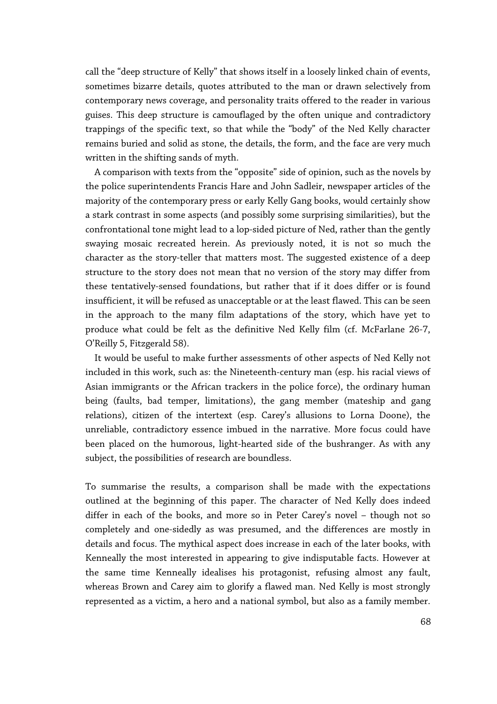call the "deep structure of Kelly" that shows itself in a loosely linked chain of events, sometimes bizarre details, quotes attributed to the man or drawn selectively from contemporary news coverage, and personality traits offered to the reader in various guises. This deep structure is camouflaged by the often unique and contradictory trappings of the specific text, so that while the "body" of the Ned Kelly character remains buried and solid as stone, the details, the form, and the face are very much written in the shifting sands of myth.

A comparison with texts from the "opposite" side of opinion, such as the novels by the police superintendents Francis Hare and John Sadleir, newspaper articles of the majority of the contemporary press or early Kelly Gang books, would certainly show a stark contrast in some aspects (and possibly some surprising similarities), but the confrontational tone might lead to a lop-sided picture of Ned, rather than the gently swaying mosaic recreated herein. As previously noted, it is not so much the character as the story-teller that matters most. The suggested existence of a deep structure to the story does not mean that no version of the story may differ from these tentatively-sensed foundations, but rather that if it does differ or is found insufficient, it will be refused as unacceptable or at the least flawed. This can be seen in the approach to the many film adaptations of the story, which have yet to produce what could be felt as the definitive Ned Kelly film (cf. McFarlane 26-7, O'Reilly 5, Fitzgerald 58).

It would be useful to make further assessments of other aspects of Ned Kelly not included in this work, such as: the Nineteenth-century man (esp. his racial views of Asian immigrants or the African trackers in the police force), the ordinary human being (faults, bad temper, limitations), the gang member (mateship and gang relations), citizen of the intertext (esp. Carey's allusions to Lorna Doone), the unreliable, contradictory essence imbued in the narrative. More focus could have been placed on the humorous, light-hearted side of the bushranger. As with any subject, the possibilities of research are boundless.

To summarise the results, a comparison shall be made with the expectations outlined at the beginning of this paper. The character of Ned Kelly does indeed differ in each of the books, and more so in Peter Carey's novel – though not so completely and one-sidedly as was presumed, and the differences are mostly in details and focus. The mythical aspect does increase in each of the later books, with Kenneally the most interested in appearing to give indisputable facts. However at the same time Kenneally idealises his protagonist, refusing almost any fault, whereas Brown and Carey aim to glorify a flawed man. Ned Kelly is most strongly represented as a victim, a hero and a national symbol, but also as a family member.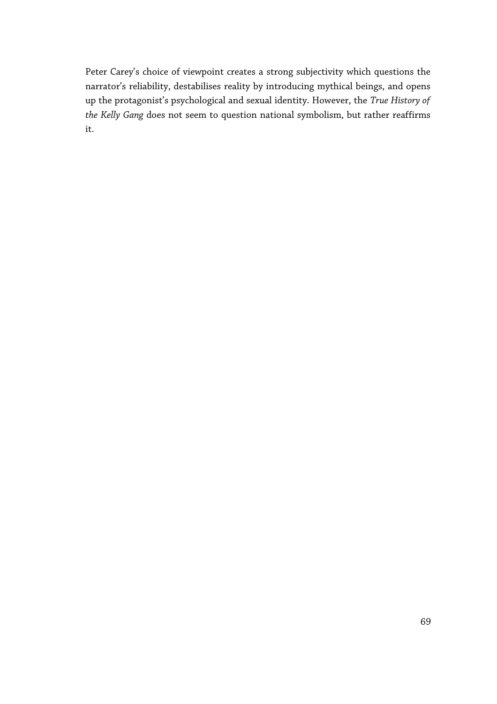Peter Carey's choice of viewpoint creates a strong subjectivity which questions the narrator's reliability, destabilises reality by introducing mythical beings, and opens up the protagonist's psychological and sexual identity. However, the *True History of the Kelly Gang* does not seem to question national symbolism, but rather reaffirms it.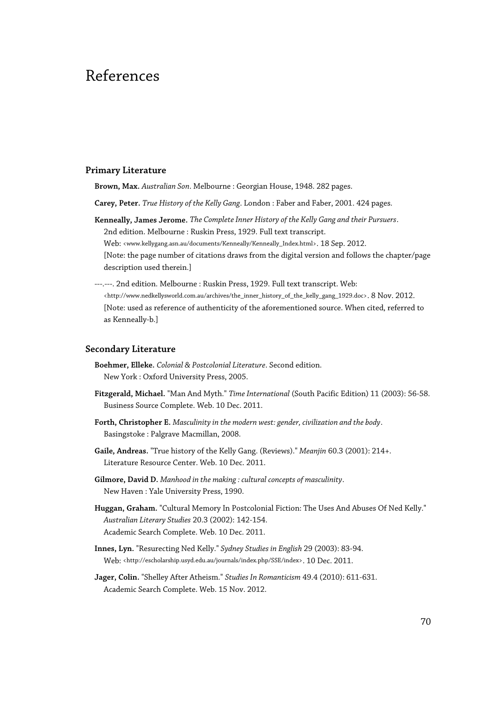# References

#### **Primary Literature**

**Brown, Max.** *Australian Son*. Melbourne : Georgian House, 1948. 282 pages.

- **Carey, Peter.** *True History of the Kelly Gang*. London : Faber and Faber, 2001. 424 pages.
- **Kenneally, James Jerome.** *The Complete Inner History of the Kelly Gang and their Pursuers*. 2nd edition. Melbourne : Ruskin Press, 1929. Full text transcript.

Web: <www.kellygang.asn.au/documents/Kenneally/Kenneally\_Index.html>. 18 Sep. 2012.

- [Note: the page number of citations draws from the digital version and follows the chapter/page description used therein.]
- ---.---. 2nd edition. Melbourne : Ruskin Press, 1929. Full text transcript. Web: <http://www.nedkellysworld.com.au/archives/the\_inner\_history\_of\_the\_kelly\_gang\_1929.doc>. 8 Nov. 2012. [Note: used as reference of authenticity of the aforementioned source. When cited, referred to as Kenneally-b.]

#### **Secondary Literature**

- **Boehmer, Elleke.** *Colonial & Postcolonial Literature*. Second edition. New York : Oxford University Press, 2005.
- **Fitzgerald, Michael.** "Man And Myth." *Time International* (South Pacific Edition) 11 (2003): 56-58. Business Source Complete. Web. 10 Dec. 2011.
- **Forth, Christopher E.** *Masculinity in the modern west: gender, civilization and the body*. Basingstoke : Palgrave Macmillan, 2008.
- **Gaile, Andreas.** "True history of the Kelly Gang. (Reviews)." *Meanjin* 60.3 (2001): 214+. Literature Resource Center. Web. 10 Dec. 2011.
- **Gilmore, David D.** *Manhood in the making : cultural concepts of masculinity*. New Haven : Yale University Press, 1990.
- **Huggan, Graham.** "Cultural Memory In Postcolonial Fiction: The Uses And Abuses Of Ned Kelly." *Australian Literary Studies* 20.3 (2002): 142-154. Academic Search Complete. Web. 10 Dec. 2011.
- **Innes, Lyn.** "Resurecting Ned Kelly." *Sydney Studies in English* 29 (2003): 83-94. Web: <http://escholarship.usyd.edu.au/journals/index.php/SSE/index>. 10 Dec. 2011.
- **Jager, Colin.** "Shelley After Atheism." *Studies In Romanticism* 49.4 (2010): 611-631. Academic Search Complete. Web. 15 Nov. 2012.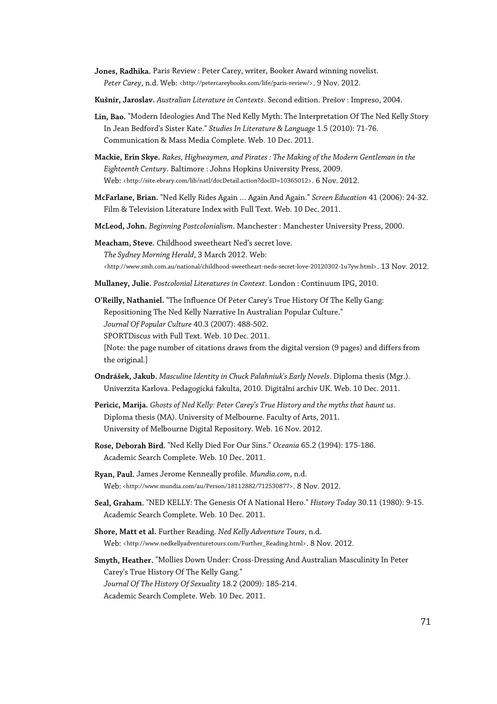- **Jones, Radhika.** Paris Review : Peter Carey, writer, Booker Award winning novelist. Peter Carey, n.d. Web: <http://petercareybooks.com/life/paris-review/>. 9 Nov. 2012.
- **Kušnír, Jaroslav.** *Australian Literature in Contexts*. Second edition. Prešov : Impreso, 2004.
- **Lin, Bao.** "Modern Ideologies And The Ned Kelly Myth: The Interpretation Of The Ned Kelly Story In Jean Bedford's Sister Kate." *Studies In Literature & Language* 1.5 (2010): 71-76. Communication & Mass Media Complete. Web. 10 Dec. 2011.
- **Mackie, Erin Skye.** *Rakes, Highwaymen, and Pirates : The Making of the Modern Gentleman in the Eighteenth Century*. Baltimore : Johns Hopkins University Press, 2009. Web: <http://site.ebrary.com/lib/natl/docDetail.action?docID=10365012>. 6 Nov. 2012.
- **McFarlane, Brian.** "Ned Kelly Rides Again … Again And Again." *Screen Education* 41 (2006): 24-32. Film & Television Literature Index with Full Text. Web. 10 Dec. 2011.
- **McLeod, John.** *Beginning Postcolonialism*. Manchester : Manchester University Press, 2000.
- **Meacham, Steve.** Childhood sweetheart Ned's secret love. *The Sydney Morning Herald*, 3 March 2012. Web: <http://www.smh.com.au/national/childhood-sweetheart-neds-secret-love-20120302-1u7yw.html>. 13 Nov. 2012.
- **Mullaney, Julie.** *Postcolonial Literatures in Context*. London : Continuum IPG, 2010.

**O'Reilly, Nathaniel.** "The Influence Of Peter Carey's True History Of The Kelly Gang: Repositioning The Ned Kelly Narrative In Australian Popular Culture." *Journal Of Popular Culture* 40.3 (2007): 488-502. SPORTDiscus with Full Text. Web. 10 Dec. 2011.

[Note: the page number of citations draws from the digital version (9 pages) and differs from the original.]

- **Ondrášek, Jakub.** *Masculine Identity in Chuck Palahniuk's Early Novels*. Diploma thesis (Mgr.). Univerzita Karlova. Pedagogická fakulta, 2010. Digitální archiv UK. Web. 10 Dec. 2011.
- **Pericic, Marija.** *Ghosts of Ned Kelly: Peter Carey's True History and the myths that haunt us*. Diploma thesis (MA). University of Melbourne. Faculty of Arts, 2011. University of Melbourne Digital Repository. Web. 16 Nov. 2012.
- **Rose, Deborah Bird.** "Ned Kelly Died For Our Sins." *Oceania* 65.2 (1994): 175-186. Academic Search Complete. Web. 10 Dec. 2011.
- **Ryan, Paul.** James Jerome Kenneally profile. *Mundia.com*, n.d. Web: <http://www.mundia.com/au/Person/18112882/712530877>. 8 Nov. 2012.
- **Seal, Graham.** "NED KELLY: The Genesis Of A National Hero." *History Today* 30.11 (1980): 9-15. Academic Search Complete. Web. 10 Dec. 2011.
- **Shore, Matt et al.** Further Reading. *Ned Kelly Adventure Tours*, n.d. Web: <http://www.nedkellyadventuretours.com/Further\_Reading.html>. 8 Nov. 2012.

**Smyth, Heather.** "Mollies Down Under: Cross-Dressing And Australian Masculinity In Peter Carey's True History Of The Kelly Gang." *Journal Of The History Of Sexuality* 18.2 (2009): 185-214. Academic Search Complete. Web. 10 Dec. 2011.